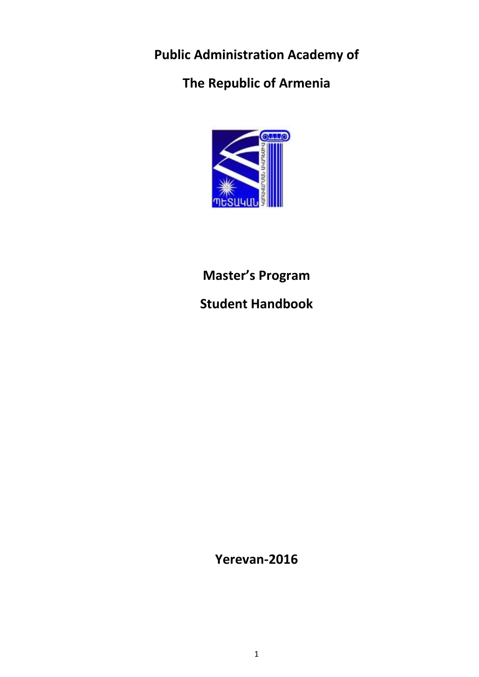**Public Administration Academy of**

**The Republic of Armenia**



**Master's Program**

**Student Handbook**

**Yerevan-2016**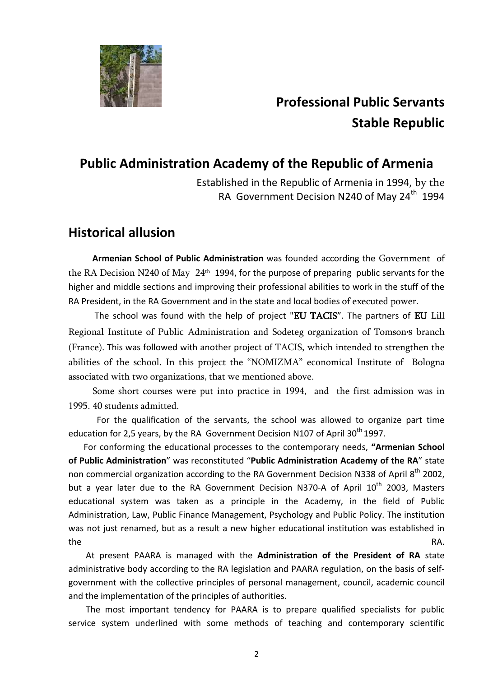

# **Professional Public Servants Stable Republic**

# **Public Administration Academy of the Republic of Armenia**

Established in the Republic of Armenia in 1994, by the RA Government Decision N240 of May  $24<sup>th</sup>$  1994

# **Historical allusion**

 **Armenian School of Public Administration** was founded according the Government of the RA Decision N240 of May 24<sup>th</sup> 1994, for the purpose of preparing public servants for the higher and middle sections and improving their professional abilities to work in the stuff of the RA President, in the RA Government and in the state and local bodies of executed power.

 The school was found with the help of project "EU TACIS". The partners of EU Lill Regional Institute of Public Administration and Sodeteg organization of Tomson's branch (France). This was followed with another project of TACIS, which intended to strengthen the abilities of the school. In this project the "NOMIZMA" economical Institute of Bologna associated with two organizations, that we mentioned above.

 Some short courses were put into practice in 1994, and the first admission was in 1995. 40 students admitted.

 For the qualification of the servants, the school was allowed to organize part time education for 2,5 years, by the RA Government Decision N107 of April 30<sup>th</sup> 1997.

 For conforming the educational processes to the contemporary needs, **"Armenian School of Public Administration**" was reconstituted "**Public Administration Academy of the RA**" state non commercial organization according to the RA Government Decision N338 of April 8<sup>th</sup> 2002, but a year later due to the RA Government Decision N370-A of April  $10^{th}$  2003, Masters educational system was taken as a principle in the Academy, in the field of Public Administration, Law, Public Finance Management, Psychology and Public Policy. The institution was not just renamed, but as a result a new higher educational institution was established in the RA.

 At present PAARA is managed with the **Administration of the President of RA** state administrative body according to the RA legislation and PAARA regulation, on the basis of selfgovernment with the collective principles of personal management, council, academic council and the implementation of the principles of authorities.

 The most important tendency for PAARA is to prepare qualified specialists for public service system underlined with some methods of teaching and contemporary scientific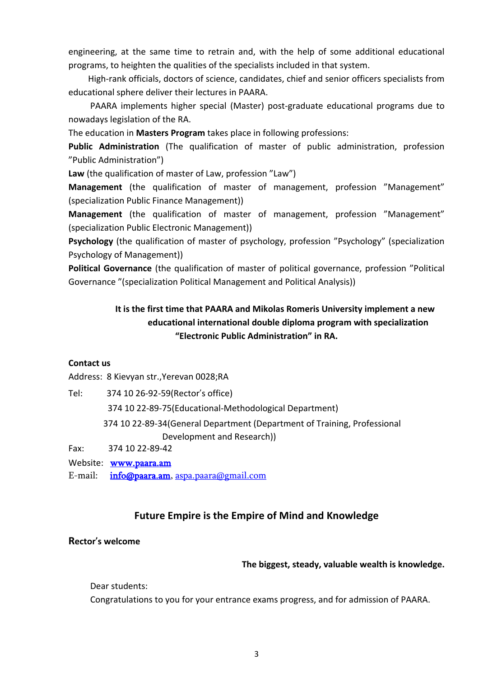engineering, at the same time to retrain and, with the help of some additional educational programs, to heighten the qualities of the specialists included in that system.

 High-rank officials, doctors of science, candidates, chief and senior officers specialists from educational sphere deliver their lectures in PAARA.

 PAARA implements higher special (Master) post-graduate educational programs due to nowadays legislation of the RA.

The education in **Masters Program** takes place in following professions:

**Public Administration** (The qualification of master of public administration, profession "Public Administration")

**Law** (the qualification of master of Law, profession "Law")

**Management** (the qualification of master of management, profession "Management" (specialization Public Finance Management))

**Management** (the qualification of master of management, profession "Management" (specialization Public Electronic Management))

**Psychology** (the qualification of master of psychology, profession "Psychology" (specialization Psychology of Management))

**Political Governance** (the qualification of master of political governance, profession "Political Governance "(specialization Political Management and Political Analysis))

### **It is the first time that PAARA and Mikolas Romeris University implement a new educational international double diploma program with specialization "Electronic Public Administration" in RA.**

#### **Contact us**

Address: 8 Kievyan str.,Yerevan 0028;RA

Tel: 374 10 26-92-59(Rector's office) 374 10 22-89-75(Educational-Methodological Department) 374 10 22-89-34(General Department (Department of Training, Professional Development and Research)) Fax: 374 10 22-89-42

Website: [www.paara.am](http://www.paara.am/)

E-mail: [info@paara.am,](mailto:info@paara.am) [aspa.paara@gmail.com](mailto:aspa.paara@gmail.com)

#### **Future Empire is the Empire of Mind and Knowledge**

# **Rector , s welcome**

#### **The biggest, steady, valuable wealth is knowledge.**

Dear students:

Congratulations to you for your entrance exams progress, and for admission of PAARA.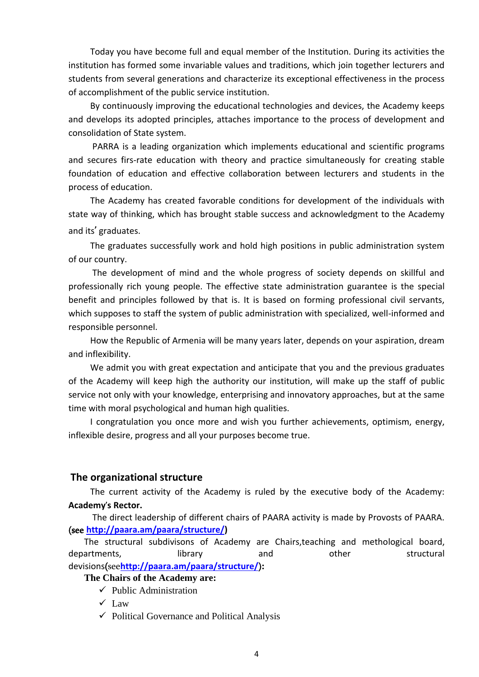Today you have become full and equal member of the Institution. During its activities the institution has formed some invariable values and traditions, which join together lecturers and students from several generations and characterize its exceptional effectiveness in the process of accomplishment of the public service institution.

 By continuously improving the educational technologies and devices, the Academy keeps and develops its adopted principles, attaches importance to the process of development and consolidation of State system.

 PARRA is a leading organization which implements educational and scientific programs and secures firs-rate education with theory and practice simultaneously for creating stable foundation of education and effective collaboration between lecturers and students in the process of education.

 The Academy has created favorable conditions for development of the individuals with state way of thinking, which has brought stable success and acknowledgment to the Academy and its**,** graduates.

 The graduates successfully work and hold high positions in public administration system of our country.

 The development of mind and the whole progress of society depends on skillful and professionally rich young people. The effective state administration guarantee is the special benefit and principles followed by that is. It is based on forming professional civil servants, which supposes to staff the system of public administration with specialized, well-informed and responsible personnel.

 How the Republic of Armenia will be many years later, depends on your aspiration, dream and inflexibility.

 We admit you with great expectation and anticipate that you and the previous graduates of the Academy will keep high the authority our institution, will make up the staff of public service not only with your knowledge, enterprising and innovatory approaches, but at the same time with moral psychological and human high qualities.

 I congratulation you once more and wish you further achievements, optimism, energy, inflexible desire, progress and all your purposes become true.

#### **The organizational structure**

 The current activity of the Academy is ruled by the executive body of the Academy: **Academy, s Rector.**

 The direct leadership of different chairs of PAARA activity is made by Provosts of PAARA. (see **[http://paara.am/paara/structure/\)](http://paara.am/paara/structure/)**

The structural subdivisons of Academy are Chairs,teaching and methological board, departments, and departments, in the library and other structural devisions(see**<http://paara.am/paara/structure/>**)**:**

#### **The Chairs of the Academy are:**

- $\checkmark$  Public Administration
- $\checkmark$  Law
- $\checkmark$  Political Governance and Political Analysis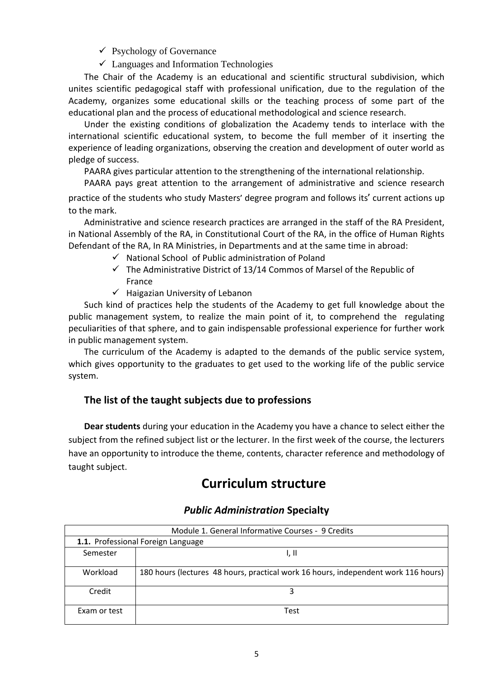- $\checkmark$  Psychology of Governance
- $\checkmark$  Languages and Information Technologies

The Chair of the Academy is an educational and scientific structural subdivision, which unites scientific pedagogical staff with professional unification, due to the regulation of the Academy, organizes some educational skills or the teaching process of some part of the educational plan and the process of educational methodological and science research.

Under the existing conditions of globalization the Academy tends to interlace with the international scientific educational system, to become the full member of it inserting the experience of leading organizations, observing the creation and development of outer world as pledge of success.

PAARA gives particular attention to the strengthening of the international relationship.

PAARA pays great attention to the arrangement of administrative and science research

practice of the students who study Masters' degree program and follows its' current actions up to the mark.

Administrative and science research practices are arranged in the staff of the RA President, in National Assembly of the RA, in Constitutional Court of the RA, in the office of Human Rights Defendant of the RA, In RA Ministries, in Departments and at the same time in abroad:

- $\checkmark$  National School of Public administration of Poland
- $\checkmark$  The Administrative District of 13/14 Commos of Marsel of the Republic of France
- $\checkmark$  Haigazian University of Lebanon

Such kind of practices help the students of the Academy to get full knowledge about the public management system, to realize the main point of it, to comprehend the regulating peculiarities of that sphere, and to gain indispensable professional experience for further work in public management system.

The curriculum of the Academy is adapted to the demands of the public service system, which gives opportunity to the graduates to get used to the working life of the public service system.

### **The list of the taught subjects due to professions**

**Dear students** during your education in the Academy you have a chance to select either the subject from the refined subject list or the lecturer. In the first week of the course, the lecturers have an opportunity to introduce the theme, contents, character reference and methodology of taught subject.

# **Curriculum structure**

| Module 1. General Informative Courses - 9 Credits |                                                                                    |  |
|---------------------------------------------------|------------------------------------------------------------------------------------|--|
| 1.1. Professional Foreign Language                |                                                                                    |  |
| Semester                                          | I, II                                                                              |  |
| Workload                                          | 180 hours (lectures 48 hours, practical work 16 hours, independent work 116 hours) |  |
| Credit                                            |                                                                                    |  |
| Exam or test                                      | Test                                                                               |  |

#### *Public Administration* **Specialty**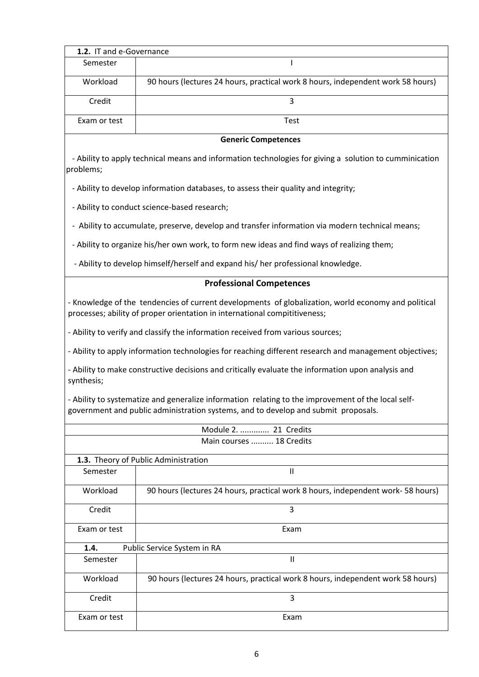| 1.2. IT and e-Governance                                                                                                                                                                 |                                                                                                        |  |  |
|------------------------------------------------------------------------------------------------------------------------------------------------------------------------------------------|--------------------------------------------------------------------------------------------------------|--|--|
| Semester                                                                                                                                                                                 | T                                                                                                      |  |  |
| Workload                                                                                                                                                                                 | 90 hours (lectures 24 hours, practical work 8 hours, independent work 58 hours)                        |  |  |
| Credit                                                                                                                                                                                   | $\overline{3}$                                                                                         |  |  |
| Exam or test                                                                                                                                                                             | Test                                                                                                   |  |  |
|                                                                                                                                                                                          | <b>Generic Competences</b>                                                                             |  |  |
| problems;                                                                                                                                                                                | - Ability to apply technical means and information technologies for giving a solution to cumminication |  |  |
|                                                                                                                                                                                          | - Ability to develop information databases, to assess their quality and integrity;                     |  |  |
|                                                                                                                                                                                          | - Ability to conduct science-based research;                                                           |  |  |
| - Ability to accumulate, preserve, develop and transfer information via modern technical means;                                                                                          |                                                                                                        |  |  |
| - Ability to organize his/her own work, to form new ideas and find ways of realizing them;                                                                                               |                                                                                                        |  |  |
| - Ability to develop himself/herself and expand his/ her professional knowledge.                                                                                                         |                                                                                                        |  |  |
|                                                                                                                                                                                          | <b>Professional Competences</b>                                                                        |  |  |
| - Knowledge of the tendencies of current developments of globalization, world economy and political<br>processes; ability of proper orientation in international compititiveness;        |                                                                                                        |  |  |
|                                                                                                                                                                                          | - Ability to verify and classify the information received from various sources;                        |  |  |
| - Ability to apply information technologies for reaching different research and management objectives;                                                                                   |                                                                                                        |  |  |
| - Ability to make constructive decisions and critically evaluate the information upon analysis and<br>synthesis;                                                                         |                                                                                                        |  |  |
| - Ability to systematize and generalize information relating to the improvement of the local self-<br>government and public administration systems, and to develop and submit proposals. |                                                                                                        |  |  |
| $A = \begin{bmatrix} 1 & 1 \\ 1 & 2 \end{bmatrix}$<br>$24 \text{ C}$                                                                                                                     |                                                                                                        |  |  |

| Module 2.  21 Credits    |                                                                                 |  |  |
|--------------------------|---------------------------------------------------------------------------------|--|--|
| Main courses  18 Credits |                                                                                 |  |  |
|                          | 1.3. Theory of Public Administration                                            |  |  |
| Semester                 | $\mathbf{I}$                                                                    |  |  |
| Workload                 | 90 hours (lectures 24 hours, practical work 8 hours, independent work-58 hours) |  |  |
| Credit                   | 3                                                                               |  |  |
| Exam or test             | Exam                                                                            |  |  |
| 1.4.                     | Public Service System in RA                                                     |  |  |
| Semester                 | $\mathbf{I}$                                                                    |  |  |
| Workload                 | 90 hours (lectures 24 hours, practical work 8 hours, independent work 58 hours) |  |  |
| Credit                   | 3                                                                               |  |  |
| Exam or test             | Exam                                                                            |  |  |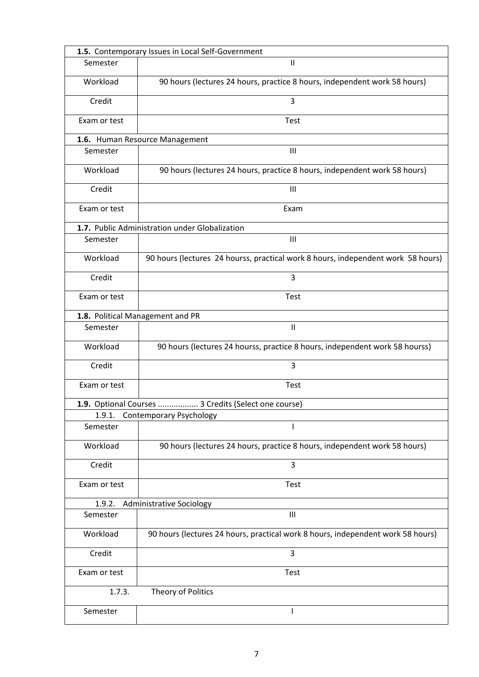|              | 1.5. Contemporary Issues in Local Self-Government                                |  |  |
|--------------|----------------------------------------------------------------------------------|--|--|
| Semester     | $\mathsf{II}$                                                                    |  |  |
| Workload     | 90 hours (lectures 24 hours, practice 8 hours, independent work 58 hours)        |  |  |
| Credit       | 3                                                                                |  |  |
| Exam or test | <b>Test</b>                                                                      |  |  |
|              | 1.6. Human Resource Management                                                   |  |  |
| Semester     | $\mathbf{III}$                                                                   |  |  |
| Workload     | 90 hours (lectures 24 hours, practice 8 hours, independent work 58 hours)        |  |  |
| Credit       | III                                                                              |  |  |
| Exam or test | Exam                                                                             |  |  |
|              | 1.7. Public Administration under Globalization                                   |  |  |
| Semester     | $\mathbf{III}$                                                                   |  |  |
| Workload     | 90 hours (lectures 24 hourss, practical work 8 hours, independent work 58 hours) |  |  |
| Credit       | 3                                                                                |  |  |
| Exam or test | Test                                                                             |  |  |
|              | 1.8. Political Management and PR                                                 |  |  |
| Semester     | $\mathbf{H}$                                                                     |  |  |
| Workload     | 90 hours (lectures 24 hourss, practice 8 hours, independent work 58 hourss)      |  |  |
| Credit       | 3                                                                                |  |  |
| Exam or test | <b>Test</b>                                                                      |  |  |
|              | 1.9. Optional Courses  3 Credits (Select one course)                             |  |  |
| 1.9.1.       | <b>Contemporary Psychology</b>                                                   |  |  |
| Semester     |                                                                                  |  |  |
| Workload     | 90 hours (lectures 24 hours, practice 8 hours, independent work 58 hours)        |  |  |
| Credit       | 3                                                                                |  |  |
| Exam or test | Test                                                                             |  |  |
| 1.9.2.       | Administrative Sociology                                                         |  |  |
| Semester     | $\mathsf{III}$                                                                   |  |  |
| Workload     | 90 hours (lectures 24 hours, practical work 8 hours, independent work 58 hours)  |  |  |
| Credit       | 3                                                                                |  |  |
| Exam or test | <b>Test</b>                                                                      |  |  |
| 1.7.3.       | Theory of Politics                                                               |  |  |
| Semester     |                                                                                  |  |  |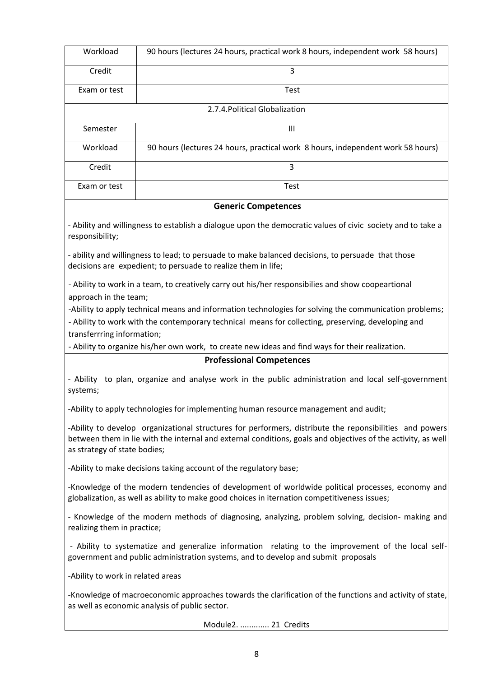| Workload                       | 90 hours (lectures 24 hours, practical work 8 hours, independent work 58 hours) |  |
|--------------------------------|---------------------------------------------------------------------------------|--|
| Credit                         | 3                                                                               |  |
| Exam or test                   | <b>Test</b>                                                                     |  |
| 2.7.4. Political Globalization |                                                                                 |  |
| Semester                       | Ш                                                                               |  |
| Workload                       | 90 hours (lectures 24 hours, practical work 8 hours, independent work 58 hours) |  |
| Credit                         | 3                                                                               |  |
| Exam or test                   | <b>Test</b>                                                                     |  |

#### **Generic Competences**

- Ability and willingness to establish a dialogue upon the democratic values of civic society and to take a responsibility;

- ability and willingness to lead; to persuade to make balanced decisions, to persuade that those decisions are expedient; to persuade to realize them in life;

- Ability to work in a team, to creatively carry out his/her responsibilies and show coopeartional approach in the team;

-Ability to apply technical means and information technologies for solving the communication problems;

- Ability to work with the contemporary technical means for collecting, preserving, developing and transferrring information;

- Ability to organize his/her own work, to create new ideas and find ways for their realization.

#### **Professional Competences**

- Ability to plan, organize and analyse work in the public administration and local self-government systems;

-Ability to apply technologies for implementing human resource management and audit;

-Ability to develop organizational structures for performers, distribute the reponsibilities and powers between them in lie with the internal and external conditions, goals and objectives of the activity, as well as strategy of state bodies;

-Ability to make decisions taking account of the regulatory base;

-Knowledge of the modern tendencies of development of worldwide political processes, economy and globalization, as well as ability to make good choices in iternation competitiveness issues;

- Knowledge of the modern methods of diagnosing, analyzing, problem solving, decision- making and realizing them in practice;

- Ability to systematize and generalize information relating to the improvement of the local selfgovernment and public administration systems, and to develop and submit proposals

-Ability to work in related areas

-Knowledge of macroeconomic approaches towards the clarification of the functions and activity of state, as well as economic analysis of public sector.

Module2. ............. 21 Credits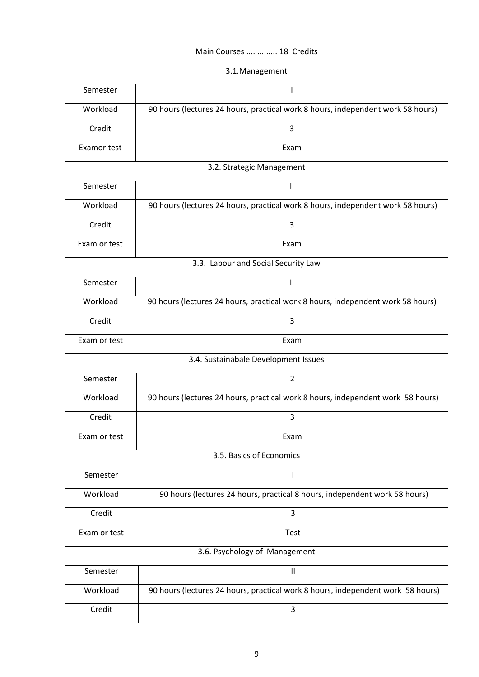|                           | Main Courses   18 Credits                                                       |  |  |
|---------------------------|---------------------------------------------------------------------------------|--|--|
|                           | 3.1.Management                                                                  |  |  |
| Semester                  | I                                                                               |  |  |
| Workload                  | 90 hours (lectures 24 hours, practical work 8 hours, independent work 58 hours) |  |  |
| Credit                    | 3                                                                               |  |  |
| Examor test               | Exam                                                                            |  |  |
| 3.2. Strategic Management |                                                                                 |  |  |
| Semester                  | $\sf II$                                                                        |  |  |
| Workload                  | 90 hours (lectures 24 hours, practical work 8 hours, independent work 58 hours) |  |  |
| Credit                    | 3                                                                               |  |  |
| Exam or test              | Exam                                                                            |  |  |
|                           | 3.3. Labour and Social Security Law                                             |  |  |
| Semester                  | $\ensuremath{\mathsf{II}}$                                                      |  |  |
| Workload                  | 90 hours (lectures 24 hours, practical work 8 hours, independent work 58 hours) |  |  |
| Credit                    | 3                                                                               |  |  |
| Exam or test              | Exam                                                                            |  |  |
|                           | 3.4. Sustainabale Development Issues                                            |  |  |
| Semester                  | $\overline{2}$                                                                  |  |  |
| Workload                  | 90 hours (lectures 24 hours, practical work 8 hours, independent work 58 hours) |  |  |
| Credit                    | 3                                                                               |  |  |
| Exam or test              | Exam                                                                            |  |  |
|                           | 3.5. Basics of Economics                                                        |  |  |
| Semester                  | I                                                                               |  |  |
| Workload                  | 90 hours (lectures 24 hours, practical 8 hours, independent work 58 hours)      |  |  |
| Credit                    | 3                                                                               |  |  |
| Exam or test              | Test                                                                            |  |  |
|                           | 3.6. Psychology of Management                                                   |  |  |
| Semester                  | $\mathsf{II}$                                                                   |  |  |
| Workload                  | 90 hours (lectures 24 hours, practical work 8 hours, independent work 58 hours) |  |  |
| Credit                    | 3                                                                               |  |  |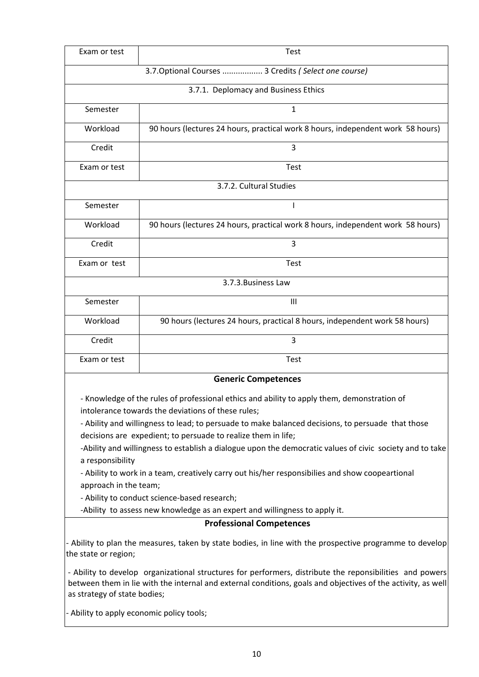| Exam or test                                                                                                                                      | <b>Test</b>                                                                     |  |  |
|---------------------------------------------------------------------------------------------------------------------------------------------------|---------------------------------------------------------------------------------|--|--|
|                                                                                                                                                   | 3.7. Optional Courses  3 Credits (Select one course)                            |  |  |
| 3.7.1. Deplomacy and Business Ethics                                                                                                              |                                                                                 |  |  |
| Semester                                                                                                                                          | 1                                                                               |  |  |
| Workload                                                                                                                                          | 90 hours (lectures 24 hours, practical work 8 hours, independent work 58 hours) |  |  |
| Credit                                                                                                                                            | 3                                                                               |  |  |
| Exam or test                                                                                                                                      | Test                                                                            |  |  |
| 3.7.2. Cultural Studies                                                                                                                           |                                                                                 |  |  |
| Semester                                                                                                                                          | T                                                                               |  |  |
| Workload                                                                                                                                          | 90 hours (lectures 24 hours, practical work 8 hours, independent work 58 hours) |  |  |
| Credit                                                                                                                                            | 3                                                                               |  |  |
| Exam or test                                                                                                                                      | Test                                                                            |  |  |
| 3.7.3. Business Law                                                                                                                               |                                                                                 |  |  |
| Semester                                                                                                                                          | III                                                                             |  |  |
| Workload                                                                                                                                          | 90 hours (lectures 24 hours, practical 8 hours, independent work 58 hours)      |  |  |
| Credit                                                                                                                                            | 3                                                                               |  |  |
| Exam or test                                                                                                                                      | Test                                                                            |  |  |
| <b>Generic Competences</b>                                                                                                                        |                                                                                 |  |  |
| - Knowledge of the rules of professional ethics and ability to apply them, demonstration of<br>intolerance towards the deviations of these rules; |                                                                                 |  |  |

- Ability and willingness to lead; to persuade to make balanced decisions, to persuade that those decisions are expedient; to persuade to realize them in life;

-Ability and willingness to establish a dialogue upon the democratic values of civic society and to take a responsibility

- Ability to work in a team, creatively carry out his/her responsibilies and show coopeartional approach in the team;

- Ability to conduct science-based research;

-Ability to assess new knowledge as an expert and willingness to apply it.

#### **Professional Competences**

- Ability to plan the measures, taken by state bodies, in line with the prospective programme to develop the state or region;

- Ability to develop organizational structures for performers, distribute the reponsibilities and powers between them in lie with the internal and external conditions, goals and objectives of the activity, as well as strategy of state bodies;

- Ability to apply economic policy tools;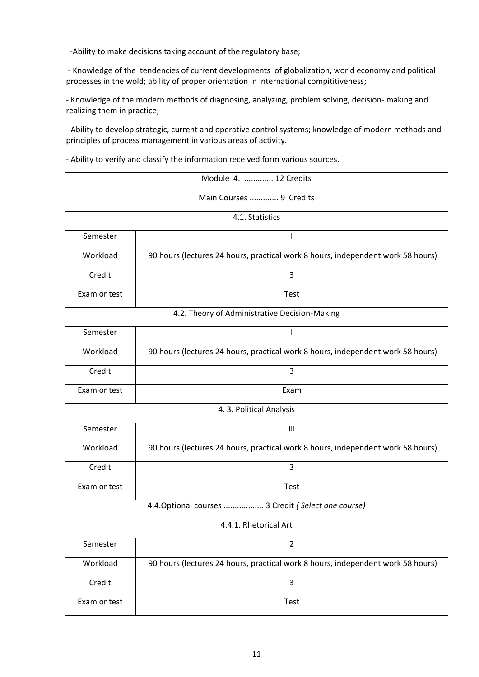-Ability to make decisions taking account of the regulatory base;

- Knowledge of the tendencies of current developments of globalization, world economy and political processes in the wold; ability of proper orientation in international compititiveness;

- Knowledge of the modern methods of diagnosing, analyzing, problem solving, decision- making and realizing them in practice;

- Ability to develop strategic, current and operative control systems; knowledge of modern methods and principles of process management in various areas of activity.

- Ability to verify and classify the information received form various sources.

|              | Module 4.  12 Credits                                                           |  |  |
|--------------|---------------------------------------------------------------------------------|--|--|
|              | Main Courses  9 Credits                                                         |  |  |
|              | 4.1. Statistics                                                                 |  |  |
| Semester     | T                                                                               |  |  |
| Workload     | 90 hours (lectures 24 hours, practical work 8 hours, independent work 58 hours) |  |  |
| Credit       | 3                                                                               |  |  |
| Exam or test | Test                                                                            |  |  |
|              | 4.2. Theory of Administrative Decision-Making                                   |  |  |
| Semester     | T                                                                               |  |  |
| Workload     | 90 hours (lectures 24 hours, practical work 8 hours, independent work 58 hours) |  |  |
| Credit       | 3                                                                               |  |  |
| Exam or test | Exam                                                                            |  |  |
|              | 4.3. Political Analysis                                                         |  |  |
| Semester     | III                                                                             |  |  |
| Workload     | 90 hours (lectures 24 hours, practical work 8 hours, independent work 58 hours) |  |  |
| Credit       | 3                                                                               |  |  |
| Exam or test | Test                                                                            |  |  |
|              | 4.4. Optional courses  3 Credit (Select one course)                             |  |  |
|              | 4.4.1. Rhetorical Art                                                           |  |  |
| Semester     | $\overline{2}$                                                                  |  |  |
| Workload     | 90 hours (lectures 24 hours, practical work 8 hours, independent work 58 hours) |  |  |
| Credit       | $\overline{3}$                                                                  |  |  |
| Exam or test | Test                                                                            |  |  |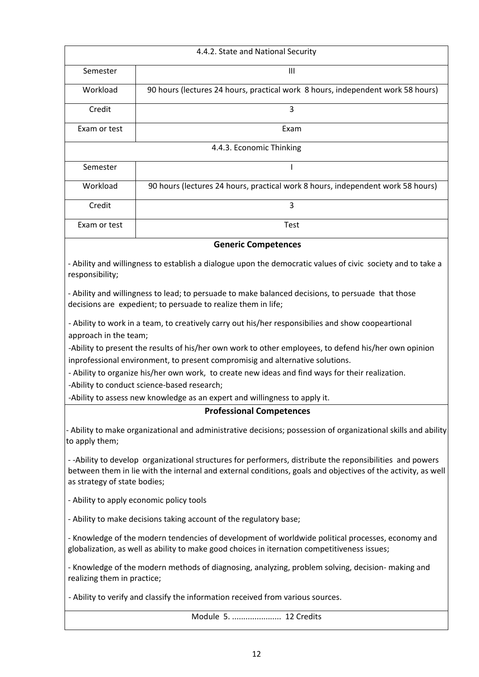|                                                                                                | 4.4.2. State and National Security                                                                                                                                                                                       |
|------------------------------------------------------------------------------------------------|--------------------------------------------------------------------------------------------------------------------------------------------------------------------------------------------------------------------------|
| Semester                                                                                       | $\mathbf{III}$                                                                                                                                                                                                           |
| Workload                                                                                       | 90 hours (lectures 24 hours, practical work 8 hours, independent work 58 hours)                                                                                                                                          |
| Credit                                                                                         | 3                                                                                                                                                                                                                        |
| Exam or test                                                                                   | Exam                                                                                                                                                                                                                     |
|                                                                                                | 4.4.3. Economic Thinking                                                                                                                                                                                                 |
| Semester                                                                                       | I                                                                                                                                                                                                                        |
| Workload                                                                                       | 90 hours (lectures 24 hours, practical work 8 hours, independent work 58 hours)                                                                                                                                          |
| Credit                                                                                         | 3                                                                                                                                                                                                                        |
| Exam or test                                                                                   | Test                                                                                                                                                                                                                     |
|                                                                                                | <b>Generic Competences</b>                                                                                                                                                                                               |
| responsibility;                                                                                | - Ability and willingness to establish a dialogue upon the democratic values of civic society and to take a                                                                                                              |
|                                                                                                | - Ability and willingness to lead; to persuade to make balanced decisions, to persuade that those<br>decisions are expedient; to persuade to realize them in life;                                                       |
| approach in the team;                                                                          | - Ability to work in a team, to creatively carry out his/her responsibilies and show coopeartional                                                                                                                       |
|                                                                                                | -Ability to present the results of his/her own work to other employees, to defend his/her own opinion                                                                                                                    |
|                                                                                                | inprofessional environment, to present compromisig and alternative solutions.<br>- Ability to organize his/her own work, to create new ideas and find ways for their realization.                                        |
|                                                                                                | -Ability to conduct science-based research;                                                                                                                                                                              |
| -Ability to assess new knowledge as an expert and willingness to apply it.                     |                                                                                                                                                                                                                          |
|                                                                                                | <b>Professional Competences</b>                                                                                                                                                                                          |
| to apply them;                                                                                 | - Ability to make organizational and administrative decisions; possession of organizational skills and ability                                                                                                           |
| as strategy of state bodies;                                                                   | --Ability to develop organizational structures for performers, distribute the reponsibilities and powers<br>between them in lie with the internal and external conditions, goals and objectives of the activity, as well |
|                                                                                                | - Ability to apply economic policy tools                                                                                                                                                                                 |
|                                                                                                | - Ability to make decisions taking account of the regulatory base;                                                                                                                                                       |
|                                                                                                | - Knowledge of the modern tendencies of development of worldwide political processes, economy and<br>globalization, as well as ability to make good choices in iternation competitiveness issues;                        |
| - Knowledge of the modern methods of diagnosing analyzing problem solving decision- making and |                                                                                                                                                                                                                          |

- Knowledge of the modern methods of diagnosing, analyzing, problem solving, decision- making and realizing them in practice;

- Ability to verify and classify the information received from various sources.

Module 5. ...................... 12 Credits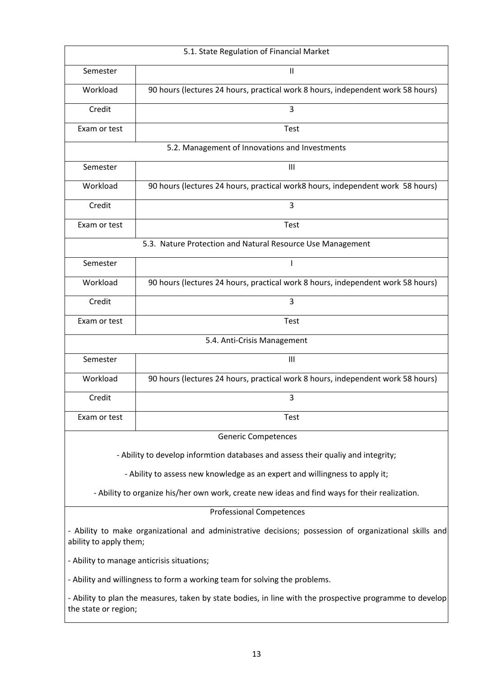| 5.1. State Regulation of Financial Market                                                                                        |                                                                                  |  |
|----------------------------------------------------------------------------------------------------------------------------------|----------------------------------------------------------------------------------|--|
| Semester                                                                                                                         | Ш                                                                                |  |
| Workload                                                                                                                         | 90 hours (lectures 24 hours, practical work 8 hours, independent work 58 hours)  |  |
| Credit                                                                                                                           | 3                                                                                |  |
| Exam or test                                                                                                                     | Test                                                                             |  |
|                                                                                                                                  | 5.2. Management of Innovations and Investments                                   |  |
| Semester                                                                                                                         | $\mathbf{III}$                                                                   |  |
| Workload                                                                                                                         | 90 hours (lectures 24 hours, practical work8 hours, independent work 58 hours)   |  |
| Credit                                                                                                                           | 3                                                                                |  |
| Exam or test                                                                                                                     | <b>Test</b>                                                                      |  |
|                                                                                                                                  | 5.3. Nature Protection and Natural Resource Use Management                       |  |
| Semester                                                                                                                         | ı                                                                                |  |
| Workload                                                                                                                         | 90 hours (lectures 24 hours, practical work 8 hours, independent work 58 hours)  |  |
| Credit                                                                                                                           | 3                                                                                |  |
| Exam or test                                                                                                                     | <b>Test</b>                                                                      |  |
|                                                                                                                                  | 5.4. Anti-Crisis Management                                                      |  |
| Semester                                                                                                                         | $\mathbf{III}$                                                                   |  |
| Workload                                                                                                                         | 90 hours (lectures 24 hours, practical work 8 hours, independent work 58 hours)  |  |
| Credit                                                                                                                           | 3                                                                                |  |
| Exam or test                                                                                                                     | Test                                                                             |  |
|                                                                                                                                  | <b>Generic Competences</b>                                                       |  |
|                                                                                                                                  | - Ability to develop informtion databases and assess their qualiy and integrity; |  |
|                                                                                                                                  | - Ability to assess new knowledge as an expert and willingness to apply it;      |  |
| - Ability to organize his/her own work, create new ideas and find ways for their realization.                                    |                                                                                  |  |
| <b>Professional Competences</b>                                                                                                  |                                                                                  |  |
| - Ability to make organizational and administrative decisions; possession of organizational skills and<br>ability to apply them; |                                                                                  |  |
| - Ability to manage anticrisis situations;                                                                                       |                                                                                  |  |
| - Ability and willingness to form a working team for solving the problems.                                                       |                                                                                  |  |
| - Ability to plan the measures, taken by state bodies, in line with the prospective programme to develop<br>the state or region; |                                                                                  |  |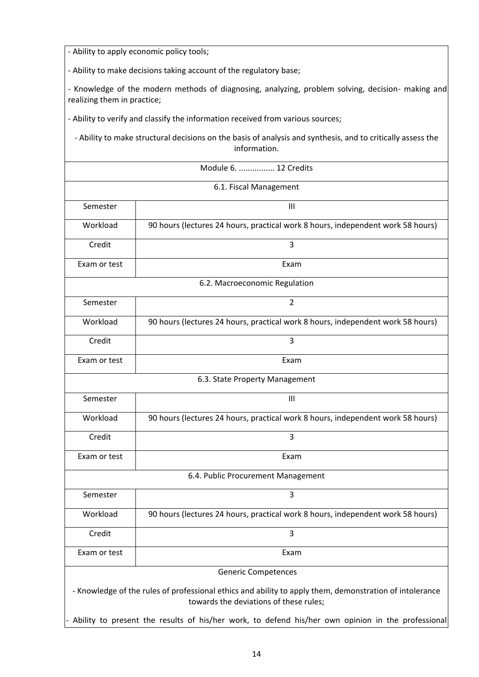- Ability to apply economic policy tools;

- Ability to make decisions taking account of the regulatory base;

- Knowledge of the modern methods of diagnosing, analyzing, problem solving, decision- making and realizing them in practice;

- Ability to verify and classify the information received from various sources;

- Ability to make structural decisions on the basis of analysis and synthesis, and to critically assess the information.

| Module 6.  12 Credits                                                                                                                             |                                                                                 |  |  |
|---------------------------------------------------------------------------------------------------------------------------------------------------|---------------------------------------------------------------------------------|--|--|
|                                                                                                                                                   | 6.1. Fiscal Management                                                          |  |  |
| Semester                                                                                                                                          | $\mathbf{III}$                                                                  |  |  |
| Workload                                                                                                                                          | 90 hours (lectures 24 hours, practical work 8 hours, independent work 58 hours) |  |  |
| Credit                                                                                                                                            | 3                                                                               |  |  |
| Exam or test                                                                                                                                      | Exam                                                                            |  |  |
|                                                                                                                                                   | 6.2. Macroeconomic Regulation                                                   |  |  |
| Semester                                                                                                                                          | $\overline{2}$                                                                  |  |  |
| Workload                                                                                                                                          | 90 hours (lectures 24 hours, practical work 8 hours, independent work 58 hours) |  |  |
| Credit                                                                                                                                            | 3                                                                               |  |  |
| Exam or test                                                                                                                                      | Exam                                                                            |  |  |
|                                                                                                                                                   | 6.3. State Property Management                                                  |  |  |
| Semester                                                                                                                                          | $\mathbf{III}$                                                                  |  |  |
| Workload                                                                                                                                          | 90 hours (lectures 24 hours, practical work 8 hours, independent work 58 hours) |  |  |
| Credit                                                                                                                                            | 3                                                                               |  |  |
| Exam or test                                                                                                                                      | Exam                                                                            |  |  |
| 6.4. Public Procurement Management                                                                                                                |                                                                                 |  |  |
| Semester                                                                                                                                          | 3                                                                               |  |  |
| Workload                                                                                                                                          | 90 hours (lectures 24 hours, practical work 8 hours, independent work 58 hours) |  |  |
| Credit                                                                                                                                            | 3                                                                               |  |  |
| Exam or test                                                                                                                                      | Exam                                                                            |  |  |
|                                                                                                                                                   | <b>Generic Competences</b>                                                      |  |  |
| - Knowledge of the rules of professional ethics and ability to apply them, demonstration of intolerance<br>towards the deviations of these rules; |                                                                                 |  |  |
| Ability to present the results of his/her work, to defend his/her own opinion in the professional                                                 |                                                                                 |  |  |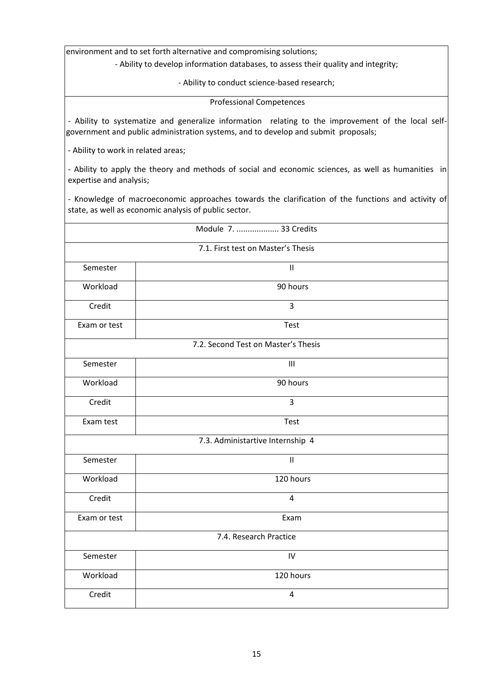environment and to set forth alternative and compromising solutions;

- Ability to develop information databases, to assess their quality and integrity;

- Ability to conduct science-based research;

Professional Competences

- Ability to systematize and generalize information relating to the improvement of the local selfgovernment and public administration systems, and to develop and submit proposals;

- Ability to work in related areas;

- Ability to apply the theory and methods of social and economic sciences, as well as humanities in expertise and analysis;

- Knowledge of macroeconomic approaches towards the clarification of the functions and activity of state, as well as economic analysis of public sector.

|              | Module 7.  33 Credits               |  |
|--------------|-------------------------------------|--|
|              | 7.1. First test on Master's Thesis  |  |
| Semester     | $\ensuremath{\mathsf{II}}$          |  |
| Workload     | 90 hours                            |  |
| Credit       | 3                                   |  |
| Exam or test | Test                                |  |
|              | 7.2. Second Test on Master's Thesis |  |
| Semester     | III                                 |  |
| Workload     | 90 hours                            |  |
| Credit       | 3                                   |  |
| Exam test    | Test                                |  |
|              | 7.3. Administartive Internship 4    |  |
| Semester     | $\mathbf{II}$                       |  |
| Workload     | 120 hours                           |  |
| Credit       | $\overline{4}$                      |  |
| Exam or test | Exam                                |  |
|              | 7.4. Research Practice              |  |
| Semester     | IV                                  |  |
| Workload     | 120 hours                           |  |
| Credit       | 4                                   |  |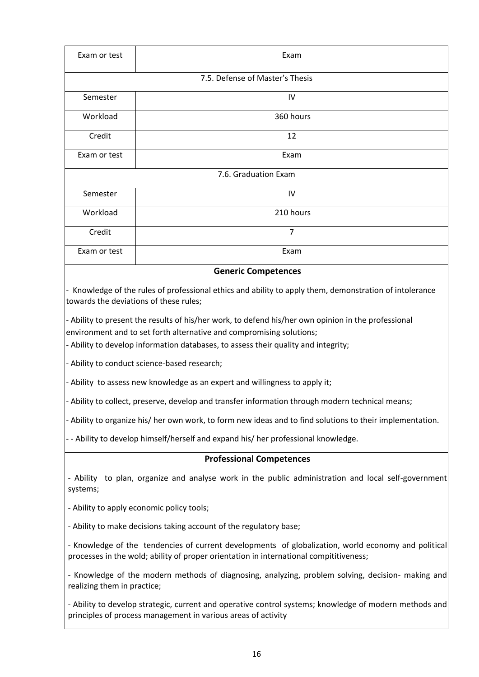| Exam or test         | Exam                            |  |
|----------------------|---------------------------------|--|
|                      | 7.5. Defense of Master's Thesis |  |
| Semester             | IV                              |  |
| Workload             | 360 hours                       |  |
| Credit               | 12                              |  |
| Exam or test         | Exam                            |  |
| 7.6. Graduation Exam |                                 |  |
| Semester             | IV                              |  |
| Workload             | 210 hours                       |  |
| Credit               | $\overline{7}$                  |  |
| Exam or test         | Exam                            |  |

#### **Generic Competences**

- Knowledge of the rules of professional ethics and ability to apply them, demonstration of intolerance towards the deviations of these rules;

- Ability to present the results of his/her work, to defend his/her own opinion in the professional environment and to set forth alternative and compromising solutions;

- Ability to develop information databases, to assess their quality and integrity;

- Ability to conduct science-based research;

- Ability to assess new knowledge as an expert and willingness to apply it;

- Ability to collect, preserve, develop and transfer information through modern technical means;

- Ability to organize his/ her own work, to form new ideas and to find solutions to their implementation.

- - Ability to develop himself/herself and expand his/ her professional knowledge.

#### **Professional Competences**

- Ability to plan, organize and analyse work in the public administration and local self-government systems;

- Ability to apply economic policy tools;

- Ability to make decisions taking account of the regulatory base;

- Knowledge of the tendencies of current developments of globalization, world economy and political processes in the wold; ability of proper orientation in international compititiveness;

- Knowledge of the modern methods of diagnosing, analyzing, problem solving, decision- making and realizing them in practice;

- Ability to develop strategic, current and operative control systems; knowledge of modern methods and principles of process management in various areas of activity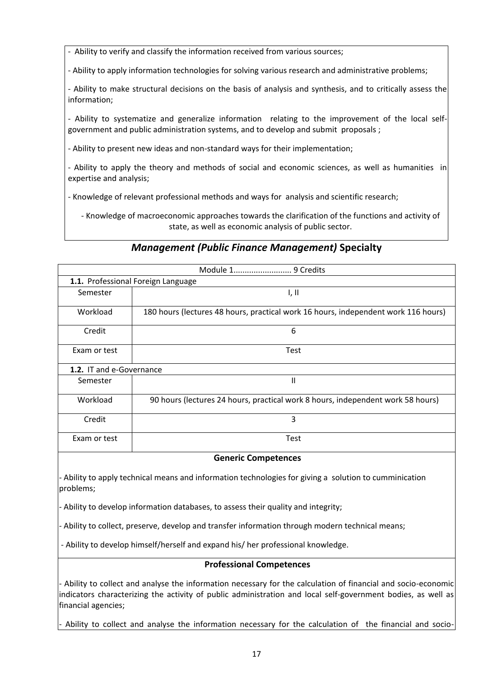- Ability to verify and classify the information received from various sources;

- Ability to apply information technologies for solving various research and administrative problems;

- Ability to make structural decisions on the basis of analysis and synthesis, and to critically assess the information;

- Ability to systematize and generalize information relating to the improvement of the local selfgovernment and public administration systems, and to develop and submit proposals ;

- Ability to present new ideas and non-standard ways for their implementation;

- Ability to apply the theory and methods of social and economic sciences, as well as humanities in expertise and analysis;

- Knowledge of relevant professional methods and ways for analysis and scientific research;

- Knowledge of macroeconomic approaches towards the clarification of the functions and activity of state, as well as economic analysis of public sector.

## *Management (Public Finance Management)* **Specialty**

| 1.1. Professional Foreign Language |                                                                                    |
|------------------------------------|------------------------------------------------------------------------------------|
| Semester                           | I, II                                                                              |
| Workload                           | 180 hours (lectures 48 hours, practical work 16 hours, independent work 116 hours) |
| Credit                             | 6                                                                                  |
| Exam or test                       | <b>Test</b>                                                                        |
| 1.2. IT and e-Governance           |                                                                                    |
| Semester                           | Ш                                                                                  |
| Workload                           | 90 hours (lectures 24 hours, practical work 8 hours, independent work 58 hours)    |
| Credit                             | 3                                                                                  |
| Exam or test                       | <b>Test</b>                                                                        |

**Generic Competences** 

- Ability to apply technical means and information technologies for giving a solution to cumminication problems;

- Ability to develop information databases, to assess their quality and integrity;

- Ability to collect, preserve, develop and transfer information through modern technical means;

- Ability to develop himself/herself and expand his/ her professional knowledge.

#### **Professional Competences**

- Ability to collect and analyse the information necessary for the calculation of financial and socio-economic indicators characterizing the activity of public administration and local self-government bodies, as well as financial agencies;

Ability to collect and analyse the information necessary for the calculation of the financial and socio-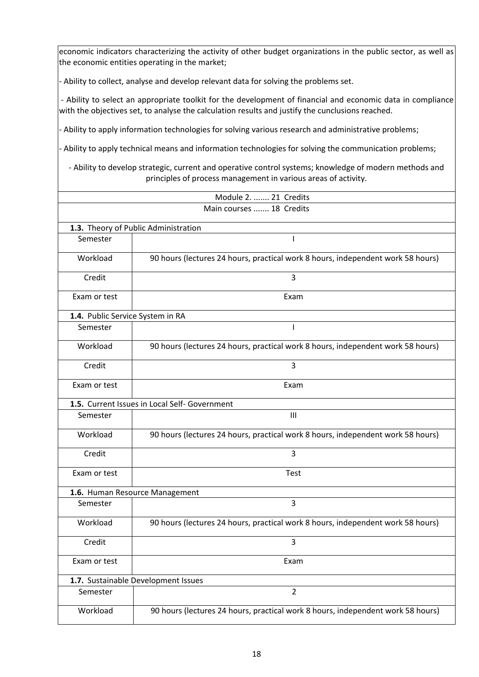economic indicators characterizing the activity of other budget organizations in the public sector, as well as the economic entities operating in the market;

- Ability to collect, analyse and develop relevant data for solving the problems set.

- Ability to select an appropriate toolkit for the development of financial and economic data in compliance with the objectives set, to analyse the calculation results and justify the cunclusions reached.

- Ability to apply information technologies for solving various research and administrative problems;

- Ability to apply technical means and information technologies for solving the communication problems;

- Ability to develop strategic, current and operative control systems; knowledge of modern methods and principles of process management in various areas of activity.

| Module 2.  21 Credits            |                                                                                 |
|----------------------------------|---------------------------------------------------------------------------------|
| Main courses  18 Credits         |                                                                                 |
|                                  | 1.3. Theory of Public Administration                                            |
| Semester                         |                                                                                 |
| Workload                         | 90 hours (lectures 24 hours, practical work 8 hours, independent work 58 hours) |
| Credit                           | 3                                                                               |
| Exam or test                     | Exam                                                                            |
| 1.4. Public Service System in RA |                                                                                 |
| Semester                         | $\mathbf{I}$                                                                    |
| Workload                         | 90 hours (lectures 24 hours, practical work 8 hours, independent work 58 hours) |
| Credit                           | 3                                                                               |
| Exam or test                     | Exam                                                                            |
|                                  | 1.5. Current Issues in Local Self- Government                                   |
| Semester                         | $\mathbf{III}$                                                                  |
| Workload                         | 90 hours (lectures 24 hours, practical work 8 hours, independent work 58 hours) |
| Credit                           | 3                                                                               |
| Exam or test                     | Test                                                                            |
|                                  | 1.6. Human Resource Management                                                  |
| Semester                         | 3                                                                               |
| Workload                         | 90 hours (lectures 24 hours, practical work 8 hours, independent work 58 hours) |
| Credit                           | 3                                                                               |
| Exam or test                     | Exam                                                                            |
|                                  | 1.7. Sustainable Development Issues                                             |
| Semester                         | $\overline{2}$                                                                  |
| Workload                         | 90 hours (lectures 24 hours, practical work 8 hours, independent work 58 hours) |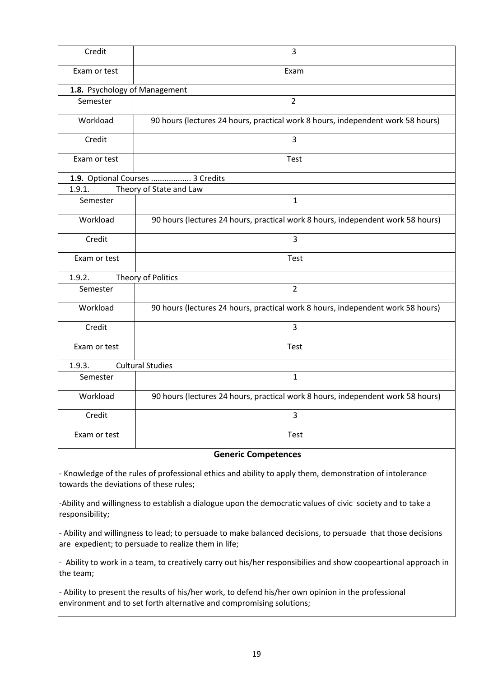| Credit                                 | 3                                                                                                       |
|----------------------------------------|---------------------------------------------------------------------------------------------------------|
| Exam or test                           | Exam                                                                                                    |
| 1.8. Psychology of Management          |                                                                                                         |
| Semester                               | $\overline{2}$                                                                                          |
| Workload                               | 90 hours (lectures 24 hours, practical work 8 hours, independent work 58 hours)                         |
| Credit                                 | $\overline{3}$                                                                                          |
| Exam or test                           | Test                                                                                                    |
|                                        | 1.9. Optional Courses  3 Credits                                                                        |
| 1.9.1.                                 | Theory of State and Law                                                                                 |
| Semester                               | $\mathbf{1}$                                                                                            |
| Workload                               | 90 hours (lectures 24 hours, practical work 8 hours, independent work 58 hours)                         |
| Credit                                 | 3                                                                                                       |
| Exam or test                           | Test                                                                                                    |
| 1.9.2.                                 | Theory of Politics                                                                                      |
| Semester                               | $\overline{2}$                                                                                          |
| Workload                               | 90 hours (lectures 24 hours, practical work 8 hours, independent work 58 hours)                         |
| Credit                                 | 3                                                                                                       |
| Exam or test                           | <b>Test</b>                                                                                             |
| 1.9.3.                                 | <b>Cultural Studies</b>                                                                                 |
| Semester                               | $\mathbf{1}$                                                                                            |
| Workload                               | 90 hours (lectures 24 hours, practical work 8 hours, independent work 58 hours)                         |
| Credit                                 | 3                                                                                                       |
| Exam or test                           | <b>Test</b>                                                                                             |
| <b>Generic Competences</b>             |                                                                                                         |
| towards the deviations of these rules; | - Knowledge of the rules of professional ethics and ability to apply them, demonstration of intolerance |

-Ability and willingness to establish a dialogue upon the democratic values of civic society and to take a responsibility;

- Ability and willingness to lead; to persuade to make balanced decisions, to persuade that those decisions are expedient; to persuade to realize them in life;

- Ability to work in a team, to creatively carry out his/her responsibilies and show coopeartional approach in the team;

- Ability to present the results of his/her work, to defend his/her own opinion in the professional environment and to set forth alternative and compromising solutions;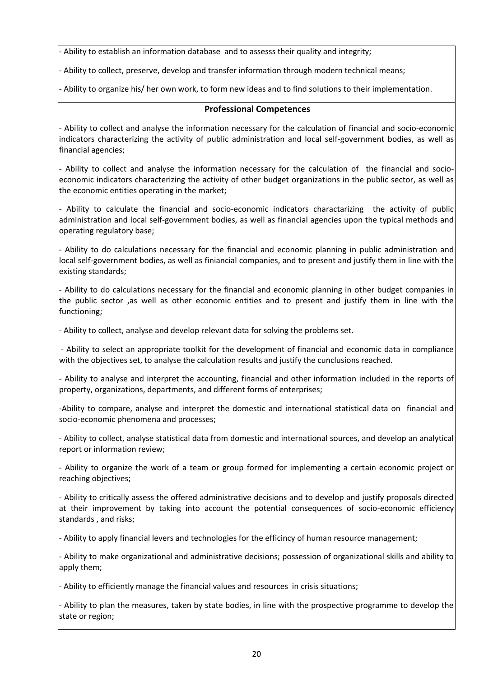Ability to establish an information database and to assesss their quality and integrity;

- Ability to collect, preserve, develop and transfer information through modern technical means;

- Ability to organize his/ her own work, to form new ideas and to find solutions to their implementation.

#### **Professional Competences**

- Ability to collect and analyse the information necessary for the calculation of financial and socio-economic indicators characterizing the activity of public administration and local self-government bodies, as well as financial agencies;

- Ability to collect and analyse the information necessary for the calculation of the financial and socioeconomic indicators characterizing the activity of other budget organizations in the public sector, as well as the economic entities operating in the market;

- Ability to calculate the financial and socio-economic indicators charactarizing the activity of public administration and local self-government bodies, as well as financial agencies upon the typical methods and operating regulatory base;

- Ability to do calculations necessary for the financial and economic planning in public administration and local self-government bodies, as well as finiancial companies, and to present and justify them in line with the existing standards;

- Ability to do calculations necessary for the financial and economic planning in other budget companies in the public sector ,as well as other economic entities and to present and justify them in line with the functioning;

- Ability to collect, analyse and develop relevant data for solving the problems set.

- Ability to select an appropriate toolkit for the development of financial and economic data in compliance with the objectives set, to analyse the calculation results and justify the cunclusions reached.

- Ability to analyse and interpret the accounting, financial and other information included in the reports of property, organizations, departments, and different forms of enterprises;

-Ability to compare, analyse and interpret the domestic and international statistical data on financial and socio-economic phenomena and processes;

- Ability to collect, analyse statistical data from domestic and international sources, and develop an analytical report or information review;

- Ability to organize the work of a team or group formed for implementing a certain economic project or reaching objectives;

- Ability to critically assess the offered administrative decisions and to develop and justify proposals directed at their improvement by taking into account the potential consequences of socio-economic efficiency standards , and risks;

- Ability to apply financial levers and technologies for the efficincy of human resource management;

- Ability to make organizational and administrative decisions; possession of organizational skills and ability to apply them;

- Ability to efficiently manage the financial values and resources in crisis situations;

- Ability to plan the measures, taken by state bodies, in line with the prospective programme to develop the state or region;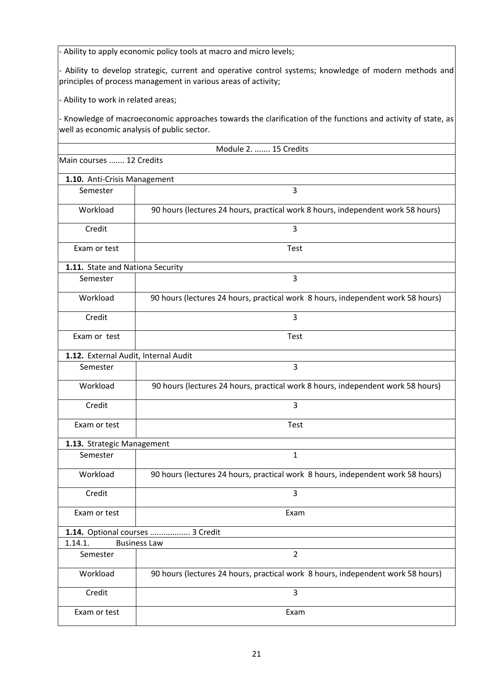- Ability to apply economic policy tools at macro and micro levels;

- Ability to develop strategic, current and operative control systems; knowledge of modern methods and principles of process management in various areas of activity;

- Ability to work in related areas;

- Knowledge of macroeconomic approaches towards the clarification of the functions and activity of state, as well as economic analysis of public sector.

| Module 2.  15 Credits                |                                                                                 |  |
|--------------------------------------|---------------------------------------------------------------------------------|--|
| Main courses  12 Credits             |                                                                                 |  |
| 1.10. Anti-Crisis Management         |                                                                                 |  |
| Semester                             | 3                                                                               |  |
| Workload                             | 90 hours (lectures 24 hours, practical work 8 hours, independent work 58 hours) |  |
| Credit                               | 3                                                                               |  |
| Exam or test                         | <b>Test</b>                                                                     |  |
| 1.11. State and Nationa Security     |                                                                                 |  |
| Semester                             | 3                                                                               |  |
| Workload                             | 90 hours (lectures 24 hours, practical work 8 hours, independent work 58 hours) |  |
| Credit                               | $\overline{3}$                                                                  |  |
| Exam or test                         | <b>Test</b>                                                                     |  |
| 1.12. External Audit, Internal Audit |                                                                                 |  |
| Semester                             | $\overline{3}$                                                                  |  |
| Workload                             | 90 hours (lectures 24 hours, practical work 8 hours, independent work 58 hours) |  |
| Credit                               | $\overline{3}$                                                                  |  |
| Exam or test                         | <b>Test</b>                                                                     |  |
| 1.13. Strategic Management           |                                                                                 |  |
| Semester                             | $\mathbf{1}$                                                                    |  |
| Workload                             | 90 hours (lectures 24 hours, practical work 8 hours, independent work 58 hours) |  |
| Credit                               | 3                                                                               |  |
| Exam or test                         | Exam                                                                            |  |
|                                      | 1.14. Optional courses  3 Credit                                                |  |
| 1.14.1.                              | <b>Business Law</b>                                                             |  |
| Semester                             | $\overline{2}$                                                                  |  |
| Workload                             | 90 hours (lectures 24 hours, practical work 8 hours, independent work 58 hours) |  |
| Credit                               | $\overline{3}$                                                                  |  |
| Exam or test                         | Exam                                                                            |  |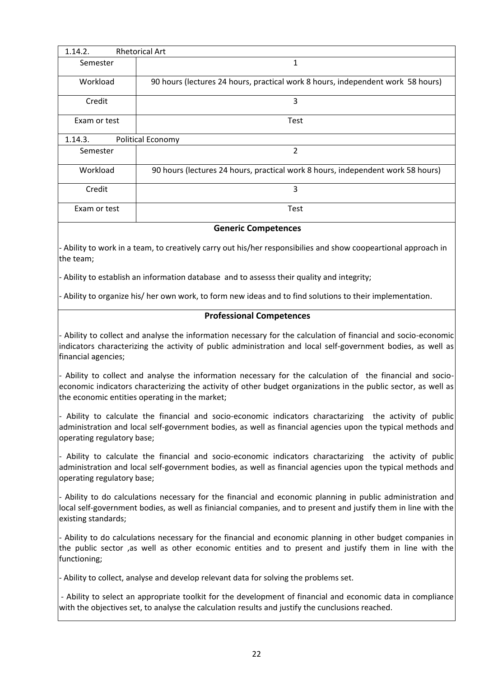| 1.14.2.                      | <b>Rhetorical Art</b>                                                           |  |
|------------------------------|---------------------------------------------------------------------------------|--|
| Semester                     | 1                                                                               |  |
| Workload                     | 90 hours (lectures 24 hours, practical work 8 hours, independent work 58 hours) |  |
| Credit                       | 3                                                                               |  |
| Exam or test                 | Test                                                                            |  |
| Political Economy<br>1.14.3. |                                                                                 |  |
| Semester                     | 2                                                                               |  |
| Workload                     | 90 hours (lectures 24 hours, practical work 8 hours, independent work 58 hours) |  |
| Credit                       | 3                                                                               |  |
| Exam or test                 | Test                                                                            |  |

#### **Generic Competences**

- Ability to work in a team, to creatively carry out his/her responsibilies and show coopeartional approach in the team;

- Ability to establish an information database and to assesss their quality and integrity;

- Ability to organize his/ her own work, to form new ideas and to find solutions to their implementation.

#### **Professional Competences**

- Ability to collect and analyse the information necessary for the calculation of financial and socio-economic indicators characterizing the activity of public administration and local self-government bodies, as well as financial agencies;

- Ability to collect and analyse the information necessary for the calculation of the financial and socioeconomic indicators characterizing the activity of other budget organizations in the public sector, as well as the economic entities operating in the market;

- Ability to calculate the financial and socio-economic indicators charactarizing the activity of public administration and local self-government bodies, as well as financial agencies upon the typical methods and operating regulatory base;

- Ability to calculate the financial and socio-economic indicators charactarizing the activity of public administration and local self-government bodies, as well as financial agencies upon the typical methods and operating regulatory base;

- Ability to do calculations necessary for the financial and economic planning in public administration and local self-government bodies, as well as finiancial companies, and to present and justify them in line with the existing standards;

- Ability to do calculations necessary for the financial and economic planning in other budget companies in the public sector ,as well as other economic entities and to present and justify them in line with the functioning;

- Ability to collect, analyse and develop relevant data for solving the problems set.

- Ability to select an appropriate toolkit for the development of financial and economic data in compliance with the objectives set, to analyse the calculation results and justify the cunclusions reached.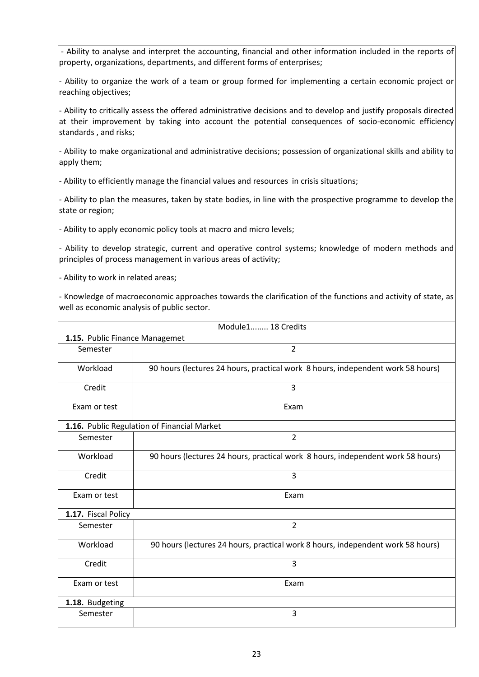- Ability to analyse and interpret the accounting, financial and other information included in the reports of property, organizations, departments, and different forms of enterprises;

- Ability to organize the work of a team or group formed for implementing a certain economic project or reaching objectives;

- Ability to critically assess the offered administrative decisions and to develop and justify proposals directed at their improvement by taking into account the potential consequences of socio-economic efficiency standards , and risks;

- Ability to make organizational and administrative decisions; possession of organizational skills and ability to apply them;

- Ability to efficiently manage the financial values and resources in crisis situations;

- Ability to plan the measures, taken by state bodies, in line with the prospective programme to develop the state or region;

- Ability to apply economic policy tools at macro and micro levels;

- Ability to develop strategic, current and operative control systems; knowledge of modern methods and principles of process management in various areas of activity;

- Ability to work in related areas;

- Knowledge of macroeconomic approaches towards the clarification of the functions and activity of state, as well as economic analysis of public sector.

| Module1 18 Credits             |                                                                                 |
|--------------------------------|---------------------------------------------------------------------------------|
| 1.15. Public Finance Managemet |                                                                                 |
| Semester                       | $\overline{2}$                                                                  |
| Workload                       | 90 hours (lectures 24 hours, practical work 8 hours, independent work 58 hours) |
| Credit                         | 3                                                                               |
| Exam or test                   | Exam                                                                            |
|                                | 1.16. Public Regulation of Financial Market                                     |
| Semester                       | $\overline{2}$                                                                  |
| Workload                       | 90 hours (lectures 24 hours, practical work 8 hours, independent work 58 hours) |
| Credit                         | 3                                                                               |
| Exam or test                   | Exam                                                                            |
| 1.17. Fiscal Policy            |                                                                                 |
| Semester                       | $\overline{2}$                                                                  |
| Workload                       | 90 hours (lectures 24 hours, practical work 8 hours, independent work 58 hours) |
| Credit                         | 3                                                                               |
| Exam or test                   | Exam                                                                            |
| 1.18. Budgeting                |                                                                                 |
| Semester                       | 3                                                                               |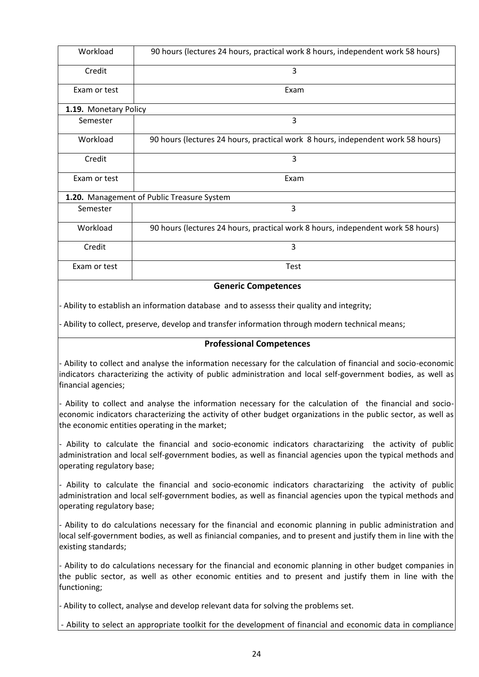| Workload                   | 90 hours (lectures 24 hours, practical work 8 hours, independent work 58 hours) |
|----------------------------|---------------------------------------------------------------------------------|
| Credit                     | 3                                                                               |
| Exam or test               | Exam                                                                            |
| 1.19. Monetary Policy      |                                                                                 |
| Semester                   | 3                                                                               |
| Workload                   | 90 hours (lectures 24 hours, practical work 8 hours, independent work 58 hours) |
| Credit                     | 3                                                                               |
| Exam or test               | Exam                                                                            |
|                            | 1.20. Management of Public Treasure System                                      |
| Semester                   | 3                                                                               |
| Workload                   | 90 hours (lectures 24 hours, practical work 8 hours, independent work 58 hours) |
| Credit                     | 3                                                                               |
| Exam or test               | Test                                                                            |
| <b>Generic Competences</b> |                                                                                 |

- Ability to establish an information database and to assesss their quality and integrity;

- Ability to collect, preserve, develop and transfer information through modern technical means;

#### **Professional Competences**

- Ability to collect and analyse the information necessary for the calculation of financial and socio-economic indicators characterizing the activity of public administration and local self-government bodies, as well as financial agencies;

- Ability to collect and analyse the information necessary for the calculation of the financial and socioeconomic indicators characterizing the activity of other budget organizations in the public sector, as well as the economic entities operating in the market;

- Ability to calculate the financial and socio-economic indicators charactarizing the activity of public administration and local self-government bodies, as well as financial agencies upon the typical methods and operating regulatory base;

- Ability to calculate the financial and socio-economic indicators charactarizing the activity of public administration and local self-government bodies, as well as financial agencies upon the typical methods and operating regulatory base;

- Ability to do calculations necessary for the financial and economic planning in public administration and local self-government bodies, as well as finiancial companies, and to present and justify them in line with the existing standards;

- Ability to do calculations necessary for the financial and economic planning in other budget companies in the public sector, as well as other economic entities and to present and justify them in line with the functioning;

- Ability to collect, analyse and develop relevant data for solving the problems set.

- Ability to select an appropriate toolkit for the development of financial and economic data in compliance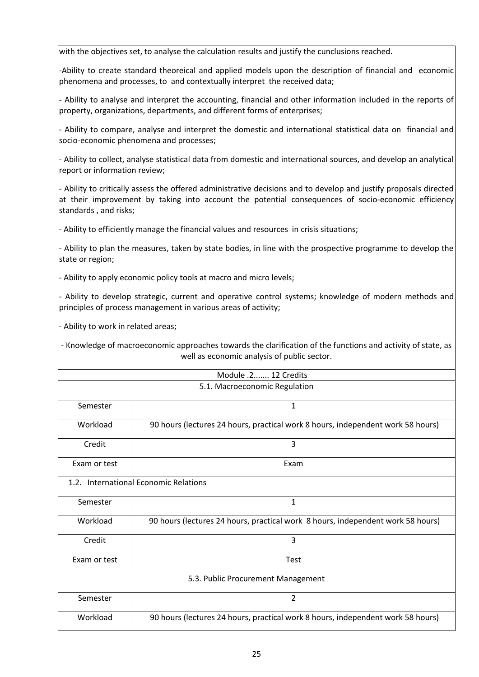with the objectives set, to analyse the calculation results and justify the cunclusions reached.

-Ability to create standard theoreical and applied models upon the description of financial and economic phenomena and processes, to and contextually interpret the received data;

- Ability to analyse and interpret the accounting, financial and other information included in the reports of property, organizations, departments, and different forms of enterprises;

- Ability to compare, analyse and interpret the domestic and international statistical data on financial and socio-economic phenomena and processes;

- Ability to collect, analyse statistical data from domestic and international sources, and develop an analytical report or information review;

- Ability to critically assess the offered administrative decisions and to develop and justify proposals directed at their improvement by taking into account the potential consequences of socio-economic efficiency standards , and risks;

- Ability to efficiently manage the financial values and resources in crisis situations;

- Ability to plan the measures, taken by state bodies, in line with the prospective programme to develop the state or region;

- Ability to apply economic policy tools at macro and micro levels;

- Ability to develop strategic, current and operative control systems; knowledge of modern methods and principles of process management in various areas of activity;

- Ability to work in related areas;

- Knowledge of macroeconomic approaches towards the clarification of the functions and activity of state, as well as economic analysis of public sector.

| Module .2 12 Credits                  |                                                                                 |  |
|---------------------------------------|---------------------------------------------------------------------------------|--|
| 5.1. Macroeconomic Regulation         |                                                                                 |  |
| Semester                              | $\mathbf{1}$                                                                    |  |
| Workload                              | 90 hours (lectures 24 hours, practical work 8 hours, independent work 58 hours) |  |
| Credit                                | 3                                                                               |  |
| Exam or test                          | Exam                                                                            |  |
| 1.2. International Economic Relations |                                                                                 |  |
| Semester                              | $\mathbf 1$                                                                     |  |
| Workload                              | 90 hours (lectures 24 hours, practical work 8 hours, independent work 58 hours) |  |
| Credit                                | $\overline{3}$                                                                  |  |
| Exam or test                          | <b>Test</b>                                                                     |  |
| 5.3. Public Procurement Management    |                                                                                 |  |
| Semester                              | $\overline{2}$                                                                  |  |
| Workload                              | 90 hours (lectures 24 hours, practical work 8 hours, independent work 58 hours) |  |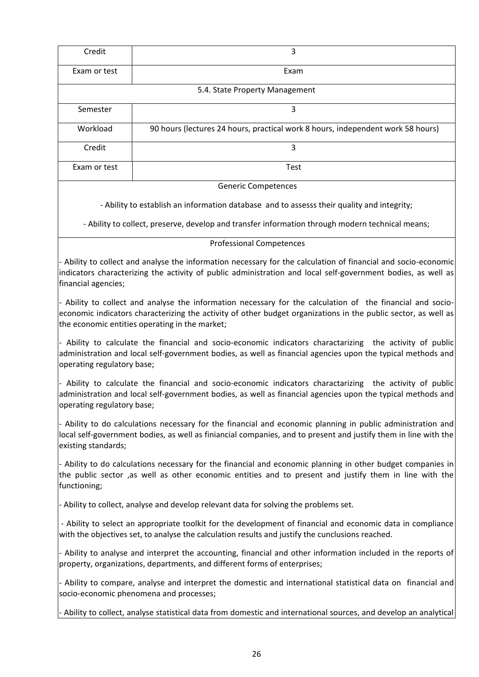| Credit                                                                                           | 3                                                                                                                                                                                                                              |  |
|--------------------------------------------------------------------------------------------------|--------------------------------------------------------------------------------------------------------------------------------------------------------------------------------------------------------------------------------|--|
|                                                                                                  |                                                                                                                                                                                                                                |  |
| Exam or test                                                                                     | Exam                                                                                                                                                                                                                           |  |
|                                                                                                  | 5.4. State Property Management                                                                                                                                                                                                 |  |
| Semester                                                                                         | 3                                                                                                                                                                                                                              |  |
| Workload                                                                                         | 90 hours (lectures 24 hours, practical work 8 hours, independent work 58 hours)                                                                                                                                                |  |
| Credit                                                                                           | 3                                                                                                                                                                                                                              |  |
| Exam or test                                                                                     | <b>Test</b>                                                                                                                                                                                                                    |  |
| <b>Generic Competences</b>                                                                       |                                                                                                                                                                                                                                |  |
| - Ability to establish an information database and to assesss their quality and integrity;       |                                                                                                                                                                                                                                |  |
| - Ability to collect, preserve, develop and transfer information through modern technical means; |                                                                                                                                                                                                                                |  |
| <b>Professional Competences</b>                                                                  |                                                                                                                                                                                                                                |  |
| financial agencies;                                                                              | - Ability to collect and analyse the information necessary for the calculation of financial and socio-economic<br>indicators characterizing the activity of public administration and local self-government bodies, as well as |  |

Ability to collect and analyse the information necessary for the calculation of the financial and socioeconomic indicators characterizing the activity of other budget organizations in the public sector, as well as the economic entities operating in the market;

- Ability to calculate the financial and socio-economic indicators charactarizing the activity of public administration and local self-government bodies, as well as financial agencies upon the typical methods and operating regulatory base;

- Ability to calculate the financial and socio-economic indicators charactarizing the activity of public administration and local self-government bodies, as well as financial agencies upon the typical methods and operating regulatory base;

- Ability to do calculations necessary for the financial and economic planning in public administration and local self-government bodies, as well as finiancial companies, and to present and justify them in line with the existing standards;

- Ability to do calculations necessary for the financial and economic planning in other budget companies in the public sector ,as well as other economic entities and to present and justify them in line with the functioning;

- Ability to collect, analyse and develop relevant data for solving the problems set.

- Ability to select an appropriate toolkit for the development of financial and economic data in compliance with the objectives set, to analyse the calculation results and justify the cunclusions reached.

- Ability to analyse and interpret the accounting, financial and other information included in the reports of property, organizations, departments, and different forms of enterprises;

- Ability to compare, analyse and interpret the domestic and international statistical data on financial and socio-economic phenomena and processes;

- Ability to collect, analyse statistical data from domestic and international sources, and develop an analytical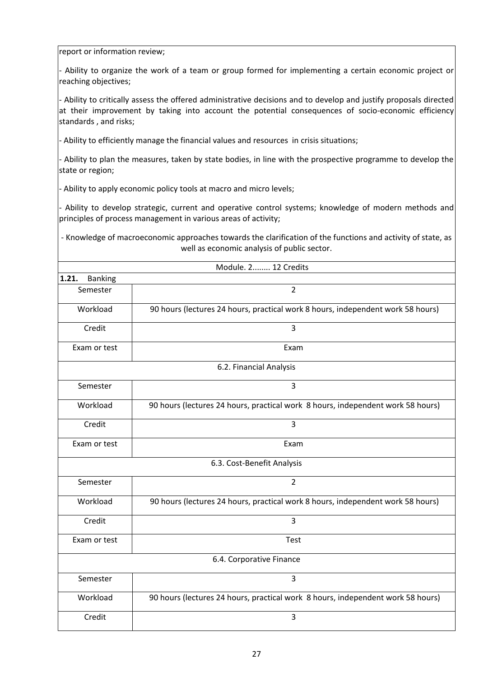report or information review;

- Ability to organize the work of a team or group formed for implementing a certain economic project or reaching objectives;

- Ability to critically assess the offered administrative decisions and to develop and justify proposals directed at their improvement by taking into account the potential consequences of socio-economic efficiency standards , and risks;

- Ability to efficiently manage the financial values and resources in crisis situations;

- Ability to plan the measures, taken by state bodies, in line with the prospective programme to develop the state or region;

- Ability to apply economic policy tools at macro and micro levels;

- Ability to develop strategic, current and operative control systems; knowledge of modern methods and principles of process management in various areas of activity;

- Knowledge of macroeconomic approaches towards the clarification of the functions and activity of state, as well as economic analysis of public sector.

|                          | Module. 2 12 Credits                                                            |
|--------------------------|---------------------------------------------------------------------------------|
| 1.21.<br><b>Banking</b>  |                                                                                 |
| Semester                 | $\overline{2}$                                                                  |
| Workload                 | 90 hours (lectures 24 hours, practical work 8 hours, independent work 58 hours) |
| Credit                   | 3                                                                               |
| Exam or test             | Exam                                                                            |
|                          | 6.2. Financial Analysis                                                         |
| Semester                 | 3                                                                               |
| Workload                 | 90 hours (lectures 24 hours, practical work 8 hours, independent work 58 hours) |
| Credit                   | 3                                                                               |
| Exam or test             | Exam                                                                            |
|                          | 6.3. Cost-Benefit Analysis                                                      |
| Semester                 | $\overline{2}$                                                                  |
| Workload                 | 90 hours (lectures 24 hours, practical work 8 hours, independent work 58 hours) |
| Credit                   | $\overline{3}$                                                                  |
| Exam or test             | Test                                                                            |
| 6.4. Corporative Finance |                                                                                 |
| Semester                 | 3                                                                               |
| Workload                 | 90 hours (lectures 24 hours, practical work 8 hours, independent work 58 hours) |
| Credit                   | 3                                                                               |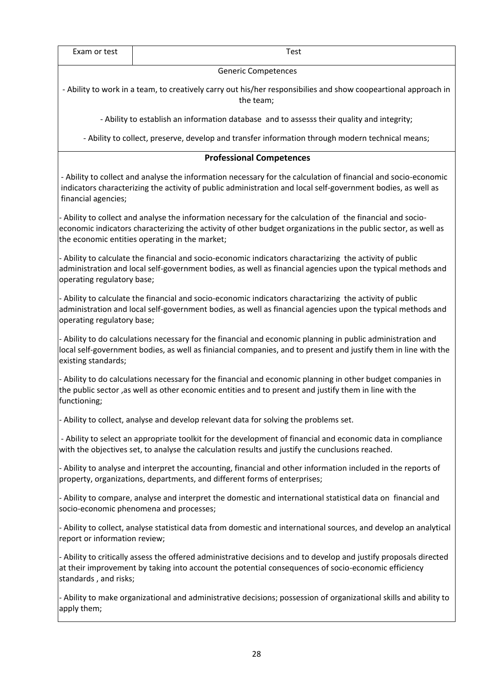| Exam or test                                                                                                                                                                                                                                                                   | Test                                                                                                                                                                                                                                                  |  |  |
|--------------------------------------------------------------------------------------------------------------------------------------------------------------------------------------------------------------------------------------------------------------------------------|-------------------------------------------------------------------------------------------------------------------------------------------------------------------------------------------------------------------------------------------------------|--|--|
|                                                                                                                                                                                                                                                                                | <b>Generic Competences</b>                                                                                                                                                                                                                            |  |  |
|                                                                                                                                                                                                                                                                                | - Ability to work in a team, to creatively carry out his/her responsibilies and show coopeartional approach in<br>the team;                                                                                                                           |  |  |
|                                                                                                                                                                                                                                                                                | - Ability to establish an information database and to assesss their quality and integrity;                                                                                                                                                            |  |  |
|                                                                                                                                                                                                                                                                                | - Ability to collect, preserve, develop and transfer information through modern technical means;                                                                                                                                                      |  |  |
|                                                                                                                                                                                                                                                                                | <b>Professional Competences</b>                                                                                                                                                                                                                       |  |  |
| financial agencies;                                                                                                                                                                                                                                                            | - Ability to collect and analyse the information necessary for the calculation of financial and socio-economic<br>indicators characterizing the activity of public administration and local self-government bodies, as well as                        |  |  |
| - Ability to collect and analyse the information necessary for the calculation of the financial and socio-<br>economic indicators characterizing the activity of other budget organizations in the public sector, as well as<br>the economic entities operating in the market; |                                                                                                                                                                                                                                                       |  |  |
| - Ability to calculate the financial and socio-economic indicators charactarizing the activity of public<br>administration and local self-government bodies, as well as financial agencies upon the typical methods and<br>operating regulatory base;                          |                                                                                                                                                                                                                                                       |  |  |
|                                                                                                                                                                                                                                                                                | - Ability to calculate the financial and socio-economic indicators charactarizing the activity of public<br>administration and local self-government bodies, as well as financial agencies upon the typical methods and<br>operating regulatory base; |  |  |
| - Ability to do calculations necessary for the financial and economic planning in public administration and<br>local self-government bodies, as well as finiancial companies, and to present and justify them in line with the<br>existing standards;                          |                                                                                                                                                                                                                                                       |  |  |
| - Ability to do calculations necessary for the financial and economic planning in other budget companies in<br>the public sector , as well as other economic entities and to present and justify them in line with the<br>functioning;                                         |                                                                                                                                                                                                                                                       |  |  |
| - Ability to collect, analyse and develop relevant data for solving the problems set.                                                                                                                                                                                          |                                                                                                                                                                                                                                                       |  |  |
| - Ability to select an appropriate toolkit for the development of financial and economic data in compliance<br>with the objectives set, to analyse the calculation results and justify the cunclusions reached.                                                                |                                                                                                                                                                                                                                                       |  |  |
| - Ability to analyse and interpret the accounting, financial and other information included in the reports of<br>property, organizations, departments, and different forms of enterprises;                                                                                     |                                                                                                                                                                                                                                                       |  |  |
|                                                                                                                                                                                                                                                                                | - Ability to compare, analyse and interpret the domestic and international statistical data on financial and<br>socio-economic phenomena and processes;                                                                                               |  |  |
| report or information review;                                                                                                                                                                                                                                                  | - Ability to collect, analyse statistical data from domestic and international sources, and develop an analytical                                                                                                                                     |  |  |
| standards, and risks;                                                                                                                                                                                                                                                          | - Ability to critically assess the offered administrative decisions and to develop and justify proposals directed<br>at their improvement by taking into account the potential consequences of socio-economic efficiency                              |  |  |
| apply them;                                                                                                                                                                                                                                                                    | - Ability to make organizational and administrative decisions; possession of organizational skills and ability to                                                                                                                                     |  |  |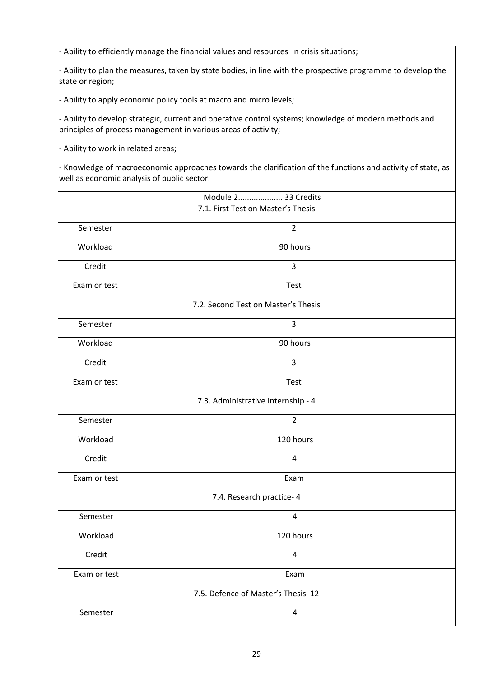- Ability to efficiently manage the financial values and resources in crisis situations;

- Ability to plan the measures, taken by state bodies, in line with the prospective programme to develop the state or region;

- Ability to apply economic policy tools at macro and micro levels;

- Ability to develop strategic, current and operative control systems; knowledge of modern methods and principles of process management in various areas of activity;

- Ability to work in related areas;

- Knowledge of macroeconomic approaches towards the clarification of the functions and activity of state, as well as economic analysis of public sector.

| Module 2 33 Credits                |                                     |  |
|------------------------------------|-------------------------------------|--|
| 7.1. First Test on Master's Thesis |                                     |  |
| Semester                           | $\overline{2}$                      |  |
| Workload                           | 90 hours                            |  |
| Credit                             | $\mathsf 3$                         |  |
| Exam or test                       | <b>Test</b>                         |  |
|                                    | 7.2. Second Test on Master's Thesis |  |
| Semester                           | 3                                   |  |
| Workload                           | 90 hours                            |  |
| Credit                             | 3                                   |  |
| Exam or test                       | <b>Test</b>                         |  |
|                                    | 7.3. Administrative Internship - 4  |  |
| Semester                           | $\overline{2}$                      |  |
| Workload                           | 120 hours                           |  |
| Credit                             | 4                                   |  |
| Exam or test                       | Exam                                |  |
| 7.4. Research practice- 4          |                                     |  |
| Semester                           | 4                                   |  |
| Workload                           | 120 hours                           |  |
| Credit                             | 4                                   |  |
| Exam or test                       | Exam                                |  |
|                                    | 7.5. Defence of Master's Thesis 12  |  |
| Semester                           | $\overline{4}$                      |  |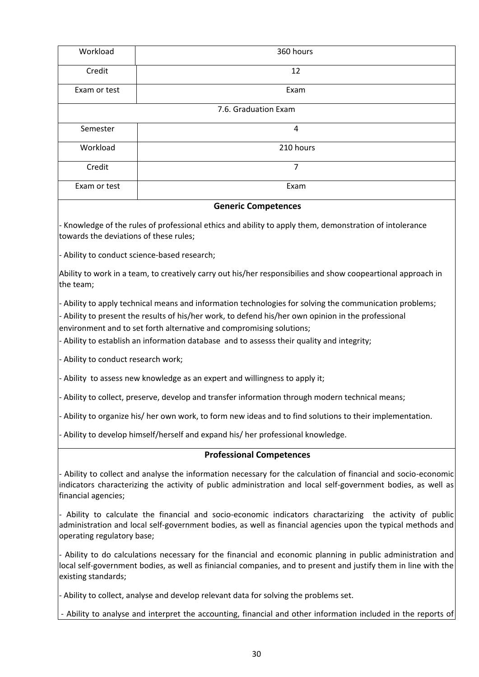| Workload                                                                                                  | 360 hours                                                                                                                                                                                                                                                                                                                                                                            |
|-----------------------------------------------------------------------------------------------------------|--------------------------------------------------------------------------------------------------------------------------------------------------------------------------------------------------------------------------------------------------------------------------------------------------------------------------------------------------------------------------------------|
| Credit                                                                                                    | 12                                                                                                                                                                                                                                                                                                                                                                                   |
| Exam or test                                                                                              | Exam                                                                                                                                                                                                                                                                                                                                                                                 |
|                                                                                                           | 7.6. Graduation Exam                                                                                                                                                                                                                                                                                                                                                                 |
| Semester                                                                                                  | 4                                                                                                                                                                                                                                                                                                                                                                                    |
| Workload                                                                                                  | 210 hours                                                                                                                                                                                                                                                                                                                                                                            |
| Credit                                                                                                    | 7                                                                                                                                                                                                                                                                                                                                                                                    |
| Exam or test                                                                                              | Exam                                                                                                                                                                                                                                                                                                                                                                                 |
|                                                                                                           | <b>Generic Competences</b>                                                                                                                                                                                                                                                                                                                                                           |
| towards the deviations of these rules;                                                                    | - Knowledge of the rules of professional ethics and ability to apply them, demonstration of intolerance                                                                                                                                                                                                                                                                              |
|                                                                                                           | - Ability to conduct science-based research;                                                                                                                                                                                                                                                                                                                                         |
| the team;                                                                                                 | Ability to work in a team, to creatively carry out his/her responsibilies and show coopeartional approach in                                                                                                                                                                                                                                                                         |
|                                                                                                           | - Ability to apply technical means and information technologies for solving the communication problems;<br>- Ability to present the results of his/her work, to defend his/her own opinion in the professional<br>environment and to set forth alternative and compromising solutions;<br>- Ability to establish an information database and to assesss their quality and integrity; |
| - Ability to conduct research work;                                                                       |                                                                                                                                                                                                                                                                                                                                                                                      |
| - Ability to assess new knowledge as an expert and willingness to apply it;                               |                                                                                                                                                                                                                                                                                                                                                                                      |
|                                                                                                           | - Ability to collect, preserve, develop and transfer information through modern technical means;                                                                                                                                                                                                                                                                                     |
| - Ability to organize his/ her own work, to form new ideas and to find solutions to their implementation. |                                                                                                                                                                                                                                                                                                                                                                                      |
| - Ability to develop himself/herself and expand his/ her professional knowledge.                          |                                                                                                                                                                                                                                                                                                                                                                                      |
|                                                                                                           | <b>Professional Competences</b>                                                                                                                                                                                                                                                                                                                                                      |
| financial agencies;                                                                                       | - Ability to collect and analyse the information necessary for the calculation of financial and socio-economic<br>indicators characterizing the activity of public administration and local self-government bodies, as well as                                                                                                                                                       |
|                                                                                                           | Ability to calculate the financial and socio-economic indicators charactarizing the activity of public                                                                                                                                                                                                                                                                               |

- Ability to calculate the financial and socio-economic indicators charactarizing the activity of public administration and local self-government bodies, as well as financial agencies upon the typical methods and operating regulatory base;

- Ability to do calculations necessary for the financial and economic planning in public administration and local self-government bodies, as well as finiancial companies, and to present and justify them in line with the existing standards;

- Ability to collect, analyse and develop relevant data for solving the problems set.

- Ability to analyse and interpret the accounting, financial and other information included in the reports of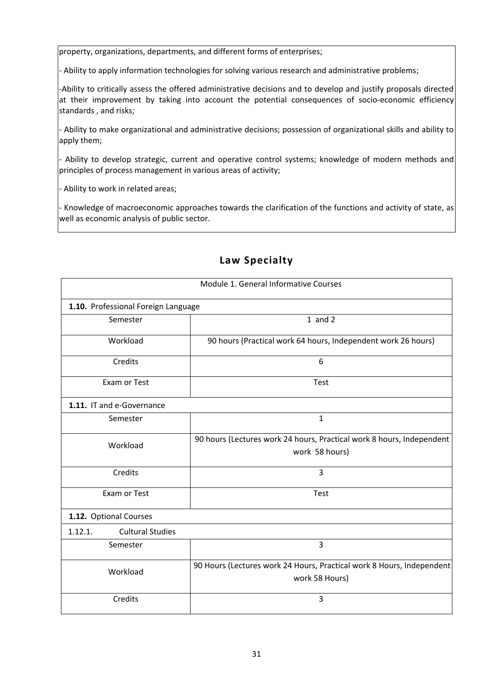property, organizations, departments, and different forms of enterprises;

- Ability to apply information technologies for solving various research and administrative problems;

-Ability to critically assess the offered administrative decisions and to develop and justify proposals directed at their improvement by taking into account the potential consequences of socio-economic efficiency standards , and risks;

- Ability to make organizational and administrative decisions; possession of organizational skills and ability to apply them;

- Ability to develop strategic, current and operative control systems; knowledge of modern methods and principles of process management in various areas of activity;

- Ability to work in related areas;

- Knowledge of macroeconomic approaches towards the clarification of the functions and activity of state, as well as economic analysis of public sector.

| Module 1. General Informative Courses |                                                                                         |
|---------------------------------------|-----------------------------------------------------------------------------------------|
| 1.10. Professional Foreign Language   |                                                                                         |
| Semester                              | $1$ and $2$                                                                             |
| Workload                              | 90 hours (Practical work 64 hours, Independent work 26 hours)                           |
| Credits                               | 6                                                                                       |
| Exam or Test                          | Test                                                                                    |
| 1.11. IT and e-Governance             |                                                                                         |
| Semester                              | $\mathbf{1}$                                                                            |
| Workload                              | 90 hours (Lectures work 24 hours, Practical work 8 hours, Independent<br>work 58 hours) |
| Credits                               | 3                                                                                       |
| Exam or Test                          | Test                                                                                    |
| 1.12. Optional Courses                |                                                                                         |
| 1.12.1.<br><b>Cultural Studies</b>    |                                                                                         |
| Semester                              | 3                                                                                       |
| Workload                              | 90 Hours (Lectures work 24 Hours, Practical work 8 Hours, Independent<br>work 58 Hours) |
| Credits                               | 3                                                                                       |

## **Law Specialty**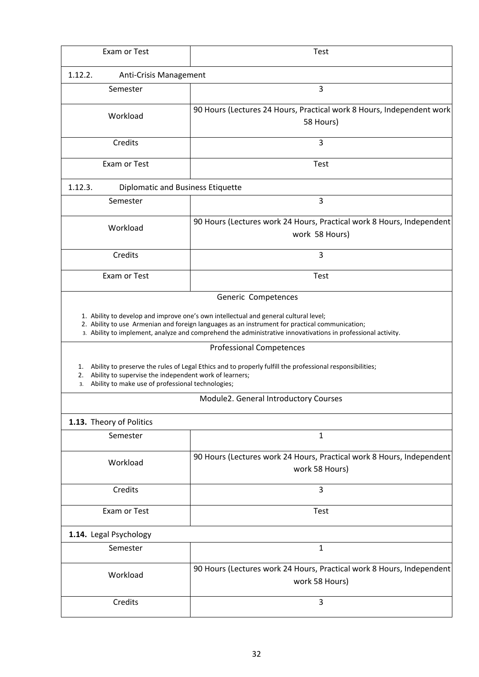| Exam or Test                                                                                                                  | <b>Test</b>                                                                                                                                                                                                    |
|-------------------------------------------------------------------------------------------------------------------------------|----------------------------------------------------------------------------------------------------------------------------------------------------------------------------------------------------------------|
| 1.12.2.<br>Anti-Crisis Management                                                                                             |                                                                                                                                                                                                                |
| Semester                                                                                                                      | 3                                                                                                                                                                                                              |
| Workload                                                                                                                      | 90 Hours (Lectures 24 Hours, Practical work 8 Hours, Independent work<br>58 Hours)                                                                                                                             |
| Credits                                                                                                                       | 3                                                                                                                                                                                                              |
| Exam or Test                                                                                                                  | <b>Test</b>                                                                                                                                                                                                    |
| 1.12.3.<br>Diplomatic and Business Etiquette                                                                                  |                                                                                                                                                                                                                |
| Semester                                                                                                                      | 3                                                                                                                                                                                                              |
| Workload                                                                                                                      | 90 Hours (Lectures work 24 Hours, Practical work 8 Hours, Independent<br>work 58 Hours)                                                                                                                        |
| Credits                                                                                                                       | 3                                                                                                                                                                                                              |
| Exam or Test                                                                                                                  | <b>Test</b>                                                                                                                                                                                                    |
|                                                                                                                               | Generic Competences<br>1. Ability to develop and improve one's own intellectual and general cultural level;                                                                                                    |
|                                                                                                                               | 2. Ability to use Armenian and foreign languages as an instrument for practical communication;<br>3. Ability to implement, analyze and comprehend the administrative innovativations in professional activity. |
|                                                                                                                               | <b>Professional Competences</b>                                                                                                                                                                                |
| 1.<br>Ability to supervise the independent work of learners;<br>2.<br>Ability to make use of professional technologies;<br>3. | Ability to preserve the rules of Legal Ethics and to properly fulfill the professional responsibilities;                                                                                                       |
|                                                                                                                               | Module2. General Introductory Courses                                                                                                                                                                          |
| 1.13. Theory of Politics                                                                                                      |                                                                                                                                                                                                                |
| Semester                                                                                                                      | 1                                                                                                                                                                                                              |
| Workload                                                                                                                      | 90 Hours (Lectures work 24 Hours, Practical work 8 Hours, Independent<br>work 58 Hours)                                                                                                                        |
| Credits                                                                                                                       | 3                                                                                                                                                                                                              |
| Exam or Test                                                                                                                  | <b>Test</b>                                                                                                                                                                                                    |
| 1.14. Legal Psychology                                                                                                        |                                                                                                                                                                                                                |
| Semester                                                                                                                      | 1                                                                                                                                                                                                              |
| Workload                                                                                                                      | 90 Hours (Lectures work 24 Hours, Practical work 8 Hours, Independent<br>work 58 Hours)                                                                                                                        |
| Credits                                                                                                                       | 3                                                                                                                                                                                                              |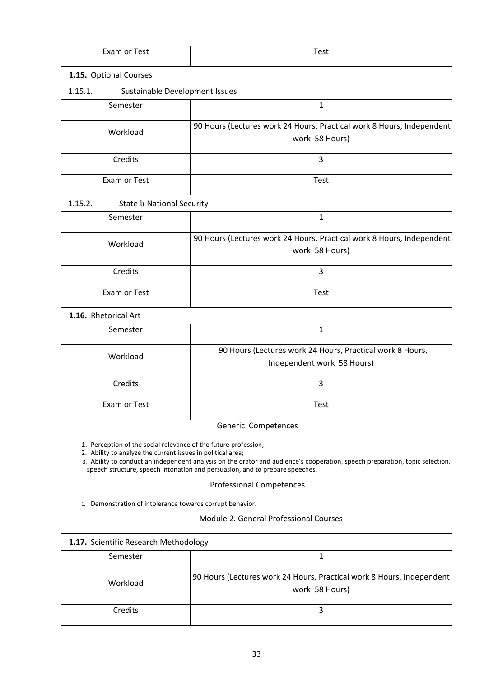| Exam or Test                                                                                                                                                                                                                                                                                                                                   | <b>Test</b>                                                                             |  |
|------------------------------------------------------------------------------------------------------------------------------------------------------------------------------------------------------------------------------------------------------------------------------------------------------------------------------------------------|-----------------------------------------------------------------------------------------|--|
| 1.15. Optional Courses                                                                                                                                                                                                                                                                                                                         |                                                                                         |  |
| 1.15.1.<br>Sustainable Development Issues                                                                                                                                                                                                                                                                                                      |                                                                                         |  |
| Semester                                                                                                                                                                                                                                                                                                                                       | 1                                                                                       |  |
| Workload                                                                                                                                                                                                                                                                                                                                       | 90 Hours (Lectures work 24 Hours, Practical work 8 Hours, Independent<br>work 58 Hours) |  |
| Credits                                                                                                                                                                                                                                                                                                                                        | 3                                                                                       |  |
| Exam or Test                                                                                                                                                                                                                                                                                                                                   | <b>Test</b>                                                                             |  |
| 1.15.2.<br>State <i>la</i> National Security                                                                                                                                                                                                                                                                                                   |                                                                                         |  |
| Semester                                                                                                                                                                                                                                                                                                                                       | $\mathbf{1}$                                                                            |  |
| Workload                                                                                                                                                                                                                                                                                                                                       | 90 Hours (Lectures work 24 Hours, Practical work 8 Hours, Independent<br>work 58 Hours) |  |
| Credits                                                                                                                                                                                                                                                                                                                                        | 3                                                                                       |  |
| Exam or Test                                                                                                                                                                                                                                                                                                                                   | <b>Test</b>                                                                             |  |
| 1.16. Rhetorical Art                                                                                                                                                                                                                                                                                                                           |                                                                                         |  |
| Semester                                                                                                                                                                                                                                                                                                                                       | $\mathbf{1}$                                                                            |  |
| Workload                                                                                                                                                                                                                                                                                                                                       | 90 Hours (Lectures work 24 Hours, Practical work 8 Hours,<br>Independent work 58 Hours) |  |
| Credits                                                                                                                                                                                                                                                                                                                                        | 3                                                                                       |  |
| Exam or Test                                                                                                                                                                                                                                                                                                                                   | <b>Test</b>                                                                             |  |
|                                                                                                                                                                                                                                                                                                                                                | Generic Competences                                                                     |  |
| 1. Perception of the social relevance of the future profession;<br>2. Ability to analyze the current issues in political area;<br>3. Ability to conduct an independent analysis on the orator and audience's cooperation, speech preparation, topic selection,<br>speech structure, speech intonation and persuasion, and to prepare speeches. |                                                                                         |  |
|                                                                                                                                                                                                                                                                                                                                                | <b>Professional Competences</b>                                                         |  |
| 1. Demonstration of intolerance towards corrupt behavior.                                                                                                                                                                                                                                                                                      |                                                                                         |  |
|                                                                                                                                                                                                                                                                                                                                                | Module 2. General Professional Courses                                                  |  |
| 1.17. Scientific Research Methodology                                                                                                                                                                                                                                                                                                          |                                                                                         |  |
| Semester                                                                                                                                                                                                                                                                                                                                       | 1                                                                                       |  |
| Workload                                                                                                                                                                                                                                                                                                                                       | 90 Hours (Lectures work 24 Hours, Practical work 8 Hours, Independent<br>work 58 Hours) |  |
| Credits                                                                                                                                                                                                                                                                                                                                        | 3                                                                                       |  |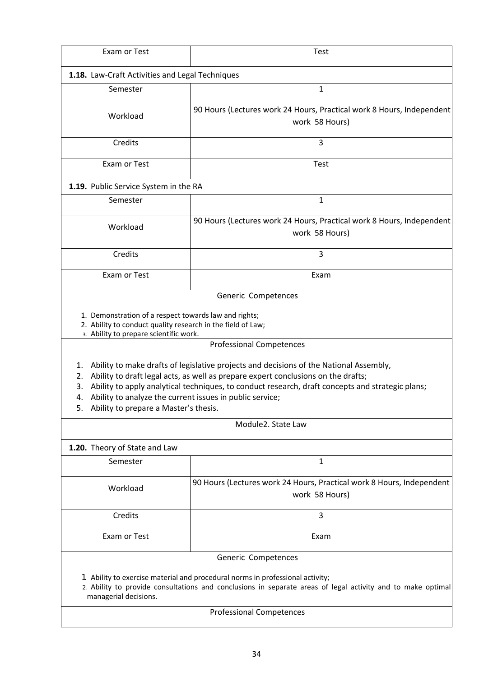| Exam or Test                                                                                                                                                           | <b>Test</b>                                                                                                                                                                                                                                                                                                        |
|------------------------------------------------------------------------------------------------------------------------------------------------------------------------|--------------------------------------------------------------------------------------------------------------------------------------------------------------------------------------------------------------------------------------------------------------------------------------------------------------------|
| 1.18. Law-Craft Activities and Legal Techniques                                                                                                                        |                                                                                                                                                                                                                                                                                                                    |
| Semester                                                                                                                                                               | $\mathbf{1}$                                                                                                                                                                                                                                                                                                       |
| Workload                                                                                                                                                               | 90 Hours (Lectures work 24 Hours, Practical work 8 Hours, Independent<br>work 58 Hours)                                                                                                                                                                                                                            |
| Credits                                                                                                                                                                | 3                                                                                                                                                                                                                                                                                                                  |
| Exam or Test                                                                                                                                                           | <b>Test</b>                                                                                                                                                                                                                                                                                                        |
| 1.19. Public Service System in the RA                                                                                                                                  |                                                                                                                                                                                                                                                                                                                    |
| Semester                                                                                                                                                               | $\mathbf{1}$                                                                                                                                                                                                                                                                                                       |
| Workload                                                                                                                                                               | 90 Hours (Lectures work 24 Hours, Practical work 8 Hours, Independent<br>work 58 Hours)                                                                                                                                                                                                                            |
| Credits                                                                                                                                                                | 3                                                                                                                                                                                                                                                                                                                  |
| Exam or Test                                                                                                                                                           | Exam                                                                                                                                                                                                                                                                                                               |
| 3. Ability to prepare scientific work.<br>1.<br>2.<br>3.<br>Ability to analyze the current issues in public service;<br>4.<br>5. Ability to prepare a Master's thesis. | <b>Professional Competences</b><br>Ability to make drafts of legislative projects and decisions of the National Assembly,<br>Ability to draft legal acts, as well as prepare expert conclusions on the drafts;<br>Ability to apply analytical techniques, to conduct research, draft concepts and strategic plans; |
|                                                                                                                                                                        | Module2. State Law                                                                                                                                                                                                                                                                                                 |
| 1.20. Theory of State and Law                                                                                                                                          |                                                                                                                                                                                                                                                                                                                    |
| Semester                                                                                                                                                               | 1                                                                                                                                                                                                                                                                                                                  |
| Workload                                                                                                                                                               | 90 Hours (Lectures work 24 Hours, Practical work 8 Hours, Independent<br>work 58 Hours)                                                                                                                                                                                                                            |
| Credits                                                                                                                                                                | 3                                                                                                                                                                                                                                                                                                                  |
| Exam or Test                                                                                                                                                           | Exam                                                                                                                                                                                                                                                                                                               |
|                                                                                                                                                                        | Generic Competences                                                                                                                                                                                                                                                                                                |
| managerial decisions.                                                                                                                                                  | 1. Ability to exercise material and procedural norms in professional activity;<br>2. Ability to provide consultations and conclusions in separate areas of legal activity and to make optimal                                                                                                                      |
|                                                                                                                                                                        | <b>Professional Competences</b>                                                                                                                                                                                                                                                                                    |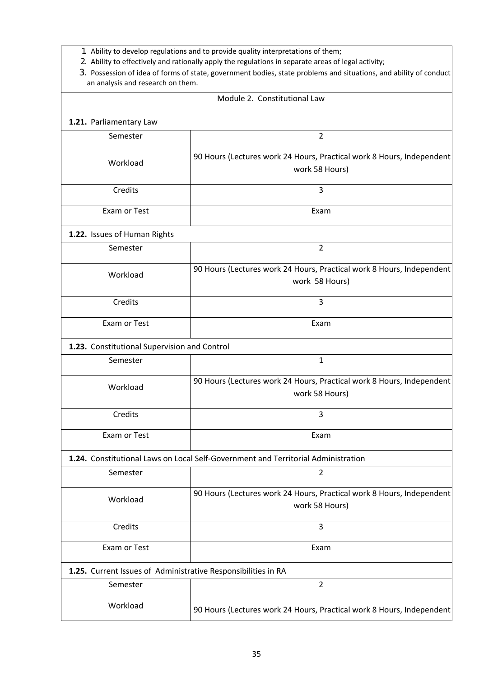- 1. Ability to develop regulations and to provide quality interpretations of them;
- 2. Ability to effectively and rationally apply the regulations in separate areas of legal activity;
- 3. Possession of idea of forms of state, government bodies, state problems and situations, and ability of conduct an analysis and research on them.

| Module 2. Constitutional Law                                                      |                                                                                         |  |
|-----------------------------------------------------------------------------------|-----------------------------------------------------------------------------------------|--|
| 1.21. Parliamentary Law                                                           |                                                                                         |  |
| Semester                                                                          | $\overline{2}$                                                                          |  |
| Workload                                                                          | 90 Hours (Lectures work 24 Hours, Practical work 8 Hours, Independent<br>work 58 Hours) |  |
| Credits                                                                           | 3                                                                                       |  |
| Exam or Test                                                                      | Exam                                                                                    |  |
| 1.22. Issues of Human Rights                                                      |                                                                                         |  |
| Semester                                                                          | $\overline{2}$                                                                          |  |
| Workload                                                                          | 90 Hours (Lectures work 24 Hours, Practical work 8 Hours, Independent<br>work 58 Hours) |  |
| Credits                                                                           | 3                                                                                       |  |
| Exam or Test                                                                      | Exam                                                                                    |  |
| 1.23. Constitutional Supervision and Control                                      |                                                                                         |  |
| Semester                                                                          | $\mathbf{1}$                                                                            |  |
| Workload                                                                          | 90 Hours (Lectures work 24 Hours, Practical work 8 Hours, Independent<br>work 58 Hours) |  |
| Credits                                                                           | 3                                                                                       |  |
| Exam or Test                                                                      | Exam                                                                                    |  |
| 1.24. Constitutional Laws on Local Self-Government and Territorial Administration |                                                                                         |  |
| Semester                                                                          | 2                                                                                       |  |
| Workload                                                                          | 90 Hours (Lectures work 24 Hours, Practical work 8 Hours, Independent<br>work 58 Hours) |  |
| Credits                                                                           | 3                                                                                       |  |
| Exam or Test                                                                      | Exam                                                                                    |  |
| 1.25. Current Issues of Administrative Responsibilities in RA                     |                                                                                         |  |
| Semester                                                                          | $\overline{2}$                                                                          |  |
| Workload                                                                          | 90 Hours (Lectures work 24 Hours, Practical work 8 Hours, Independent                   |  |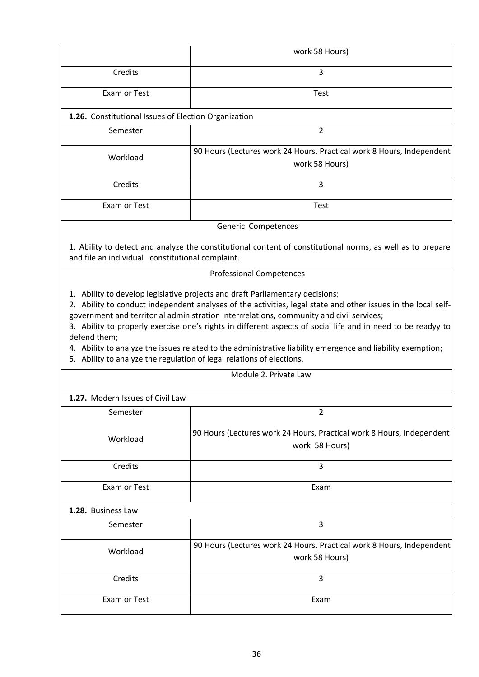|                                                                                       | work 58 Hours)                                                                                                                                                                                                              |
|---------------------------------------------------------------------------------------|-----------------------------------------------------------------------------------------------------------------------------------------------------------------------------------------------------------------------------|
| Credits                                                                               | 3                                                                                                                                                                                                                           |
| Exam or Test                                                                          | <b>Test</b>                                                                                                                                                                                                                 |
| 1.26. Constitutional Issues of Election Organization                                  |                                                                                                                                                                                                                             |
| Semester                                                                              | $\overline{2}$                                                                                                                                                                                                              |
| Workload                                                                              | 90 Hours (Lectures work 24 Hours, Practical work 8 Hours, Independent<br>work 58 Hours)                                                                                                                                     |
| Credits                                                                               | 3                                                                                                                                                                                                                           |
| Exam or Test                                                                          | Test                                                                                                                                                                                                                        |
|                                                                                       | Generic Competences                                                                                                                                                                                                         |
| and file an individual constitutional complaint.                                      | 1. Ability to detect and analyze the constitutional content of constitutional norms, as well as to prepare                                                                                                                  |
|                                                                                       | <b>Professional Competences</b>                                                                                                                                                                                             |
| defend them;<br>5. Ability to analyze the regulation of legal relations of elections. | 3. Ability to properly exercise one's rights in different aspects of social life and in need to be readyy to<br>4. Ability to analyze the issues related to the administrative liability emergence and liability exemption; |
|                                                                                       | Module 2. Private Law                                                                                                                                                                                                       |
| 1.27. Modern Issues of Civil Law                                                      |                                                                                                                                                                                                                             |
| Semester                                                                              | 2                                                                                                                                                                                                                           |
| Workload                                                                              | 90 Hours (Lectures work 24 Hours, Practical work 8 Hours, Independent<br>work 58 Hours)                                                                                                                                     |
| Credits                                                                               | 3                                                                                                                                                                                                                           |
| Exam or Test                                                                          | Exam                                                                                                                                                                                                                        |
|                                                                                       |                                                                                                                                                                                                                             |
| 1.28. Business Law                                                                    |                                                                                                                                                                                                                             |
| Semester                                                                              | 3                                                                                                                                                                                                                           |
| Workload                                                                              | 90 Hours (Lectures work 24 Hours, Practical work 8 Hours, Independent<br>work 58 Hours)                                                                                                                                     |
| Credits                                                                               | 3                                                                                                                                                                                                                           |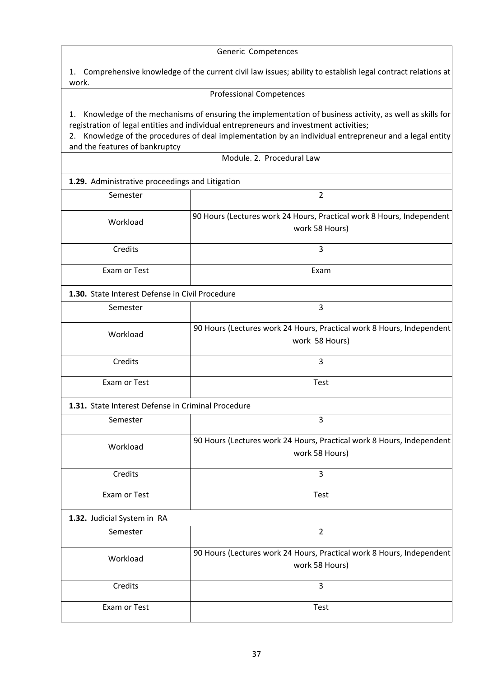Generic Competences

1. Comprehensive knowledge of the current civil law issues; ability to establish legal contract relations at work.

#### Professional Competences

1. Knowledge of the mechanisms of ensuring the implementation of business activity, as well as skills for registration of legal entities and individual entrepreneurs and investment activities;

2. Knowledge of the procedures of deal implementation by an individual entrepreneur and a legal entity and the features of bankruptcy

Module. 2. Procedural Law

**1.29.** Administrative proceedings and Litigation

| Semester                                           | $\overline{2}$                                                                          |  |
|----------------------------------------------------|-----------------------------------------------------------------------------------------|--|
| Workload                                           | 90 Hours (Lectures work 24 Hours, Practical work 8 Hours, Independent<br>work 58 Hours) |  |
| Credits                                            | 3                                                                                       |  |
| Exam or Test                                       | Exam                                                                                    |  |
| 1.30. State Interest Defense in Civil Procedure    |                                                                                         |  |
| Semester                                           | 3                                                                                       |  |
| Workload                                           | 90 Hours (Lectures work 24 Hours, Practical work 8 Hours, Independent<br>work 58 Hours) |  |
| Credits                                            | 3                                                                                       |  |
| Exam or Test                                       | <b>Test</b>                                                                             |  |
| 1.31. State Interest Defense in Criminal Procedure |                                                                                         |  |
| Semester                                           | 3                                                                                       |  |
| Workload                                           | 90 Hours (Lectures work 24 Hours, Practical work 8 Hours, Independent<br>work 58 Hours) |  |
| Credits                                            | 3                                                                                       |  |
| Exam or Test                                       | Test                                                                                    |  |
| 1.32. Judicial System in RA                        |                                                                                         |  |
| Semester                                           | $\overline{2}$                                                                          |  |
| Workload                                           | 90 Hours (Lectures work 24 Hours, Practical work 8 Hours, Independent<br>work 58 Hours) |  |
| Credits                                            | 3                                                                                       |  |
| Exam or Test                                       | Test                                                                                    |  |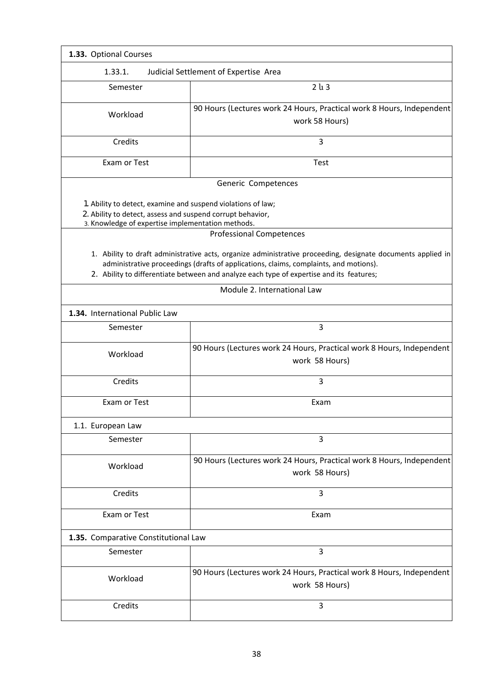| 1.33. Optional Courses                                                                                                                                                          |                                                                                                                                                                                                                                                                                                                                 |  |
|---------------------------------------------------------------------------------------------------------------------------------------------------------------------------------|---------------------------------------------------------------------------------------------------------------------------------------------------------------------------------------------------------------------------------------------------------------------------------------------------------------------------------|--|
| 1.33.1.<br>Judicial Settlement of Expertise Area                                                                                                                                |                                                                                                                                                                                                                                                                                                                                 |  |
| Semester                                                                                                                                                                        | 2 <sub>u</sub> 3                                                                                                                                                                                                                                                                                                                |  |
| Workload                                                                                                                                                                        | 90 Hours (Lectures work 24 Hours, Practical work 8 Hours, Independent<br>work 58 Hours)                                                                                                                                                                                                                                         |  |
| Credits                                                                                                                                                                         | 3                                                                                                                                                                                                                                                                                                                               |  |
| Exam or Test                                                                                                                                                                    | <b>Test</b>                                                                                                                                                                                                                                                                                                                     |  |
| 1. Ability to detect, examine and suspend violations of law;<br>2. Ability to detect, assess and suspend corrupt behavior,<br>3. Knowledge of expertise implementation methods. | Generic Competences<br><b>Professional Competences</b>                                                                                                                                                                                                                                                                          |  |
|                                                                                                                                                                                 | 1. Ability to draft administrative acts, organize administrative proceeding, designate documents applied in<br>administrative proceedings (drafts of applications, claims, complaints, and motions).<br>2. Ability to differentiate between and analyze each type of expertise and its features;<br>Module 2. International Law |  |
| 1.34. International Public Law                                                                                                                                                  |                                                                                                                                                                                                                                                                                                                                 |  |
| Semester                                                                                                                                                                        | 3                                                                                                                                                                                                                                                                                                                               |  |
| Workload                                                                                                                                                                        | 90 Hours (Lectures work 24 Hours, Practical work 8 Hours, Independent<br>work 58 Hours)                                                                                                                                                                                                                                         |  |
| Credits                                                                                                                                                                         | 3                                                                                                                                                                                                                                                                                                                               |  |
| Exam or Test                                                                                                                                                                    | Exam                                                                                                                                                                                                                                                                                                                            |  |
| 1.1. European Law                                                                                                                                                               |                                                                                                                                                                                                                                                                                                                                 |  |
| Semester                                                                                                                                                                        | 3                                                                                                                                                                                                                                                                                                                               |  |
| Workload                                                                                                                                                                        | 90 Hours (Lectures work 24 Hours, Practical work 8 Hours, Independent<br>work 58 Hours)                                                                                                                                                                                                                                         |  |
| Credits                                                                                                                                                                         | 3                                                                                                                                                                                                                                                                                                                               |  |
| Exam or Test                                                                                                                                                                    | Exam                                                                                                                                                                                                                                                                                                                            |  |
| 1.35. Comparative Constitutional Law                                                                                                                                            |                                                                                                                                                                                                                                                                                                                                 |  |
| Semester                                                                                                                                                                        | 3                                                                                                                                                                                                                                                                                                                               |  |
| Workload                                                                                                                                                                        | 90 Hours (Lectures work 24 Hours, Practical work 8 Hours, Independent<br>work 58 Hours)                                                                                                                                                                                                                                         |  |
| Credits                                                                                                                                                                         | 3                                                                                                                                                                                                                                                                                                                               |  |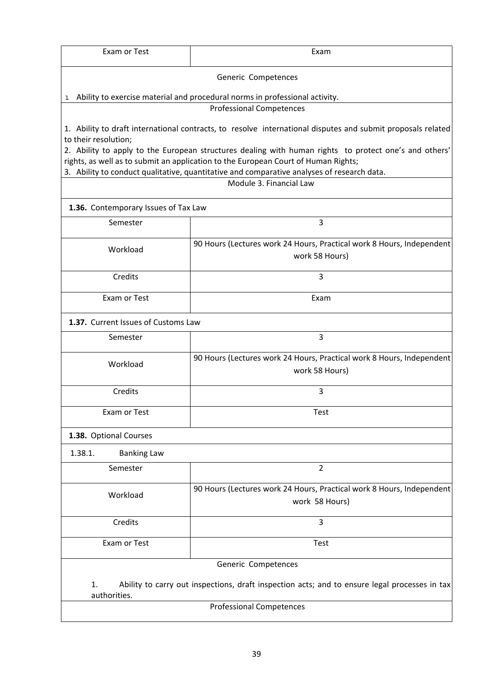| Exam or Test                                                                                                                        | Exam                                                                                                                                                                                                                                                                                      |  |
|-------------------------------------------------------------------------------------------------------------------------------------|-------------------------------------------------------------------------------------------------------------------------------------------------------------------------------------------------------------------------------------------------------------------------------------------|--|
| Generic Competences                                                                                                                 |                                                                                                                                                                                                                                                                                           |  |
|                                                                                                                                     | Ability to exercise material and procedural norms in professional activity.                                                                                                                                                                                                               |  |
|                                                                                                                                     | <b>Professional Competences</b>                                                                                                                                                                                                                                                           |  |
| 1. Ability to draft international contracts, to resolve international disputes and submit proposals related<br>to their resolution; |                                                                                                                                                                                                                                                                                           |  |
|                                                                                                                                     | 2. Ability to apply to the European structures dealing with human rights to protect one's and others'<br>rights, as well as to submit an application to the European Court of Human Rights;<br>3. Ability to conduct qualitative, quantitative and comparative analyses of research data. |  |
|                                                                                                                                     | Module 3. Financial Law                                                                                                                                                                                                                                                                   |  |
| 1.36. Contemporary Issues of Tax Law                                                                                                |                                                                                                                                                                                                                                                                                           |  |
| Semester                                                                                                                            | 3                                                                                                                                                                                                                                                                                         |  |
| Workload                                                                                                                            | 90 Hours (Lectures work 24 Hours, Practical work 8 Hours, Independent<br>work 58 Hours)                                                                                                                                                                                                   |  |
| Credits                                                                                                                             | 3                                                                                                                                                                                                                                                                                         |  |
| Exam or Test                                                                                                                        | Exam                                                                                                                                                                                                                                                                                      |  |
| 1.37. Current Issues of Customs Law                                                                                                 |                                                                                                                                                                                                                                                                                           |  |
| Semester                                                                                                                            | 3                                                                                                                                                                                                                                                                                         |  |
| Workload                                                                                                                            | 90 Hours (Lectures work 24 Hours, Practical work 8 Hours, Independent<br>work 58 Hours)                                                                                                                                                                                                   |  |
| Credits                                                                                                                             | 3                                                                                                                                                                                                                                                                                         |  |
| Exam or Test                                                                                                                        | <b>Test</b>                                                                                                                                                                                                                                                                               |  |
| 1.38. Optional Courses                                                                                                              |                                                                                                                                                                                                                                                                                           |  |
| 1.38.1.<br><b>Banking Law</b>                                                                                                       |                                                                                                                                                                                                                                                                                           |  |
| Semester                                                                                                                            | 2                                                                                                                                                                                                                                                                                         |  |
| Workload                                                                                                                            | 90 Hours (Lectures work 24 Hours, Practical work 8 Hours, Independent<br>work 58 Hours)                                                                                                                                                                                                   |  |
| Credits                                                                                                                             | 3                                                                                                                                                                                                                                                                                         |  |
| Exam or Test                                                                                                                        | <b>Test</b>                                                                                                                                                                                                                                                                               |  |
| Generic Competences                                                                                                                 |                                                                                                                                                                                                                                                                                           |  |
| 1.<br>Ability to carry out inspections, draft inspection acts; and to ensure legal processes in tax<br>authorities.                 |                                                                                                                                                                                                                                                                                           |  |
| <b>Professional Competences</b>                                                                                                     |                                                                                                                                                                                                                                                                                           |  |
|                                                                                                                                     |                                                                                                                                                                                                                                                                                           |  |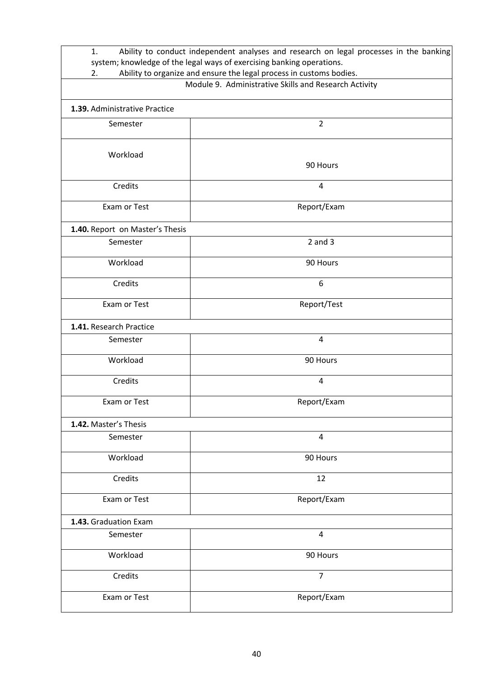| Ability to conduct independent analyses and research on legal processes in the banking<br>1.                                       |                |
|------------------------------------------------------------------------------------------------------------------------------------|----------------|
| system; knowledge of the legal ways of exercising banking operations.                                                              |                |
| Ability to organize and ensure the legal process in customs bodies.<br>2.<br>Module 9. Administrative Skills and Research Activity |                |
|                                                                                                                                    |                |
| 1.39. Administrative Practice                                                                                                      |                |
| Semester                                                                                                                           | $\overline{2}$ |
| Workload                                                                                                                           |                |
|                                                                                                                                    | 90 Hours       |
| Credits                                                                                                                            | 4              |
| Exam or Test                                                                                                                       | Report/Exam    |
| 1.40. Report on Master's Thesis                                                                                                    |                |
| Semester                                                                                                                           | $2$ and $3$    |
| Workload                                                                                                                           | 90 Hours       |
| Credits                                                                                                                            | 6              |
| Exam or Test                                                                                                                       | Report/Test    |
| 1.41. Research Practice                                                                                                            |                |
| Semester                                                                                                                           | 4              |
| Workload                                                                                                                           | 90 Hours       |
| Credits                                                                                                                            | $\overline{4}$ |
| Exam or Test                                                                                                                       | Report/Exam    |
| 1.42. Master's Thesis                                                                                                              |                |
| Semester                                                                                                                           | 4              |
| Workload                                                                                                                           | 90 Hours       |
| Credits                                                                                                                            | 12             |
| Exam or Test                                                                                                                       | Report/Exam    |
| 1.43. Graduation Exam                                                                                                              |                |
| Semester                                                                                                                           | 4              |
| Workload                                                                                                                           | 90 Hours       |
| Credits                                                                                                                            | 7              |
| Exam or Test                                                                                                                       | Report/Exam    |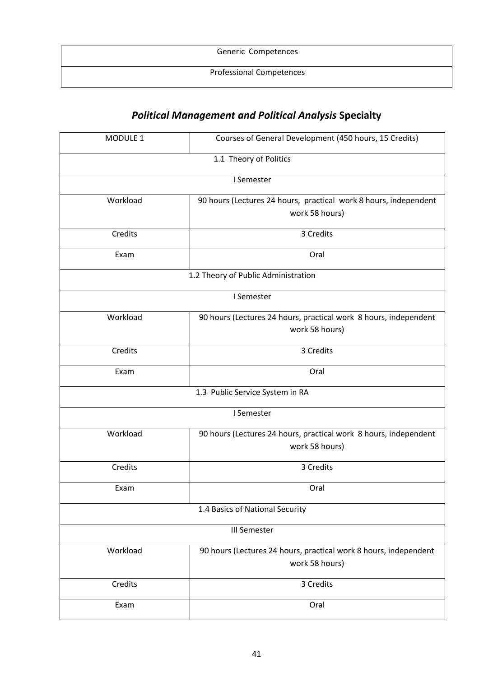| Generic Competences             |  |
|---------------------------------|--|
| <b>Professional Competences</b> |  |

# *Political Management and Political Analysis* **Specialty**

| MODULE 1                            | Courses of General Development (450 hours, 15 Credits)                             |  |
|-------------------------------------|------------------------------------------------------------------------------------|--|
| 1.1 Theory of Politics              |                                                                                    |  |
|                                     | I Semester                                                                         |  |
| Workload                            | 90 hours (Lectures 24 hours, practical work 8 hours, independent<br>work 58 hours) |  |
| Credits                             | 3 Credits                                                                          |  |
| Exam                                | Oral                                                                               |  |
| 1.2 Theory of Public Administration |                                                                                    |  |
| I Semester                          |                                                                                    |  |
| Workload                            | 90 hours (Lectures 24 hours, practical work 8 hours, independent<br>work 58 hours) |  |
| Credits                             | 3 Credits                                                                          |  |
| Exam                                | Oral                                                                               |  |
| 1.3 Public Service System in RA     |                                                                                    |  |
| I Semester                          |                                                                                    |  |
| Workload                            | 90 hours (Lectures 24 hours, practical work 8 hours, independent<br>work 58 hours) |  |
| Credits                             | 3 Credits                                                                          |  |
| Exam                                | Oral                                                                               |  |
|                                     | 1.4 Basics of National Security                                                    |  |
| <b>III Semester</b>                 |                                                                                    |  |
| Workload                            | 90 hours (Lectures 24 hours, practical work 8 hours, independent<br>work 58 hours) |  |
| Credits                             | 3 Credits                                                                          |  |
| Exam                                | Oral                                                                               |  |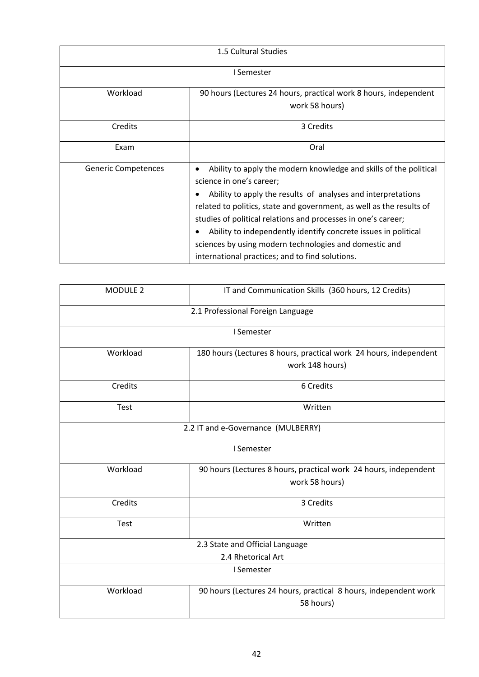| 1.5 Cultural Studies       |                                                                                                                                                                                                                                                                                                                                                                                                                                                                                                    |
|----------------------------|----------------------------------------------------------------------------------------------------------------------------------------------------------------------------------------------------------------------------------------------------------------------------------------------------------------------------------------------------------------------------------------------------------------------------------------------------------------------------------------------------|
| I Semester                 |                                                                                                                                                                                                                                                                                                                                                                                                                                                                                                    |
| Workload                   | 90 hours (Lectures 24 hours, practical work 8 hours, independent<br>work 58 hours)                                                                                                                                                                                                                                                                                                                                                                                                                 |
| Credits                    | 3 Credits                                                                                                                                                                                                                                                                                                                                                                                                                                                                                          |
| Exam                       | Oral                                                                                                                                                                                                                                                                                                                                                                                                                                                                                               |
| <b>Generic Competences</b> | Ability to apply the modern knowledge and skills of the political<br>$\bullet$<br>science in one's career;<br>Ability to apply the results of analyses and interpretations<br>related to politics, state and government, as well as the results of<br>studies of political relations and processes in one's career;<br>Ability to independently identify concrete issues in political<br>sciences by using modern technologies and domestic and<br>international practices; and to find solutions. |

| MODULE 2                           | IT and Communication Skills (360 hours, 12 Credits)                                  |  |
|------------------------------------|--------------------------------------------------------------------------------------|--|
|                                    | 2.1 Professional Foreign Language                                                    |  |
|                                    | I Semester                                                                           |  |
| Workload                           | 180 hours (Lectures 8 hours, practical work 24 hours, independent<br>work 148 hours) |  |
| Credits                            | 6 Credits                                                                            |  |
| <b>Test</b>                        | Written                                                                              |  |
| 2.2 IT and e-Governance (MULBERRY) |                                                                                      |  |
| I Semester                         |                                                                                      |  |
| Workload                           | 90 hours (Lectures 8 hours, practical work 24 hours, independent<br>work 58 hours)   |  |
| Credits                            | 3 Credits                                                                            |  |
| <b>Test</b>                        | Written                                                                              |  |
| 2.3 State and Official Language    |                                                                                      |  |
| 2.4 Rhetorical Art                 |                                                                                      |  |
| I Semester                         |                                                                                      |  |
| Workload                           | 90 hours (Lectures 24 hours, practical 8 hours, independent work<br>58 hours)        |  |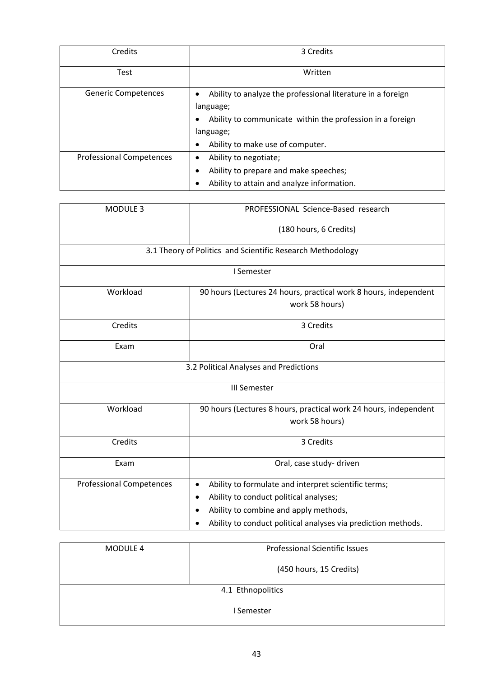| Credits                         | 3 Credits                                                                                                                                                                                                     |
|---------------------------------|---------------------------------------------------------------------------------------------------------------------------------------------------------------------------------------------------------------|
| <b>Test</b>                     | Written                                                                                                                                                                                                       |
| <b>Generic Competences</b>      | Ability to analyze the professional literature in a foreign<br>٠<br>language;<br>Ability to communicate within the profession in a foreign<br>$\bullet$<br>language;<br>Ability to make use of computer.<br>٠ |
| <b>Professional Competences</b> | Ability to negotiate;<br>٠<br>Ability to prepare and make speeches;<br>$\bullet$<br>Ability to attain and analyze information.<br>٠                                                                           |

| MODULE 3                                                   | PROFESSIONAL Science-Based research                               |  |
|------------------------------------------------------------|-------------------------------------------------------------------|--|
|                                                            | (180 hours, 6 Credits)                                            |  |
| 3.1 Theory of Politics and Scientific Research Methodology |                                                                   |  |
|                                                            | I Semester                                                        |  |
| Workload                                                   | 90 hours (Lectures 24 hours, practical work 8 hours, independent  |  |
|                                                            | work 58 hours)                                                    |  |
| Credits                                                    | 3 Credits                                                         |  |
| Exam                                                       | Oral                                                              |  |
| 3.2 Political Analyses and Predictions                     |                                                                   |  |
| <b>III Semester</b>                                        |                                                                   |  |
| Workload                                                   | 90 hours (Lectures 8 hours, practical work 24 hours, independent  |  |
|                                                            | work 58 hours)                                                    |  |
| Credits                                                    | 3 Credits                                                         |  |
| Exam                                                       | Oral, case study- driven                                          |  |
| <b>Professional Competences</b>                            | Ability to formulate and interpret scientific terms;<br>$\bullet$ |  |
|                                                            | Ability to conduct political analyses;                            |  |
|                                                            | Ability to combine and apply methods,                             |  |
|                                                            | Ability to conduct political analyses via prediction methods.     |  |

| <b>MODULE 4</b>   | <b>Professional Scientific Issues</b> |
|-------------------|---------------------------------------|
|                   | (450 hours, 15 Credits)               |
| 4.1 Ethnopolitics |                                       |
| I Semester        |                                       |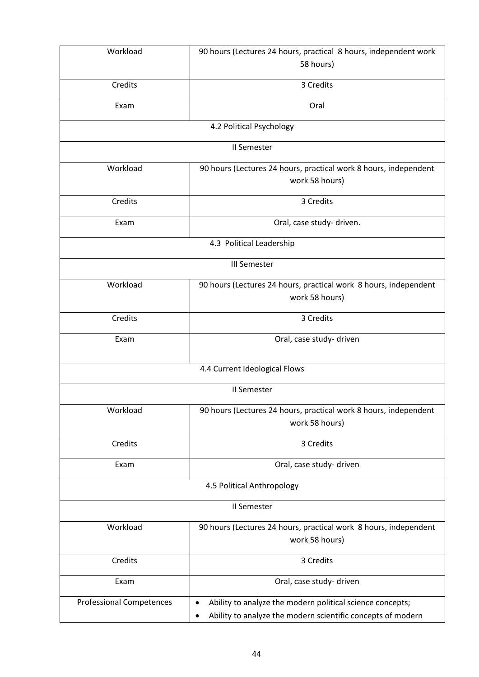| Workload                        | 90 hours (Lectures 24 hours, practical 8 hours, independent work         |  |
|---------------------------------|--------------------------------------------------------------------------|--|
|                                 | 58 hours)                                                                |  |
| Credits                         | 3 Credits                                                                |  |
| Exam                            | Oral                                                                     |  |
|                                 |                                                                          |  |
|                                 | 4.2 Political Psychology                                                 |  |
|                                 | II Semester                                                              |  |
| Workload                        | 90 hours (Lectures 24 hours, practical work 8 hours, independent         |  |
|                                 | work 58 hours)                                                           |  |
| Credits                         | 3 Credits                                                                |  |
| Exam                            |                                                                          |  |
|                                 | Oral, case study- driven.                                                |  |
| 4.3 Political Leadership        |                                                                          |  |
| <b>III Semester</b>             |                                                                          |  |
| Workload                        | 90 hours (Lectures 24 hours, practical work 8 hours, independent         |  |
|                                 | work 58 hours)                                                           |  |
| Credits                         | 3 Credits                                                                |  |
|                                 |                                                                          |  |
| Exam                            | Oral, case study- driven                                                 |  |
|                                 | 4.4 Current Ideological Flows                                            |  |
| II Semester                     |                                                                          |  |
| Workload                        | 90 hours (Lectures 24 hours, practical work 8 hours, independent         |  |
|                                 | work 58 hours)                                                           |  |
| Credits                         | 3 Credits                                                                |  |
|                                 |                                                                          |  |
| Exam                            | Oral, case study- driven                                                 |  |
| 4.5 Political Anthropology      |                                                                          |  |
| II Semester                     |                                                                          |  |
| Workload                        | 90 hours (Lectures 24 hours, practical work 8 hours, independent         |  |
|                                 | work 58 hours)                                                           |  |
| Credits                         | 3 Credits                                                                |  |
| Exam                            | Oral, case study- driven                                                 |  |
| <b>Professional Competences</b> | Ability to analyze the modern political science concepts;<br>$\bullet$   |  |
|                                 | Ability to analyze the modern scientific concepts of modern<br>$\bullet$ |  |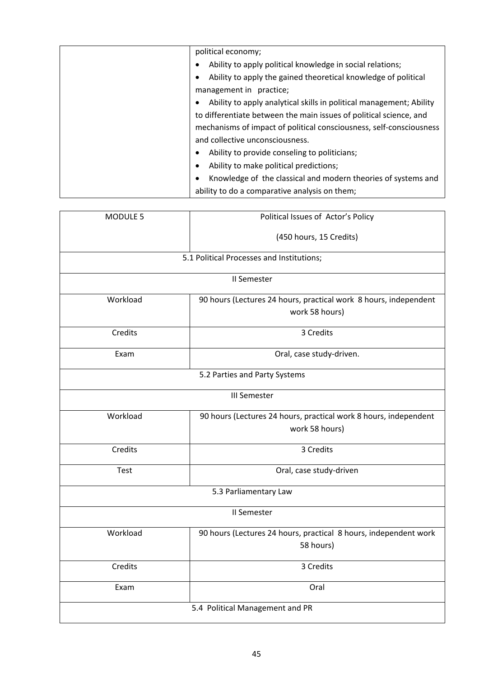| political economy;                                                  |
|---------------------------------------------------------------------|
| Ability to apply political knowledge in social relations;           |
| Ability to apply the gained theoretical knowledge of political      |
| management in practice;                                             |
| Ability to apply analytical skills in political management; Ability |
| to differentiate between the main issues of political science, and  |
| mechanisms of impact of political consciousness, self-consciousness |
| and collective unconsciousness.                                     |
| Ability to provide conseling to politicians;                        |
| Ability to make political predictions;<br>٠                         |
| Knowledge of the classical and modern theories of systems and       |
| ability to do a comparative analysis on them;                       |

| MODULE 5                        | Political Issues of Actor's Policy                                                 |
|---------------------------------|------------------------------------------------------------------------------------|
|                                 | (450 hours, 15 Credits)                                                            |
|                                 | 5.1 Political Processes and Institutions;                                          |
|                                 | II Semester                                                                        |
| Workload                        | 90 hours (Lectures 24 hours, practical work 8 hours, independent<br>work 58 hours) |
| Credits                         | 3 Credits                                                                          |
| Exam                            | Oral, case study-driven.                                                           |
|                                 | 5.2 Parties and Party Systems                                                      |
| <b>III Semester</b>             |                                                                                    |
| Workload                        | 90 hours (Lectures 24 hours, practical work 8 hours, independent<br>work 58 hours) |
| Credits                         | 3 Credits                                                                          |
| <b>Test</b>                     | Oral, case study-driven                                                            |
| 5.3 Parliamentary Law           |                                                                                    |
| II Semester                     |                                                                                    |
| Workload                        | 90 hours (Lectures 24 hours, practical 8 hours, independent work<br>58 hours)      |
| Credits                         | 3 Credits                                                                          |
| Exam                            | Oral                                                                               |
| 5.4 Political Management and PR |                                                                                    |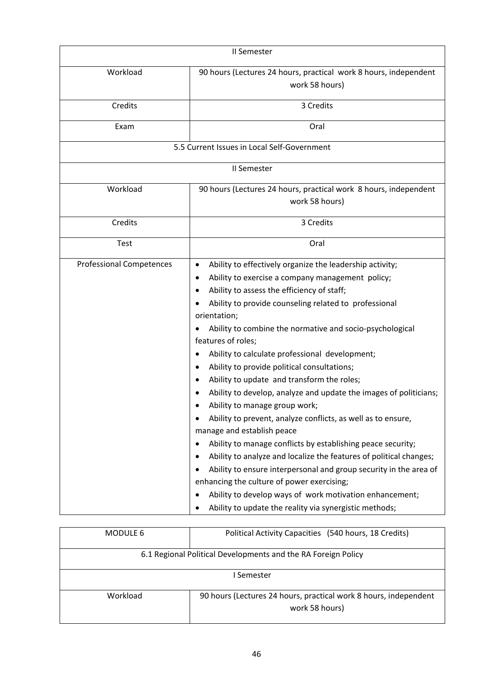| II Semester                     |                                                                                                                                                                                                                                                                                                                                                                                                                                                                                                                                                                                                                                                                                                                                                                                                                                                                                                                                                                                                                                                                                                                          |
|---------------------------------|--------------------------------------------------------------------------------------------------------------------------------------------------------------------------------------------------------------------------------------------------------------------------------------------------------------------------------------------------------------------------------------------------------------------------------------------------------------------------------------------------------------------------------------------------------------------------------------------------------------------------------------------------------------------------------------------------------------------------------------------------------------------------------------------------------------------------------------------------------------------------------------------------------------------------------------------------------------------------------------------------------------------------------------------------------------------------------------------------------------------------|
| Workload                        | 90 hours (Lectures 24 hours, practical work 8 hours, independent<br>work 58 hours)                                                                                                                                                                                                                                                                                                                                                                                                                                                                                                                                                                                                                                                                                                                                                                                                                                                                                                                                                                                                                                       |
| Credits                         | 3 Credits                                                                                                                                                                                                                                                                                                                                                                                                                                                                                                                                                                                                                                                                                                                                                                                                                                                                                                                                                                                                                                                                                                                |
| Exam                            | Oral                                                                                                                                                                                                                                                                                                                                                                                                                                                                                                                                                                                                                                                                                                                                                                                                                                                                                                                                                                                                                                                                                                                     |
|                                 | 5.5 Current Issues in Local Self-Government                                                                                                                                                                                                                                                                                                                                                                                                                                                                                                                                                                                                                                                                                                                                                                                                                                                                                                                                                                                                                                                                              |
|                                 | II Semester                                                                                                                                                                                                                                                                                                                                                                                                                                                                                                                                                                                                                                                                                                                                                                                                                                                                                                                                                                                                                                                                                                              |
| Workload                        | 90 hours (Lectures 24 hours, practical work 8 hours, independent<br>work 58 hours)                                                                                                                                                                                                                                                                                                                                                                                                                                                                                                                                                                                                                                                                                                                                                                                                                                                                                                                                                                                                                                       |
| Credits                         | 3 Credits                                                                                                                                                                                                                                                                                                                                                                                                                                                                                                                                                                                                                                                                                                                                                                                                                                                                                                                                                                                                                                                                                                                |
| <b>Test</b>                     | Oral                                                                                                                                                                                                                                                                                                                                                                                                                                                                                                                                                                                                                                                                                                                                                                                                                                                                                                                                                                                                                                                                                                                     |
| <b>Professional Competences</b> | Ability to effectively organize the leadership activity;<br>$\bullet$<br>Ability to exercise a company management policy;<br>٠<br>Ability to assess the efficiency of staff;<br>٠<br>Ability to provide counseling related to professional<br>orientation;<br>Ability to combine the normative and socio-psychological<br>features of roles;<br>Ability to calculate professional development;<br>$\bullet$<br>Ability to provide political consultations;<br>Ability to update and transform the roles;<br>٠<br>Ability to develop, analyze and update the images of politicians;<br>Ability to manage group work;<br>Ability to prevent, analyze conflicts, as well as to ensure,<br>manage and establish peace<br>Ability to manage conflicts by establishing peace security;<br>$\bullet$<br>Ability to analyze and localize the features of political changes;<br>Ability to ensure interpersonal and group security in the area of<br>enhancing the culture of power exercising;<br>Ability to develop ways of work motivation enhancement;<br>$\bullet$<br>Ability to update the reality via synergistic methods; |

| MODULE 6                                                      | Political Activity Capacities (540 hours, 18 Credits)            |  |
|---------------------------------------------------------------|------------------------------------------------------------------|--|
| 6.1 Regional Political Developments and the RA Foreign Policy |                                                                  |  |
|                                                               |                                                                  |  |
|                                                               |                                                                  |  |
| I Semester                                                    |                                                                  |  |
|                                                               |                                                                  |  |
| Workload                                                      | 90 hours (Lectures 24 hours, practical work 8 hours, independent |  |
|                                                               |                                                                  |  |
|                                                               | work 58 hours)                                                   |  |
|                                                               |                                                                  |  |
|                                                               |                                                                  |  |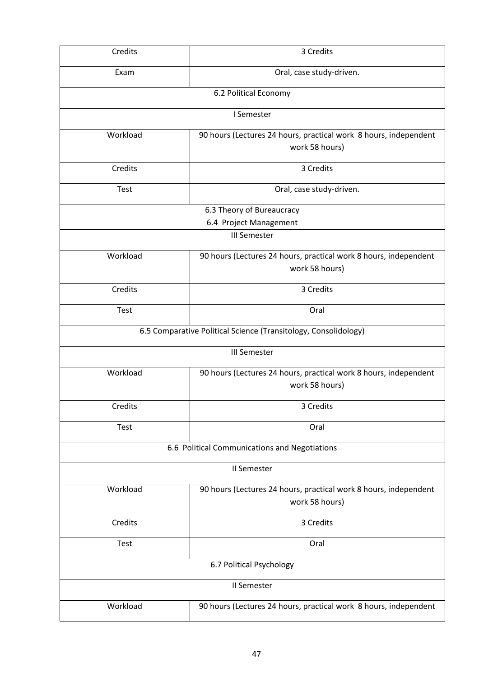| Credits                                                         | 3 Credits                                                        |  |
|-----------------------------------------------------------------|------------------------------------------------------------------|--|
| Exam                                                            | Oral, case study-driven.                                         |  |
|                                                                 | 6.2 Political Economy                                            |  |
|                                                                 | I Semester                                                       |  |
| Workload                                                        | 90 hours (Lectures 24 hours, practical work 8 hours, independent |  |
|                                                                 | work 58 hours)                                                   |  |
| Credits                                                         | 3 Credits                                                        |  |
| <b>Test</b>                                                     | Oral, case study-driven.                                         |  |
|                                                                 | 6.3 Theory of Bureaucracy                                        |  |
|                                                                 | 6.4 Project Management                                           |  |
|                                                                 | <b>III Semester</b>                                              |  |
| Workload                                                        | 90 hours (Lectures 24 hours, practical work 8 hours, independent |  |
|                                                                 | work 58 hours)                                                   |  |
| Credits                                                         | 3 Credits                                                        |  |
| Test                                                            | Oral                                                             |  |
| 6.5 Comparative Political Science (Transitology, Consolidology) |                                                                  |  |
|                                                                 | <b>III Semester</b>                                              |  |
| Workload                                                        | 90 hours (Lectures 24 hours, practical work 8 hours, independent |  |
|                                                                 | work 58 hours)                                                   |  |
| Credits                                                         | 3 Credits                                                        |  |
| Test                                                            | Oral                                                             |  |
| 6.6 Political Communications and Negotiations                   |                                                                  |  |
| II Semester                                                     |                                                                  |  |
| Workload                                                        | 90 hours (Lectures 24 hours, practical work 8 hours, independent |  |
|                                                                 | work 58 hours)                                                   |  |
| Credits                                                         | 3 Credits                                                        |  |
| Test                                                            | Oral                                                             |  |
| 6.7 Political Psychology                                        |                                                                  |  |
|                                                                 | II Semester                                                      |  |
| Workload                                                        | 90 hours (Lectures 24 hours, practical work 8 hours, independent |  |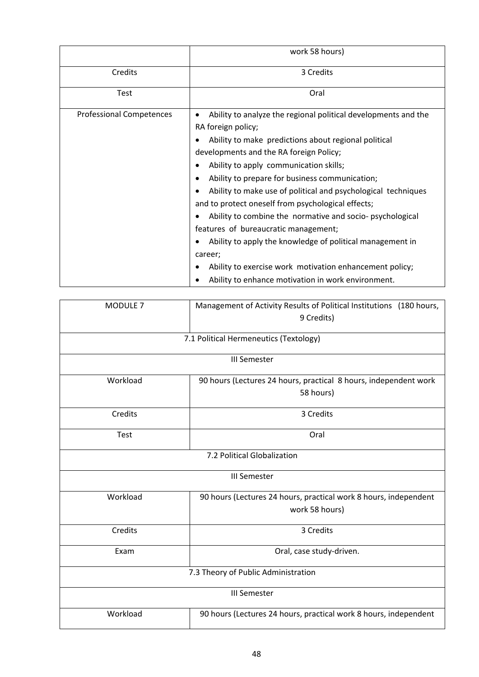|                                 | work 58 hours)                                                                                                                                                                                                                                                                                                                                                                                                                                                                                                                                                                                                                                                                                          |
|---------------------------------|---------------------------------------------------------------------------------------------------------------------------------------------------------------------------------------------------------------------------------------------------------------------------------------------------------------------------------------------------------------------------------------------------------------------------------------------------------------------------------------------------------------------------------------------------------------------------------------------------------------------------------------------------------------------------------------------------------|
| Credits                         | 3 Credits                                                                                                                                                                                                                                                                                                                                                                                                                                                                                                                                                                                                                                                                                               |
| <b>Test</b>                     | Oral                                                                                                                                                                                                                                                                                                                                                                                                                                                                                                                                                                                                                                                                                                    |
| <b>Professional Competences</b> | Ability to analyze the regional political developments and the<br>RA foreign policy;<br>Ability to make predictions about regional political<br>developments and the RA foreign Policy;<br>Ability to apply communication skills;<br>Ability to prepare for business communication;<br>Ability to make use of political and psychological techniques<br>and to protect oneself from psychological effects;<br>Ability to combine the normative and socio-psychological<br>features of bureaucratic management;<br>Ability to apply the knowledge of political management in<br>career;<br>Ability to exercise work motivation enhancement policy;<br>Ability to enhance motivation in work environment. |

| MODULE <sub>7</sub>                 | Management of Activity Results of Political Institutions (180 hours, |  |
|-------------------------------------|----------------------------------------------------------------------|--|
|                                     | 9 Credits)                                                           |  |
|                                     | 7.1 Political Hermeneutics (Textology)                               |  |
|                                     |                                                                      |  |
|                                     | <b>III Semester</b>                                                  |  |
| Workload                            | 90 hours (Lectures 24 hours, practical 8 hours, independent work     |  |
|                                     | 58 hours)                                                            |  |
| Credits                             | 3 Credits                                                            |  |
| Test                                | Oral                                                                 |  |
|                                     | 7.2 Political Globalization                                          |  |
| <b>III Semester</b>                 |                                                                      |  |
| Workload                            | 90 hours (Lectures 24 hours, practical work 8 hours, independent     |  |
|                                     | work 58 hours)                                                       |  |
| Credits                             | 3 Credits                                                            |  |
| Exam                                | Oral, case study-driven.                                             |  |
| 7.3 Theory of Public Administration |                                                                      |  |
| <b>III Semester</b>                 |                                                                      |  |
| Workload                            | 90 hours (Lectures 24 hours, practical work 8 hours, independent     |  |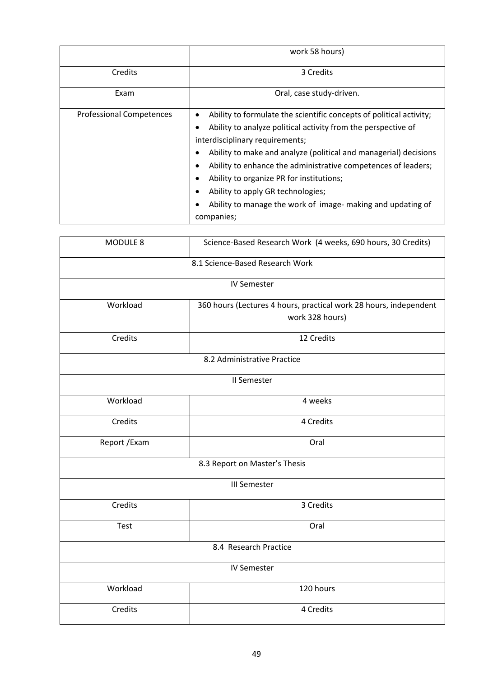|                                 | work 58 hours)                                                                                                                                                                                                                                                                                                                                                                                                                                                                  |
|---------------------------------|---------------------------------------------------------------------------------------------------------------------------------------------------------------------------------------------------------------------------------------------------------------------------------------------------------------------------------------------------------------------------------------------------------------------------------------------------------------------------------|
| Credits                         | 3 Credits                                                                                                                                                                                                                                                                                                                                                                                                                                                                       |
| Exam                            | Oral, case study-driven.                                                                                                                                                                                                                                                                                                                                                                                                                                                        |
| <b>Professional Competences</b> | Ability to formulate the scientific concepts of political activity;<br>Ability to analyze political activity from the perspective of<br>interdisciplinary requirements;<br>Ability to make and analyze (political and managerial) decisions<br>Ability to enhance the administrative competences of leaders;<br>Ability to organize PR for institutions;<br>с<br>Ability to apply GR technologies;<br>Ability to manage the work of image- making and updating of<br>companies; |

| MODULE 8                        | Science-Based Research Work (4 weeks, 690 hours, 30 Credits)                         |  |
|---------------------------------|--------------------------------------------------------------------------------------|--|
| 8.1 Science-Based Research Work |                                                                                      |  |
|                                 | <b>IV Semester</b>                                                                   |  |
| Workload                        | 360 hours (Lectures 4 hours, practical work 28 hours, independent<br>work 328 hours) |  |
| Credits                         | 12 Credits                                                                           |  |
| 8.2 Administrative Practice     |                                                                                      |  |
|                                 | II Semester                                                                          |  |
| Workload                        | 4 weeks                                                                              |  |
| Credits                         | 4 Credits                                                                            |  |
| Report / Exam                   | Oral                                                                                 |  |
| 8.3 Report on Master's Thesis   |                                                                                      |  |
|                                 | <b>III Semester</b>                                                                  |  |
| Credits                         | 3 Credits                                                                            |  |
| Test                            | Oral                                                                                 |  |
| 8.4 Research Practice           |                                                                                      |  |
| <b>IV Semester</b>              |                                                                                      |  |
| Workload                        | 120 hours                                                                            |  |
| Credits                         | 4 Credits                                                                            |  |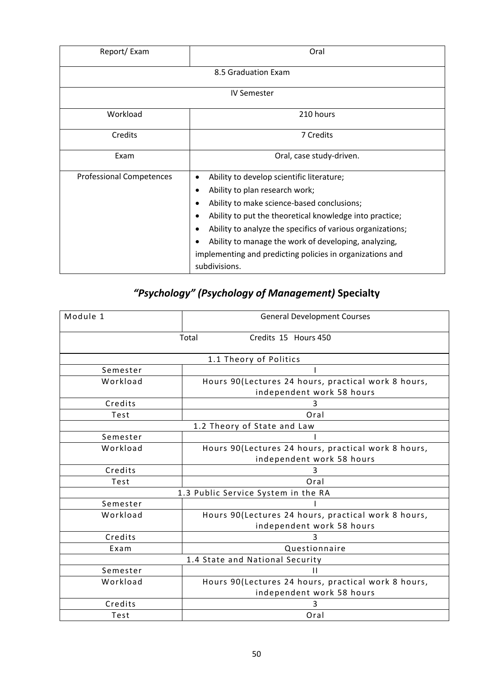| Report/Exam                     | Oral                                                                                                                                                                                                                                                                                                                                                                                          |
|---------------------------------|-----------------------------------------------------------------------------------------------------------------------------------------------------------------------------------------------------------------------------------------------------------------------------------------------------------------------------------------------------------------------------------------------|
|                                 | 8.5 Graduation Exam                                                                                                                                                                                                                                                                                                                                                                           |
|                                 | <b>IV Semester</b>                                                                                                                                                                                                                                                                                                                                                                            |
| Workload                        | 210 hours                                                                                                                                                                                                                                                                                                                                                                                     |
| Credits                         | 7 Credits                                                                                                                                                                                                                                                                                                                                                                                     |
| Exam                            | Oral, case study-driven.                                                                                                                                                                                                                                                                                                                                                                      |
| <b>Professional Competences</b> | Ability to develop scientific literature;<br>Ability to plan research work;<br>٠<br>Ability to make science-based conclusions;<br>Ability to put the theoretical knowledge into practice;<br>Ability to analyze the specifics of various organizations;<br>Ability to manage the work of developing, analyzing,<br>implementing and predicting policies in organizations and<br>subdivisions. |

# *"Psychology" (Psychology of Management)* **Specialty**

| Module 1                        | <b>General Development Courses</b>                  |  |  |
|---------------------------------|-----------------------------------------------------|--|--|
|                                 | Credits 15 Hours 450<br>Total                       |  |  |
|                                 | 1.1 Theory of Politics                              |  |  |
| Semester                        |                                                     |  |  |
| Workload                        | Hours 90(Lectures 24 hours, practical work 8 hours, |  |  |
|                                 | independent work 58 hours                           |  |  |
| Credits                         | 3                                                   |  |  |
| Test                            | Oral                                                |  |  |
|                                 | 1.2 Theory of State and Law                         |  |  |
| Semester                        |                                                     |  |  |
| Workload                        | Hours 90(Lectures 24 hours, practical work 8 hours, |  |  |
|                                 | independent work 58 hours                           |  |  |
| Credits                         | 3                                                   |  |  |
| Test                            | Oral                                                |  |  |
|                                 | 1.3 Public Service System in the RA                 |  |  |
| Semester                        |                                                     |  |  |
| Workload                        | Hours 90(Lectures 24 hours, practical work 8 hours, |  |  |
|                                 | independent work 58 hours                           |  |  |
| Credits                         | 3                                                   |  |  |
| Exam                            | Questionnaire                                       |  |  |
| 1.4 State and National Security |                                                     |  |  |
| Semester                        | П                                                   |  |  |
| Workload                        | Hours 90(Lectures 24 hours, practical work 8 hours, |  |  |
|                                 | independent work 58 hours                           |  |  |
| Credits                         | 3                                                   |  |  |
| Test                            | Oral                                                |  |  |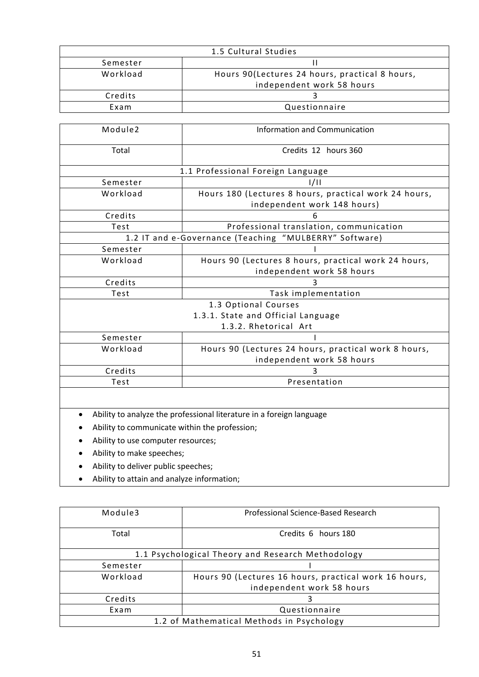| 1.5 Cultural Studies |                                                |
|----------------------|------------------------------------------------|
| Semester             |                                                |
| Workload             | Hours 90(Lectures 24 hours, practical 8 hours, |
|                      | independent work 58 hours                      |
| Credits              |                                                |
| Exam                 | Questionnaire                                  |

| Module <sub>2</sub>                                    | <b>Information and Communication</b>                  |
|--------------------------------------------------------|-------------------------------------------------------|
|                                                        |                                                       |
| Total                                                  | Credits 12 hours 360                                  |
|                                                        |                                                       |
|                                                        | 1.1 Professional Foreign Language                     |
| Semester                                               | 1/11                                                  |
| Workload                                               | Hours 180 (Lectures 8 hours, practical work 24 hours, |
|                                                        | independent work 148 hours)                           |
| Credits                                                | h                                                     |
| Test                                                   | Professional translation, communication               |
| 1.2 IT and e-Governance (Teaching "MULBERRY" Software) |                                                       |
| Semester                                               |                                                       |
| Workload                                               | Hours 90 (Lectures 8 hours, practical work 24 hours,  |
|                                                        | independent work 58 hours                             |
| Credits                                                | 3                                                     |
| Test                                                   | Task implementation                                   |
|                                                        | 1.3 Optional Courses                                  |
| 1.3.1. State and Official Language                     |                                                       |
| 1.3.2. Rhetorical Art                                  |                                                       |
| Semester                                               |                                                       |
| Workload                                               | Hours 90 (Lectures 24 hours, practical work 8 hours,  |
|                                                        | independent work 58 hours                             |
| Credits                                                | 3                                                     |
| Test                                                   | Presentation                                          |
|                                                        |                                                       |

- Ability to analyze the professional literature in a foreign language
- Ability to communicate within the profession;
- Ability to use computer resources;
- Ability to make speeches;
- Ability to deliver public speeches;
- Ability to attain and analyze information;

| Module3                                           | Professional Science-Based Research                   |
|---------------------------------------------------|-------------------------------------------------------|
| Total                                             | Credits 6 hours 180                                   |
| 1.1 Psychological Theory and Research Methodology |                                                       |
| Semester                                          |                                                       |
| Workload                                          | Hours 90 (Lectures 16 hours, practical work 16 hours, |
|                                                   | independent work 58 hours                             |
| Credits                                           |                                                       |
| Exam                                              | Questionnaire                                         |
| 1.2 of Mathematical Methods in Psychology         |                                                       |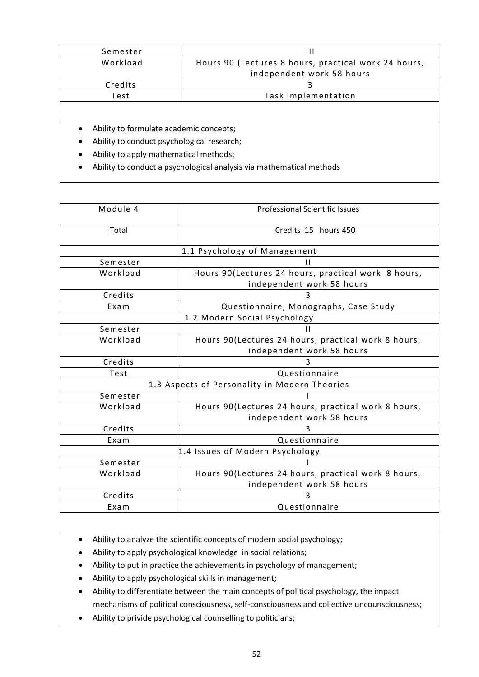| Semester                                             | Ш                                                                    |  |
|------------------------------------------------------|----------------------------------------------------------------------|--|
| Workload                                             | Hours 90 (Lectures 8 hours, practical work 24 hours,                 |  |
|                                                      | independent work 58 hours                                            |  |
| Credits                                              | 3                                                                    |  |
| Test                                                 | Task Implementation                                                  |  |
|                                                      |                                                                      |  |
| Ability to formulate academic concepts;<br>$\bullet$ |                                                                      |  |
| Ability to conduct psychological research;           |                                                                      |  |
| Ability to apply mathematical methods;<br>٠          |                                                                      |  |
|                                                      | Ability to conduct a psychological analysis via mathematical methods |  |

| Module 4                                      | <b>Professional Scientific Issues</b>               |  |
|-----------------------------------------------|-----------------------------------------------------|--|
| Total                                         | Credits 15 hours 450                                |  |
|                                               | 1.1 Psychology of Management                        |  |
| Semester                                      | н                                                   |  |
| Workload                                      | Hours 90(Lectures 24 hours, practical work 8 hours, |  |
|                                               | independent work 58 hours                           |  |
| Credits                                       |                                                     |  |
| Exam                                          | Questionnaire, Monographs, Case Study               |  |
|                                               | 1.2 Modern Social Psychology                        |  |
| Semester                                      | н                                                   |  |
| Workload                                      | Hours 90(Lectures 24 hours, practical work 8 hours, |  |
|                                               | independent work 58 hours                           |  |
| Credits                                       |                                                     |  |
| Test                                          | Questionnaire                                       |  |
| 1.3 Aspects of Personality in Modern Theories |                                                     |  |
| Semester                                      |                                                     |  |
| Workload                                      | Hours 90(Lectures 24 hours, practical work 8 hours, |  |
|                                               | independent work 58 hours                           |  |
| Credits                                       |                                                     |  |
| Exam                                          | Questionnaire                                       |  |
| 1.4 Issues of Modern Psychology               |                                                     |  |
| Semester                                      |                                                     |  |
| Workload                                      | Hours 90(Lectures 24 hours, practical work 8 hours, |  |
|                                               | independent work 58 hours                           |  |
| Credits                                       | ς                                                   |  |
| Exam                                          | Questionnaire                                       |  |

Ability to analyze the scientific concepts of modern social psychology;

Ability to apply psychological knowledge in social relations;

- Ability to put in practice the achievements in psychology of management;
- Ability to apply psychological skills in management;
- Ability to differentiate between the main concepts of political psychology, the impact mechanisms of political consciousness, self-consciousness and collective uncounsciousness;
- Ability to privide psychological counselling to politicians;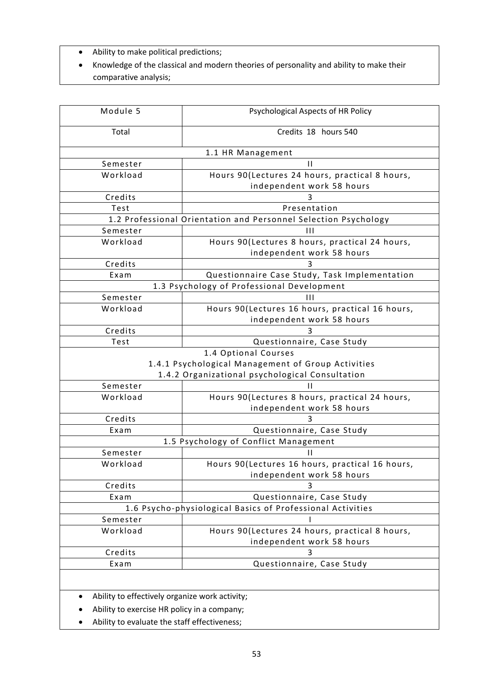- Ability to make political predictions;
- Knowledge of the classical and modern theories of personality and ability to make their comparative analysis;

| Module 5                                                   | Psychological Aspects of HR Policy                                           |  |  |
|------------------------------------------------------------|------------------------------------------------------------------------------|--|--|
| Total                                                      | Credits 18 hours 540                                                         |  |  |
|                                                            | 1.1 HR Management                                                            |  |  |
| Semester                                                   | $\mathbf{H}$                                                                 |  |  |
| Workload                                                   | Hours 90(Lectures 24 hours, practical 8 hours,                               |  |  |
|                                                            | independent work 58 hours                                                    |  |  |
| Credits                                                    | 3                                                                            |  |  |
| Test                                                       | Presentation                                                                 |  |  |
|                                                            | 1.2 Professional Orientation and Personnel Selection Psychology              |  |  |
| Semester                                                   | $\mathbf{H}$                                                                 |  |  |
| Workload                                                   | Hours 90(Lectures 8 hours, practical 24 hours,<br>independent work 58 hours  |  |  |
| Credits                                                    |                                                                              |  |  |
| Exam                                                       | Questionnaire Case Study, Task Implementation                                |  |  |
|                                                            | 1.3 Psychology of Professional Development                                   |  |  |
| Semester                                                   | Ш                                                                            |  |  |
| Workload                                                   | Hours 90(Lectures 16 hours, practical 16 hours,<br>independent work 58 hours |  |  |
| Credits                                                    |                                                                              |  |  |
| Test                                                       | Questionnaire, Case Study                                                    |  |  |
| 1.4 Optional Courses                                       |                                                                              |  |  |
|                                                            | 1.4.1 Psychological Management of Group Activities                           |  |  |
|                                                            | 1.4.2 Organizational psychological Consultation                              |  |  |
| Semester                                                   | н                                                                            |  |  |
| Workload                                                   | Hours 90(Lectures 8 hours, practical 24 hours,                               |  |  |
|                                                            | independent work 58 hours                                                    |  |  |
| Credits                                                    | 3                                                                            |  |  |
| Exam                                                       | Questionnaire, Case Study                                                    |  |  |
|                                                            | 1.5 Psychology of Conflict Management                                        |  |  |
| Semester                                                   | Ш                                                                            |  |  |
| Workload                                                   | Hours 90(Lectures 16 hours, practical 16 hours,<br>independent work 58 hours |  |  |
| Credits                                                    | 3                                                                            |  |  |
| Exam                                                       | Questionnaire, Case Study                                                    |  |  |
| 1.6 Psycho-physiological Basics of Professional Activities |                                                                              |  |  |
| Semester                                                   |                                                                              |  |  |
| Workload                                                   | Hours 90(Lectures 24 hours, practical 8 hours,                               |  |  |
|                                                            | independent work 58 hours                                                    |  |  |
| Credits                                                    | 3                                                                            |  |  |
| Exam                                                       | Questionnaire, Case Study                                                    |  |  |
|                                                            |                                                                              |  |  |
| Ability to effectively organize work activity;             |                                                                              |  |  |

- Ability to exercise HR policy in a company;
- Ability to evaluate the staff effectiveness;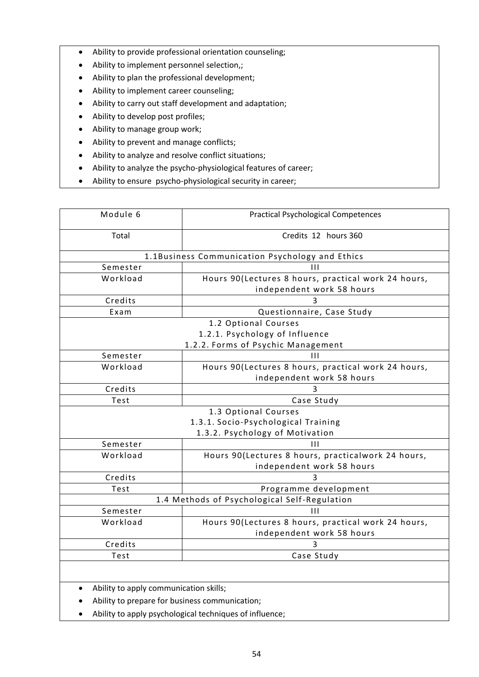- Ability to provide professional orientation counseling;
- Ability to implement personnel selection,;
- Ability to plan the professional development;
- Ability to implement career counseling;
- Ability to carry out staff development and adaptation;
- Ability to develop post profiles;
- Ability to manage group work;
- Ability to prevent and manage conflicts;
- Ability to analyze and resolve conflict situations;
- Ability to analyze the psycho-physiological features of career;
- Ability to ensure psycho-physiological security in career;

| Module 6                               | <b>Practical Psychological Competences</b>          |  |  |
|----------------------------------------|-----------------------------------------------------|--|--|
| Total                                  | Credits 12 hours 360                                |  |  |
|                                        | 1.1Business Communication Psychology and Ethics     |  |  |
| Semester                               | $\mathbf{H}$                                        |  |  |
| Workload                               | Hours 90(Lectures 8 hours, practical work 24 hours, |  |  |
|                                        | independent work 58 hours                           |  |  |
| Credits                                | ર                                                   |  |  |
| Exam                                   | Questionnaire, Case Study                           |  |  |
|                                        | 1.2 Optional Courses                                |  |  |
|                                        | 1.2.1. Psychology of Influence                      |  |  |
|                                        | 1.2.2. Forms of Psychic Management                  |  |  |
| Semester                               | $\mathbf{H}$                                        |  |  |
| Workload                               | Hours 90(Lectures 8 hours, practical work 24 hours, |  |  |
|                                        | independent work 58 hours                           |  |  |
| Credits                                | 3                                                   |  |  |
| Test                                   | Case Study                                          |  |  |
|                                        | 1.3 Optional Courses                                |  |  |
|                                        | 1.3.1. Socio-Psychological Training                 |  |  |
|                                        | 1.3.2. Psychology of Motivation                     |  |  |
| Semester                               | $\mathbf{H}$                                        |  |  |
| Workload                               | Hours 90(Lectures 8 hours, practicalwork 24 hours,  |  |  |
|                                        | independent work 58 hours                           |  |  |
| Credits                                |                                                     |  |  |
| Test                                   | Programme development                               |  |  |
|                                        | 1.4 Methods of Psychological Self-Regulation        |  |  |
| Semester                               | Ш                                                   |  |  |
| Workload                               | Hours 90(Lectures 8 hours, practical work 24 hours, |  |  |
|                                        | independent work 58 hours                           |  |  |
| Credits                                |                                                     |  |  |
| Test                                   | Case Study                                          |  |  |
|                                        |                                                     |  |  |
| Ability to apply communication skills; |                                                     |  |  |
|                                        | Ability to prepare for business communication;      |  |  |

Ability to apply psychological techniques of influence;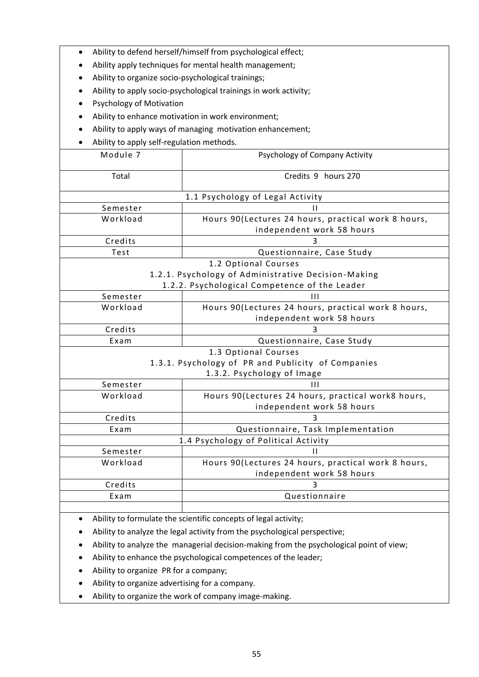| Ability to defend herself/himself from psychological effect; |                                                                                  |  |  |  |
|--------------------------------------------------------------|----------------------------------------------------------------------------------|--|--|--|
| Ability apply techniques for mental health management;       |                                                                                  |  |  |  |
|                                                              | Ability to organize socio-psychological trainings;                               |  |  |  |
|                                                              | Ability to apply socio-psychological trainings in work activity;                 |  |  |  |
| <b>Psychology of Motivation</b>                              |                                                                                  |  |  |  |
|                                                              |                                                                                  |  |  |  |
| Ability to enhance motivation in work environment;           |                                                                                  |  |  |  |
| Ability to apply ways of managing motivation enhancement;    |                                                                                  |  |  |  |
|                                                              | Ability to apply self-regulation methods.                                        |  |  |  |
| Module 7                                                     | Psychology of Company Activity                                                   |  |  |  |
| Total                                                        | Credits 9 hours 270                                                              |  |  |  |
|                                                              |                                                                                  |  |  |  |
| 1.1 Psychology of Legal Activity                             |                                                                                  |  |  |  |
| Semester                                                     | ш                                                                                |  |  |  |
| Workload                                                     | Hours 90(Lectures 24 hours, practical work 8 hours,                              |  |  |  |
|                                                              | independent work 58 hours                                                        |  |  |  |
|                                                              | Credits<br>3                                                                     |  |  |  |
| Test<br>Questionnaire, Case Study                            |                                                                                  |  |  |  |
| 1.2 Optional Courses                                         |                                                                                  |  |  |  |
| 1.2.1. Psychology of Administrative Decision-Making          |                                                                                  |  |  |  |
| Semester                                                     | 1.2.2. Psychological Competence of the Leader<br>$\mathbf{H}$                    |  |  |  |
| Workload                                                     | Hours 90(Lectures 24 hours, practical work 8 hours,                              |  |  |  |
|                                                              | independent work 58 hours                                                        |  |  |  |
| Credits                                                      | 3                                                                                |  |  |  |
| Exam                                                         | Questionnaire, Case Study                                                        |  |  |  |
| 1.3 Optional Courses                                         |                                                                                  |  |  |  |
| 1.3.1. Psychology of PR and Publicity of Companies           |                                                                                  |  |  |  |
| 1.3.2. Psychology of Image                                   |                                                                                  |  |  |  |
| Semester                                                     | Ш                                                                                |  |  |  |
| Workload                                                     | Hours 90(Lectures 24 hours, practical work8 hours,                               |  |  |  |
|                                                              | independent work 58 hours                                                        |  |  |  |
| Credits                                                      | 3                                                                                |  |  |  |
|                                                              | Questionnaire, Task Implementation<br>Exam                                       |  |  |  |
| 1.4 Psychology of Political Activity                         |                                                                                  |  |  |  |
| Semester<br>Workload                                         | П                                                                                |  |  |  |
|                                                              | Hours 90(Lectures 24 hours, practical work 8 hours,<br>independent work 58 hours |  |  |  |
| Credits                                                      | 3                                                                                |  |  |  |
| Exam                                                         | Questionnaire                                                                    |  |  |  |
|                                                              |                                                                                  |  |  |  |

- Ability to formulate the scientific concepts of legal activity;
- Ability to analyze the legal activity from the psychological perspective;
- Ability to analyze the managerial decision-making from the psychological point of view;
- Ability to enhance the psychological competences of the leader;
- Ability to organize PR for a company;
- Ability to organize advertising for a company.
- Ability to organize the work of company image-making.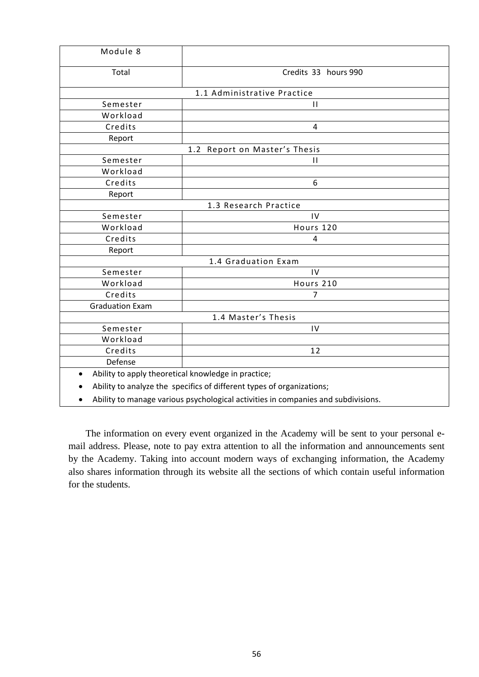| Module 8                                                              |                             |  |  |  |
|-----------------------------------------------------------------------|-----------------------------|--|--|--|
| Total                                                                 | Credits 33 hours 990        |  |  |  |
|                                                                       | 1.1 Administrative Practice |  |  |  |
| Semester                                                              | $\mathbf{H}$                |  |  |  |
| Workload                                                              |                             |  |  |  |
| Credits                                                               | 4                           |  |  |  |
| Report                                                                |                             |  |  |  |
| 1.2 Report on Master's Thesis                                         |                             |  |  |  |
| Semester                                                              | $\mathbf{H}$                |  |  |  |
| Workload                                                              |                             |  |  |  |
| Credits                                                               | 6                           |  |  |  |
| Report                                                                |                             |  |  |  |
| 1.3 Research Practice                                                 |                             |  |  |  |
| Semester                                                              | $\mathsf{IV}$               |  |  |  |
| Workload                                                              | Hours 120                   |  |  |  |
| Credits                                                               | 4                           |  |  |  |
| Report                                                                |                             |  |  |  |
|                                                                       | 1.4 Graduation Exam         |  |  |  |
| Semester                                                              | IV                          |  |  |  |
| Workload                                                              | Hours 210                   |  |  |  |
| Credits                                                               | 7                           |  |  |  |
| <b>Graduation Exam</b>                                                |                             |  |  |  |
| 1.4 Master's Thesis                                                   |                             |  |  |  |
| Semester                                                              | IV                          |  |  |  |
| Workload                                                              |                             |  |  |  |
| Credits                                                               | 12                          |  |  |  |
| Defense                                                               |                             |  |  |  |
| Ability to apply theoretical knowledge in practice;                   |                             |  |  |  |
| Ability to analyze the specifics of different types of organizations; |                             |  |  |  |
|                                                                       |                             |  |  |  |

Ability to manage various psychological activities in companies and subdivisions.

The information on every event organized in the Academy will be sent to your personal email address. Please, note to pay extra attention to all the information and announcements sent by the Academy. Taking into account modern ways of exchanging information, the Academy also shares information through its website all the sections of which contain useful information for the students.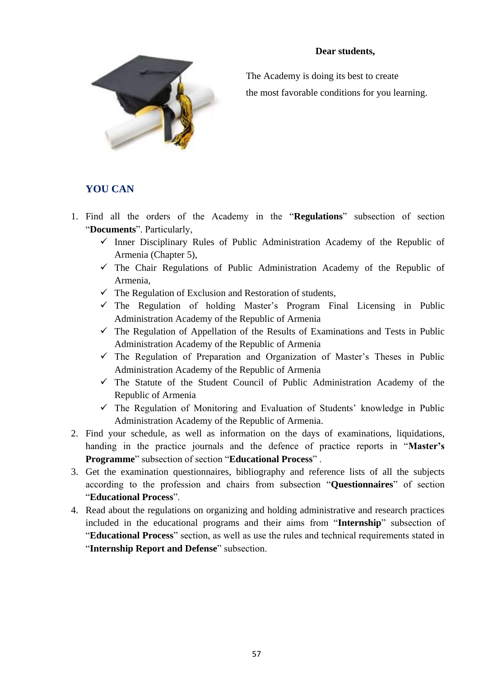#### **Dear students,**



The Academy is doing its best to create the most favorable conditions for you learning.

### **YOU CAN**

- 1. Find all the orders of the Academy in the "**Regulations**" subsection of section "**Documents**". Particularly,
	- $\checkmark$  Inner Disciplinary Rules of Public Administration Academy of the Republic of Armenia (Chapter 5),
	- $\checkmark$  The Chair Regulations of Public Administration Academy of the Republic of Armenia,
	- $\checkmark$  The Regulation of Exclusion and Restoration of students,
	- $\checkmark$  The Regulation of holding Master's Program Final Licensing in Public Administration Academy of the Republic of Armenia
	- $\checkmark$  The Regulation of Appellation of the Results of Examinations and Tests in Public Administration Academy of the Republic of Armenia
	- $\checkmark$  The Regulation of Preparation and Organization of Master's Theses in Public Administration Academy of the Republic of Armenia
	- $\checkmark$  The Statute of the Student Council of Public Administration Academy of the Republic of Armenia
	- $\checkmark$  The Regulation of Monitoring and Evaluation of Students' knowledge in Public Administration Academy of the Republic of Armenia.
- 2. Find your schedule, as well as information on the days of examinations, liquidations, handing in the practice journals and the defence of practice reports in "**Master's Programme**" subsection of section "**Educational Process**" .
- 3. Get the examination questionnaires, bibliography and reference lists of all the subjects according to the profession and chairs from subsection "**Questionnaires**" of section "**Educational Process**".
- 4. Read about the regulations on organizing and holding administrative and research practices included in the educational programs and their aims from "**Internship**" subsection of "**Educational Process**" section, as well as use the rules and technical requirements stated in "**Internship Report and Defense**" subsection.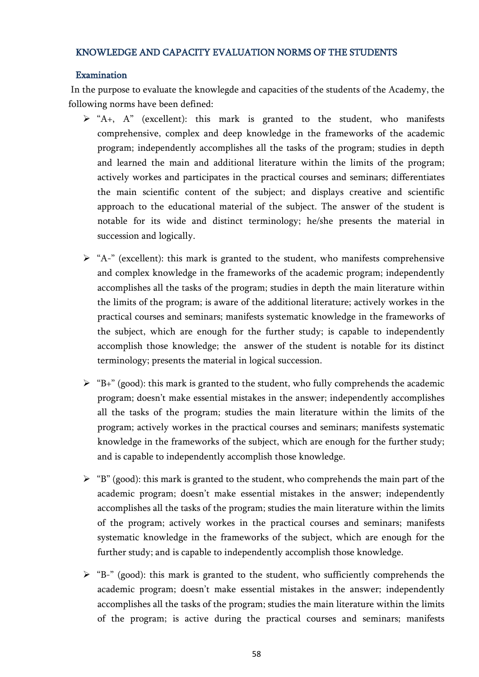#### KNOWLEDGE AND CAPACITY EVALUATION NORMS OF THE STUDENTS

#### Examination

In the purpose to evaluate the knowlegde and capacities of the students of the Academy, the following norms have been defined:

- $\triangleright$  "A+, A" (excellent): this mark is granted to the student, who manifests comprehensive, complex and deep knowledge in the frameworks of the academic program; independently accomplishes all the tasks of the program; studies in depth and learned the main and additional literature within the limits of the program; actively workes and participates in the practical courses and seminars; differentiates the main scientific content of the subject; and displays creative and scientific approach to the educational material of the subject. The answer of the student is notable for its wide and distinct terminology; he/she presents the material in succession and logically.
- $\triangleright$  "A-" (excellent): this mark is granted to the student, who manifests comprehensive and complex knowledge in the frameworks of the academic program; independently accomplishes all the tasks of the program; studies in depth the main literature within the limits of the program; is aware of the additional literature; actively workes in the practical courses and seminars; manifests systematic knowledge in the frameworks of the subject, which are enough for the further study; is capable to independently accomplish those knowledge; the answer of the student is notable for its distinct terminology; presents the material in logical succession.
- $\triangleright$  "B+" (good): this mark is granted to the student, who fully comprehends the academic program; doesn't make essential mistakes in the answer; independently accomplishes all the tasks of the program; studies the main literature within the limits of the program; actively workes in the practical courses and seminars; manifests systematic knowledge in the frameworks of the subject, which are enough for the further study; and is capable to independently accomplish those knowledge.
- $\triangleright$  "B" (good): this mark is granted to the student, who comprehends the main part of the academic program; doesn't make essential mistakes in the answer; independently accomplishes all the tasks of the program; studies the main literature within the limits of the program; actively workes in the practical courses and seminars; manifests systematic knowledge in the frameworks of the subject, which are enough for the further study; and is capable to independently accomplish those knowledge.
- $\triangleright$  "B-" (good): this mark is granted to the student, who sufficiently comprehends the academic program; doesn't make essential mistakes in the answer; independently accomplishes all the tasks of the program; studies the main literature within the limits of the program; is active during the practical courses and seminars; manifests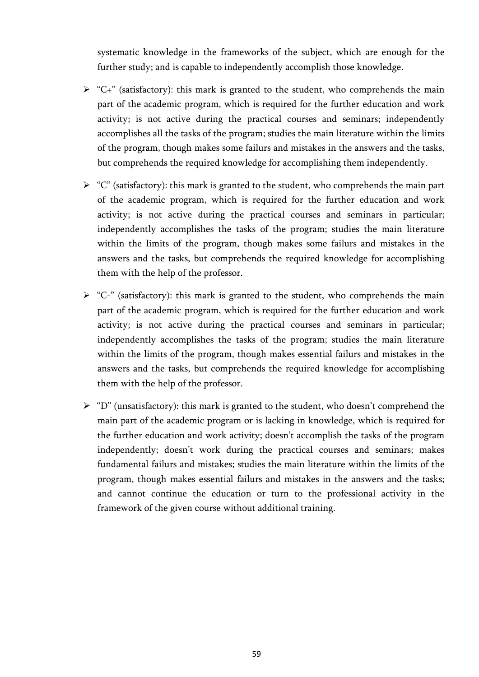systematic knowledge in the frameworks of the subject, which are enough for the further study; and is capable to independently accomplish those knowledge.

- $\triangleright$  "C+" (satisfactory): this mark is granted to the student, who comprehends the main part of the academic program, which is required for the further education and work activity; is not active during the practical courses and seminars; independently accomplishes all the tasks of the program; studies the main literature within the limits of the program, though makes some failurs and mistakes in the answers and the tasks, but comprehends the required knowledge for accomplishing them independently.
- $\triangleright$  "C" (satisfactory): this mark is granted to the student, who comprehends the main part of the academic program, which is required for the further education and work activity; is not active during the practical courses and seminars in particular; independently accomplishes the tasks of the program; studies the main literature within the limits of the program, though makes some failurs and mistakes in the answers and the tasks, but comprehends the required knowledge for accomplishing them with the help of the professor.
- $\triangleright$  "C-" (satisfactory): this mark is granted to the student, who comprehends the main part of the academic program, which is required for the further education and work activity; is not active during the practical courses and seminars in particular; independently accomplishes the tasks of the program; studies the main literature within the limits of the program, though makes essential failurs and mistakes in the answers and the tasks, but comprehends the required knowledge for accomplishing them with the help of the professor.
- $\triangleright$  "D" (unsatisfactory): this mark is granted to the student, who doesn't comprehend the main part of the academic program or is lacking in knowledge, which is required for the further education and work activity; doesn't accomplish the tasks of the program independently; doesn't work during the practical courses and seminars; makes fundamental failurs and mistakes; studies the main literature within the limits of the program, though makes essential failurs and mistakes in the answers and the tasks; and cannot continue the education or turn to the professional activity in the framework of the given course without additional training.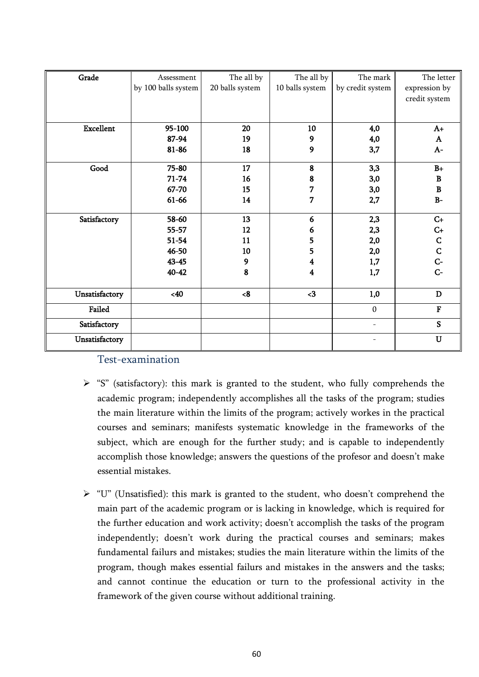| Grade            | Assessment          | The all by      | The all by              | The mark                 | The letter     |
|------------------|---------------------|-----------------|-------------------------|--------------------------|----------------|
|                  | by 100 balls system | 20 balls system | 10 balls system         | by credit system         | expression by  |
|                  |                     |                 |                         |                          | credit system  |
|                  |                     |                 |                         |                          |                |
|                  |                     |                 |                         |                          |                |
| <b>Excellent</b> | 95-100              | 20              | 10                      | 4,0                      | $A+$           |
|                  | 87-94               | 19              | 9                       | 4,0                      | A              |
|                  | 81-86               | 18              | 9                       | 3,7                      | $A-$           |
|                  |                     |                 |                         |                          |                |
| Good             | $75 - 80$           | 17              | ${\bf 8}$               | 3,3                      | $B+$           |
|                  | $71 - 74$           | 16              | 8                       | 3,0                      | B              |
|                  | 67-70               | 15              | 7                       | 3,0                      | $\, {\bf B}$   |
|                  | 61-66               | 14              | 7                       | 2,7                      | $B-$           |
|                  |                     |                 |                         |                          |                |
| Satisfactory     | 58-60               | 13              | 6                       | 2,3                      | $C+$           |
|                  | 55-57               | 12              | 6                       | 2,3                      | $C+$           |
|                  | $51 - 54$           | 11              | 5                       | 2,0                      | $\mathbf C$    |
|                  | 46-50               | 10              | 5                       | 2,0                      | $\overline{C}$ |
|                  | $43 - 45$           | 9               | 4                       | 1,7                      | $C-$           |
|                  | $40 - 42$           | 8               | $\overline{\mathbf{4}}$ | 1,7                      | $C-$           |
|                  |                     |                 |                         |                          |                |
| Unsatisfactory   | <40                 | <8              | $3$                     | 1,0                      | $\mathbf D$    |
| Failed           |                     |                 |                         | $\mathbf{0}$             | $\mathbf F$    |
| Satisfactory     |                     |                 |                         | $\overline{\phantom{a}}$ | S              |
| Unsatisfactory   |                     |                 |                         |                          | $\mathbf U$    |

## Test-examination

- $\triangleright$  "S" (satisfactory): this mark is granted to the student, who fully comprehends the academic program; independently accomplishes all the tasks of the program; studies the main literature within the limits of the program; actively workes in the practical courses and seminars; manifests systematic knowledge in the frameworks of the subject, which are enough for the further study; and is capable to independently accomplish those knowledge; answers the questions of the profesor and doesn't make essential mistakes.
- $\triangleright$  "U" (Unsatisfied): this mark is granted to the student, who doesn't comprehend the main part of the academic program or is lacking in knowledge, which is required for the further education and work activity; doesn't accomplish the tasks of the program independently; doesn't work during the practical courses and seminars; makes fundamental failurs and mistakes; studies the main literature within the limits of the program, though makes essential failurs and mistakes in the answers and the tasks; and cannot continue the education or turn to the professional activity in the framework of the given course without additional training.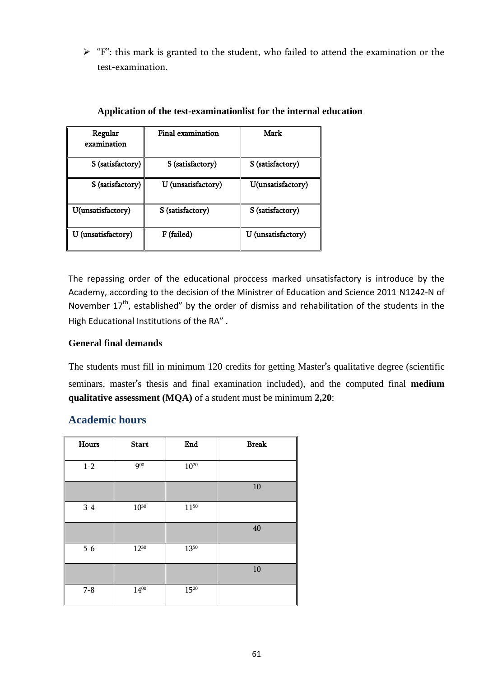$\triangleright$  "F": this mark is granted to the student, who failed to attend the examination or the test-examination.

| Regular<br>examination           | Final examination  | Mark               |  |
|----------------------------------|--------------------|--------------------|--|
| S (satisfactory)                 | S (satisfactory)   | S (satisfactory)   |  |
| S (satisfactory)                 | U (unsatisfactory) | U(unsatisfactory)  |  |
| U(unsatisfactory)                | S (satisfactory)   | S (satisfactory)   |  |
| U (unsatisfactory)<br>F (failed) |                    | U (unsatisfactory) |  |

#### **Application of the test-examinationlist for the internal education**

The repassing order of the educational proccess marked unsatisfactory is introduce by the Academy, according to the decision of the Ministrer of Education and Science 2011 N1242-N of November  $17<sup>th</sup>$ , established" by the order of dismiss and rehabilitation of the students in the High Educational Institutions of the RA" .

#### **General final demands**

The students must fill in minimum 120 credits for getting Master's qualitative degree (scientific seminars, master's thesis and final examination included), and the computed final **medium qualitative assessment (MQA)** of a student must be minimum **2,20**:

## **Academic hours**

| Hours   | <b>Start</b> | End       | <b>Break</b> |
|---------|--------------|-----------|--------------|
| $1 - 2$ | 900          | $10^{20}$ |              |
|         |              |           | 10           |
| $3-4$   | $10^{30}$    | 1150      |              |
|         |              |           | 40           |
| $5 - 6$ | 1230         | 1350      |              |
|         |              |           | 10           |
| $7 - 8$ | $14^{00}$    | 1520      |              |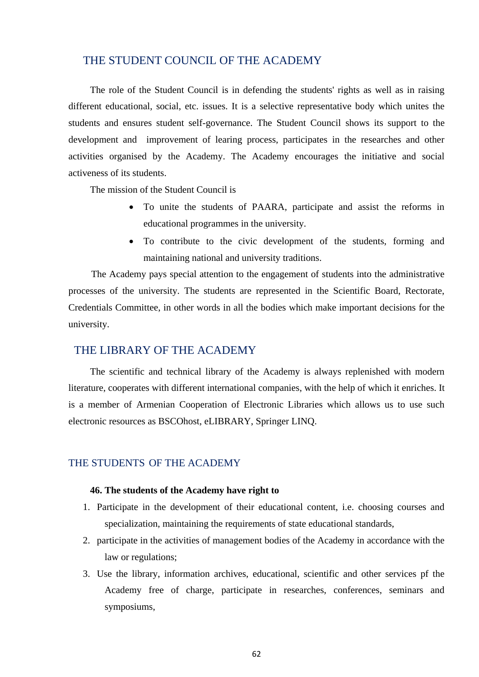#### THE STUDENT COUNCIL OF THE ACADEMY

The role of the Student Council is in defending the students' rights as well as in raising different educational, social, etc. issues. It is a selective representative body which unites the students and ensures student self-governance. The Student Council shows its support to the development and improvement of learing process, participates in the researches and other activities organised by the Academy. The Academy encourages the initiative and social activeness of its students.

The mission of the Student Council is

- To unite the students of PAARA, participate and assist the reforms in educational programmes in the university.
- To contribute to the civic development of the students, forming and maintaining national and university traditions.

The Academy pays special attention to the engagement of students into the administrative processes of the university. The students are represented in the Scientific Board, Rectorate, Credentials Committee, in other words in all the bodies which make important decisions for the university.

#### THE LIBRARY OF THE ACADEMY

The [scientific](http://www.lingvo-online.ru/ru/Search/Translate/GlossaryItemExtraInfo?text=%d0%bd%d0%b0%d1%83%d1%87%d0%bd%d0%be-%d1%82%d0%b5%d1%85%d0%bd%d0%b8%d1%87%d0%b5%d1%81%d0%ba%d0%b8%d0%b9&translation=scientific%20and%20technical&srcLang=ru&destLang=en) and technical library of the Academy is always replenished with modern literature, cooperates with different international companies, with the help of which it enriches. It is a member of Armenian Cooperation of Electronic Libraries which allows us to use such electronic resources as BSCOhost, eLIBRARY, Springer LINQ.

#### THE STUDENTS OF THE ACADEMY

#### **46. The students of the Academy have right to**

- 1. Participate in the development of their educational content, i.e. choosing courses and specialization, maintaining the requirements of state educational standards,
- 2. participate in the activities of management bodies of the Academy in accordance with the law or regulations;
- 3. Use the library, information archives, educational, scientific and other services pf the Academy free of charge, participate in researches, conferences, seminars and symposiums,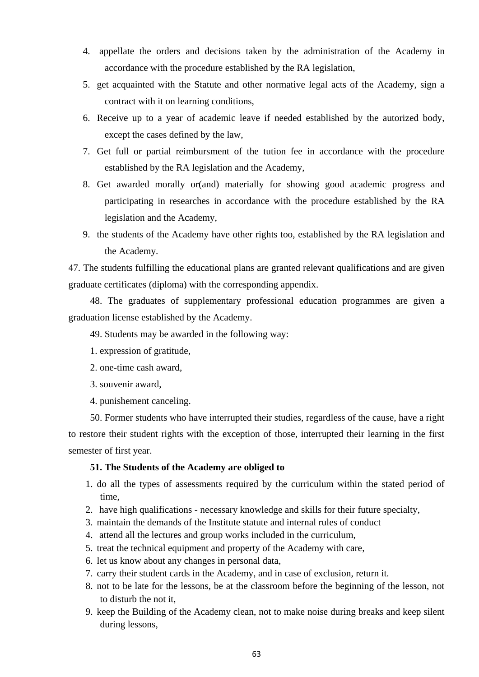- 4. appellate the orders and decisions taken by the administration of the Academy in accordance with the procedure established by the RA legislation,
- 5. get acquainted with the Statute and other normative legal acts of the Academy, sign a contract with it on learning conditions,
- 6. Receive up to a year of academic leave if needed established by the autorized body, except the cases defined by the law,
- 7. Get full or partial reimbursment of the tution fee in accordance with the procedure established by the RA legislation and the Academy,
- 8. Get awarded morally or(and) materially for showing good academic progress and participating in researches in accordance with the procedure established by the RA legislation and the Academy,
- 9. the students of the Academy have other rights too, established by the RA legislation and the Academy.

47. The students fulfilling the educational plans are granted relevant qualifications and are given graduate certificates (diploma) with the corresponding appendix.

48. The graduates of supplementary professional education programmes are given a graduation license established by the Academy.

49. Students may be awarded in the following way:

- 1. expression of gratitude,
- 2. one-time cash award,
- 3. souvenir award,
- 4. punishement canceling.

50. Former students who have interrupted their studies, regardless of the cause, have a right to restore their student rights with the exception of those, interrupted their learning in the first semester of first year.

#### **51. The Students of the Academy are obliged to**

- 1. do all the types of assessments required by the curriculum within the stated period of time,
- 2. have high qualifications necessary knowledge and skills for their future specialty,
- 3. maintain the demands of the Institute statute and internal rules of conduct
- 4. attend all the lectures and group works included in the curriculum,
- 5. treat the technical equipment and property of the Academy with care,
- 6. let us know about any changes in personal data,
- 7. carry their student cards in the Academy, and in case of exclusion, return it.
- 8. not to be late for the lessons, be at the classroom before the beginning of the lesson, not to disturb the not it,
- 9. keep the Building of the Academy clean, not to make noise during breaks and keep silent during lessons,